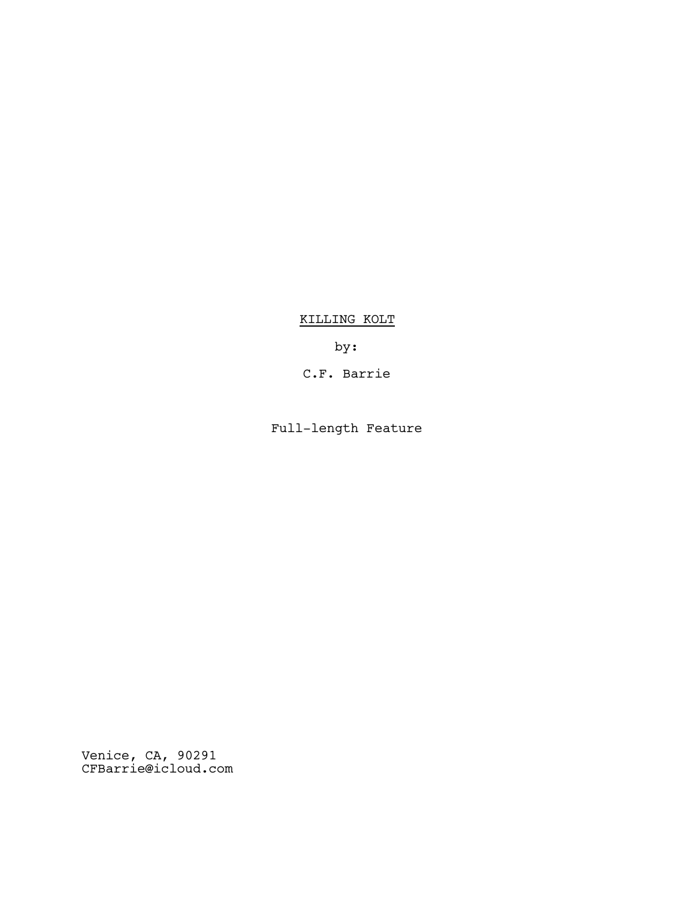KILLING KOLT

by:

C.F. Barrie

Full-length Feature

Venice, CA, 90291 CFBarrie@icloud.com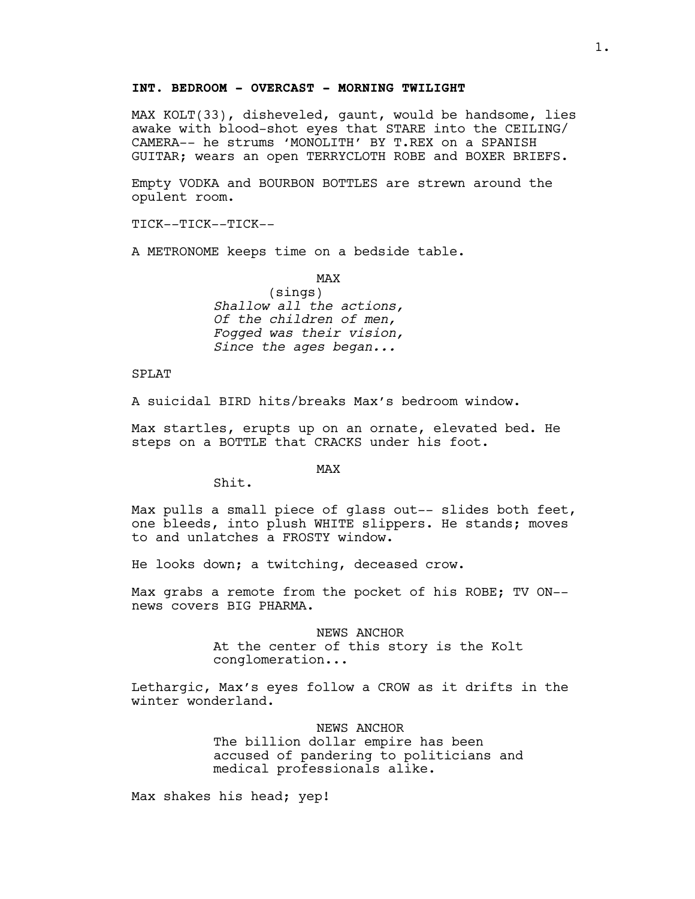## **INT. BEDROOM – OVERCAST - MORNING TWILIGHT**

MAX KOLT(33), disheveled, gaunt, would be handsome, lies awake with blood-shot eyes that STARE into the CEILING/ CAMERA-- he strums 'MONOLITH' BY T.REX on a SPANISH GUITAR; wears an open TERRYCLOTH ROBE and BOXER BRIEFS.

Empty VODKA and BOURBON BOTTLES are strewn around the opulent room.

TICK--TICK--TICK--

A METRONOME keeps time on a bedside table.

MAX (sings) *Shallow all the actions, Of the children of men, Fogged was their vision, Since the ages began...*

### SPLAT

A suicidal BIRD hits/breaks Max's bedroom window.

Max startles, erupts up on an ornate, elevated bed. He steps on a BOTTLE that CRACKS under his foot.

#### MAX

Shit.

Max pulls a small piece of glass out-- slides both feet, one bleeds, into plush WHITE slippers. He stands; moves to and unlatches a FROSTY window.

He looks down; a twitching, deceased crow.

Max grabs a remote from the pocket of his ROBE; TV ON-news covers BIG PHARMA.

> NEWS ANCHOR At the center of this story is the Kolt conglomeration...

Lethargic, Max's eyes follow a CROW as it drifts in the winter wonderland.

> NEWS ANCHOR The billion dollar empire has been accused of pandering to politicians and medical professionals alike.

Max shakes his head; yep!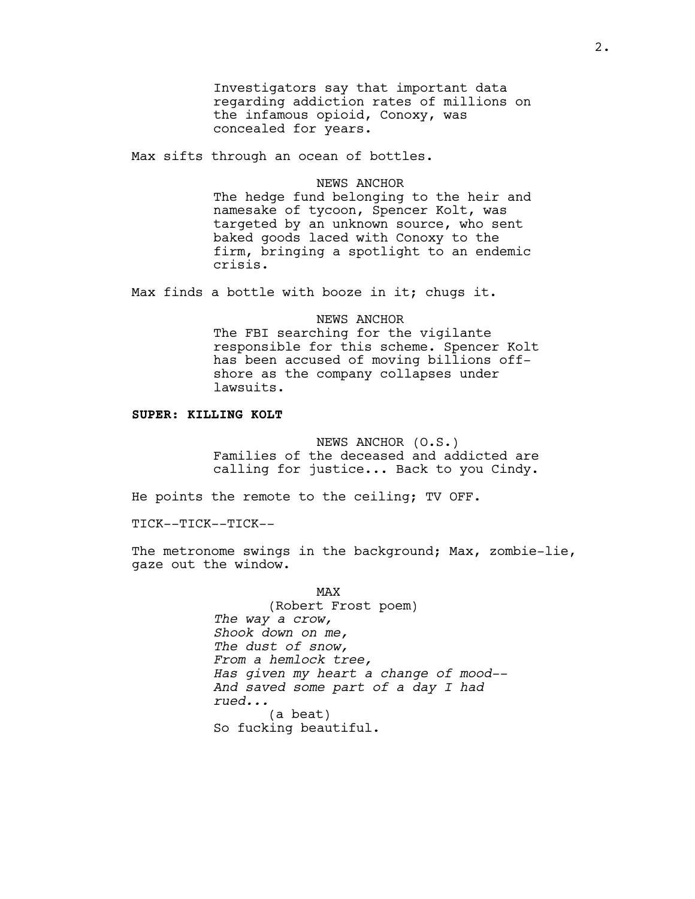Investigators say that important data regarding addiction rates of millions on the infamous opioid, Conoxy, was concealed for years.

Max sifts through an ocean of bottles.

#### NEWS ANCHOR

The hedge fund belonging to the heir and namesake of tycoon, Spencer Kolt, was targeted by an unknown source, who sent baked goods laced with Conoxy to the firm, bringing a spotlight to an endemic crisis.

Max finds a bottle with booze in it; chugs it.

### NEWS ANCHOR

The FBI searching for the vigilante responsible for this scheme. Spencer Kolt has been accused of moving billions offshore as the company collapses under lawsuits.

# **SUPER: KILLING KOLT**

NEWS ANCHOR (O.S.) Families of the deceased and addicted are calling for justice... Back to you Cindy.

He points the remote to the ceiling; TV OFF.

TICK--TICK--TICK--

The metronome swings in the background; Max, zombie-lie, gaze out the window.

> MAX (Robert Frost poem) *The way a crow, Shook down on me, The dust of snow, From a hemlock tree, Has given my heart a change of mood-- And saved some part of a day I had rued...* (a beat) So fucking beautiful.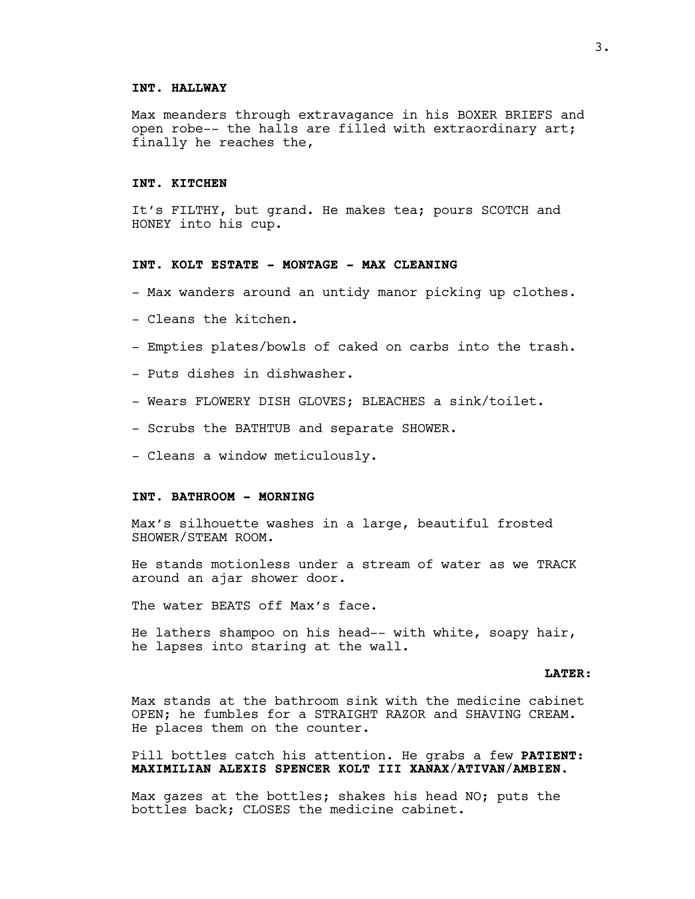### **INT. HALLWAY**

Max meanders through extravagance in his BOXER BRIEFS and open robe-- the halls are filled with extraordinary art; finally he reaches the,

### **INT. KITCHEN**

It's FILTHY, but grand. He makes tea; pours SCOTCH and HONEY into his cup.

#### **INT. KOLT ESTATE - MONTAGE - MAX CLEANING**

- Max wanders around an untidy manor picking up clothes.
- Cleans the kitchen.
- Empties plates/bowls of caked on carbs into the trash.
- Puts dishes in dishwasher.
- Wears FLOWERY DISH GLOVES; BLEACHES a sink/toilet.
- Scrubs the BATHTUB and separate SHOWER.
- Cleans a window meticulously.

### **INT. BATHROOM - MORNING**

Max's silhouette washes in a large, beautiful frosted SHOWER/STEAM ROOM.

He stands motionless under a stream of water as we TRACK around an ajar shower door.

The water BEATS off Max's face.

He lathers shampoo on his head-- with white, soapy hair, he lapses into staring at the wall.

### **LATER:**

Max stands at the bathroom sink with the medicine cabinet OPEN; he fumbles for a STRAIGHT RAZOR and SHAVING CREAM. He places them on the counter.

Pill bottles catch his attention. He grabs a few **PATIENT: MAXIMILIAN ALEXIS SPENCER KOLT III XANAX**/**ATIVAN**/**AMBIEN.**

Max gazes at the bottles; shakes his head NO; puts the bottles back; CLOSES the medicine cabinet.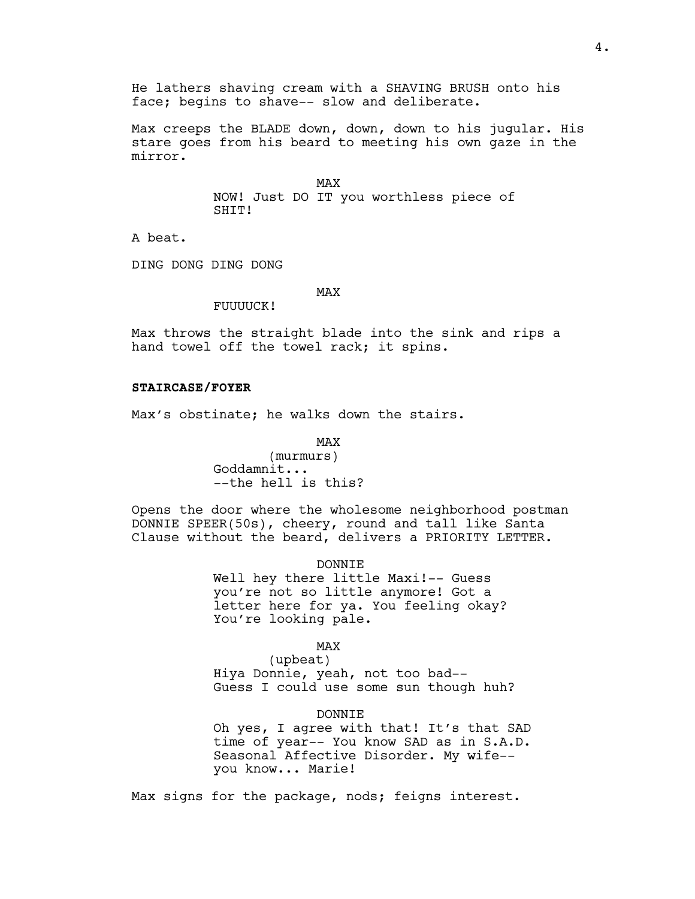He lathers shaving cream with a SHAVING BRUSH onto his face; begins to shave-- slow and deliberate.

Max creeps the BLADE down, down, down to his jugular. His stare goes from his beard to meeting his own gaze in the mirror.

> MAX NOW! Just DO IT you worthless piece of SHTT!

A beat.

DING DONG DING DONG

MAX

FUUUUCK!

Max throws the straight blade into the sink and rips a hand towel off the towel rack; it spins.

# **STAIRCASE/FOYER**

Max's obstinate; he walks down the stairs.

MAX

(murmurs) Goddamnit... --the hell is this?

Opens the door where the wholesome neighborhood postman DONNIE SPEER(50s), cheery, round and tall like Santa Clause without the beard, delivers a PRIORITY LETTER.

### DONNIE

Well hey there little Maxi!-- Guess you're not so little anymore! Got a letter here for ya. You feeling okay? You're looking pale.

### MAX

(upbeat) Hiya Donnie, yeah, not too bad-- Guess I could use some sun though huh?

#### DONNIE

Oh yes, I agree with that! It's that SAD time of year-- You know SAD as in S.A.D. Seasonal Affective Disorder. My wife- you know... Marie!

Max signs for the package, nods; feigns interest.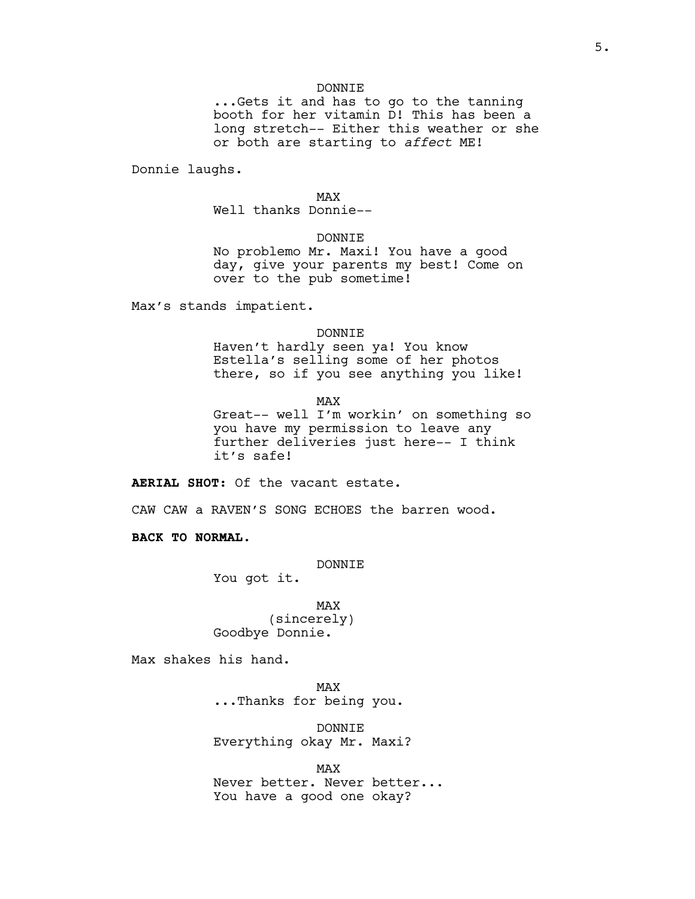## DONNIE

...Gets it and has to go to the tanning booth for her vitamin D! This has been a long stretch-- Either this weather or she or both are starting to *affect* ME!

Donnie laughs.

### MAX

Well thanks Donnie--

### DONNIE

No problemo Mr. Maxi! You have a good day, give your parents my best! Come on over to the pub sometime!

Max's stands impatient.

#### DONNIE

Haven't hardly seen ya! You know Estella's selling some of her photos there, so if you see anything you like!

MAX

Great-- well I'm workin' on something so you have my permission to leave any further deliveries just here-- I think it's safe!

**AERIAL SHOT**: Of the vacant estate.

CAW CAW a RAVEN'S SONG ECHOES the barren wood.

**BACK TO NORMAL.**

### DONNIE

You got it.

MAX (sincerely) Goodbye Donnie.

Max shakes his hand.

MAX ...Thanks for being you.

DONNIE Everything okay Mr. Maxi?

MAX Never better. Never better... You have a good one okay?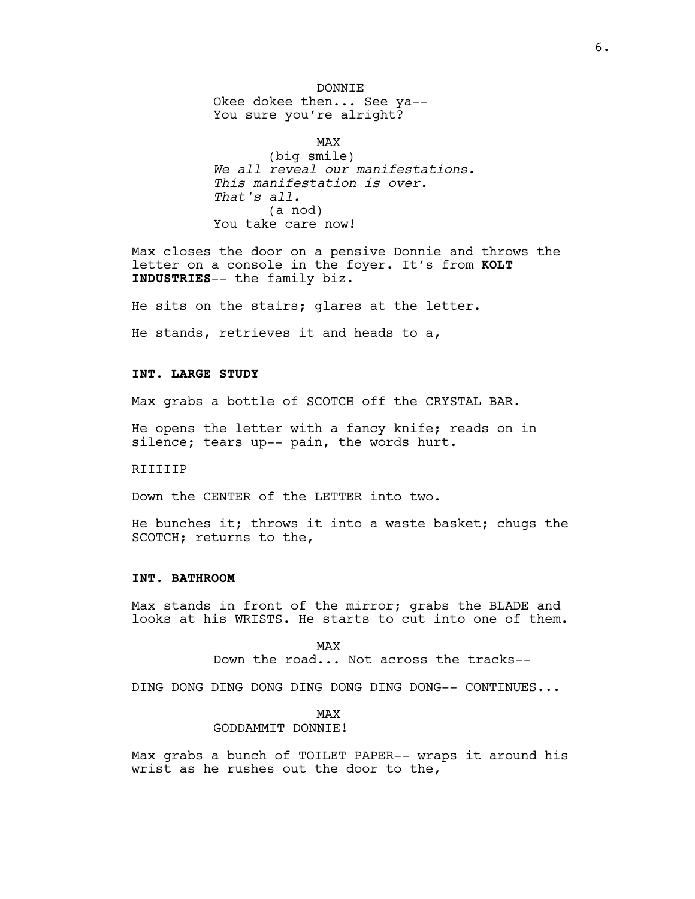**DONNTE** Okee dokee then... See ya-- You sure you're alright?

MAX

(big smile) *We all reveal our manifestations. This manifestation is over. That's all.* (a nod) You take care now!

Max closes the door on a pensive Donnie and throws the letter on a console in the foyer. It's from **KOLT INDUSTRIES**-- the family biz.

He sits on the stairs; glares at the letter.

He stands, retrieves it and heads to a,

## **INT. LARGE STUDY**

Max grabs a bottle of SCOTCH off the CRYSTAL BAR.

He opens the letter with a fancy knife; reads on in silence; tears up-- pain, the words hurt.

RIIIIIP

Down the CENTER of the LETTER into two.

He bunches it; throws it into a waste basket; chugs the SCOTCH; returns to the,

### **INT. BATHROOM**

Max stands in front of the mirror; grabs the BLADE and looks at his WRISTS. He starts to cut into one of them.

#### MAX

Down the road... Not across the tracks--

DING DONG DING DONG DING DONG DING DONG-- CONTINUES...

# MAX

## GODDAMMIT DONNIE!

Max grabs a bunch of TOILET PAPER-- wraps it around his wrist as he rushes out the door to the,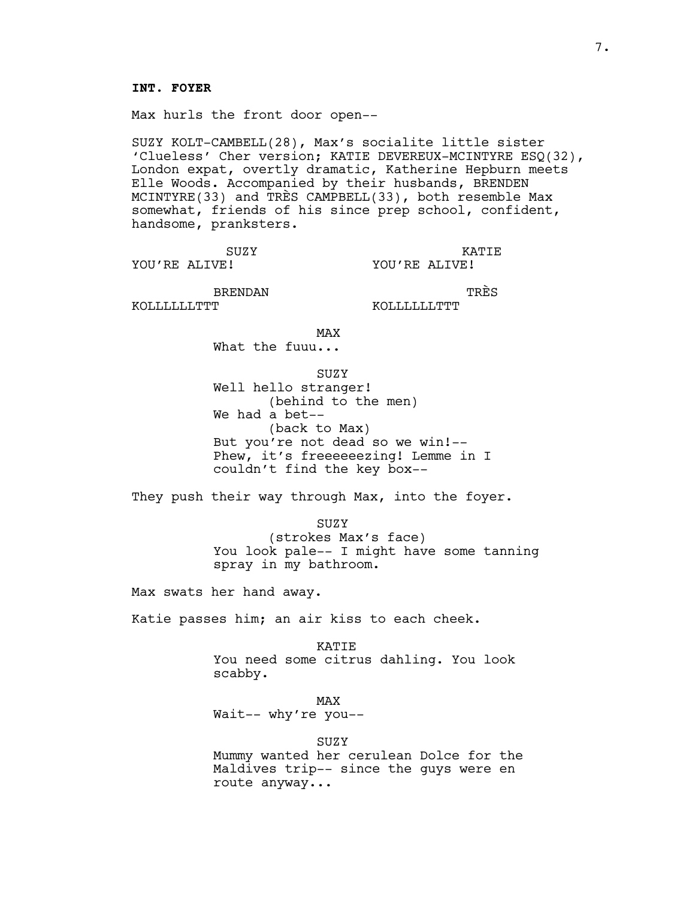Max hurls the front door open--

SUZY KOLT-CAMBELL(28), Max's socialite little sister 'Clueless' Cher version; KATIE DEVEREUX-MCINTYRE ESQ(32), London expat, overtly dramatic, Katherine Hepburn meets Elle Woods. Accompanied by their husbands, BRENDEN MCINTYRE(33) and TRÈS CAMPBELL(33), both resemble Max somewhat, friends of his since prep school, confident, handsome, pranksters.

SUZY

KATIE YOU'RE ALIVE!

BRENDAN

KOLLLLLLTTT

YOU'RE ALIVE!

TRÈS KOLLLLLLTTT

MAX What the fuuu...

SUZY Well hello stranger! (behind to the men) We had a bet-- (back to Max) But you're not dead so we win!-- Phew, it's freeeeeezing! Lemme in I couldn't find the key box--

They push their way through Max, into the foyer.

SUZY

(strokes Max's face) You look pale-- I might have some tanning spray in my bathroom.

Max swats her hand away.

Katie passes him; an air kiss to each cheek.

KATIE

You need some citrus dahling. You look scabby.

# MAX

Wait-- why're you--

SUZY

Mummy wanted her cerulean Dolce for the Maldives trip-- since the guys were en route anyway...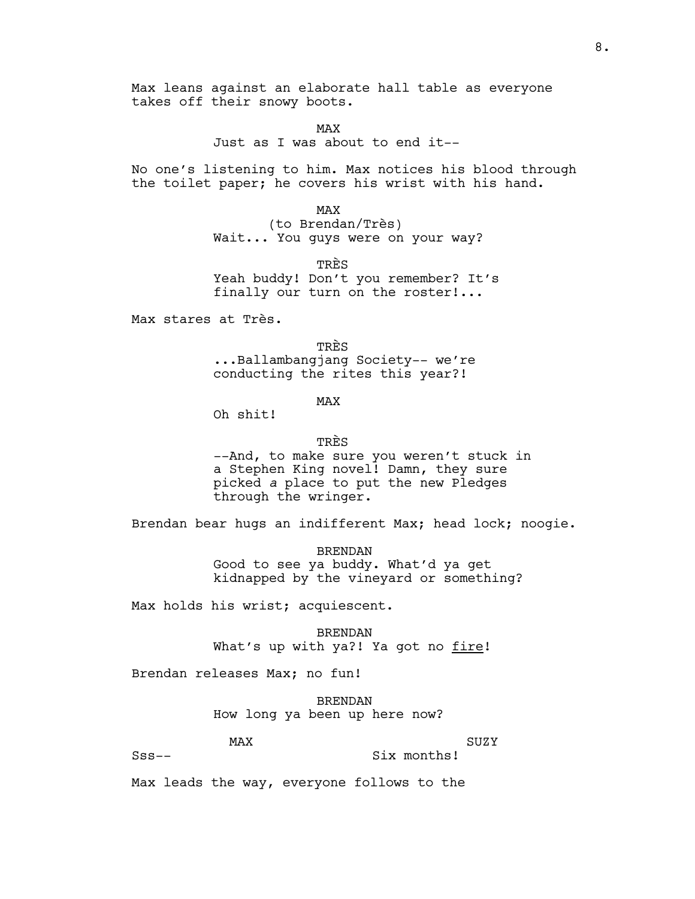Max leans against an elaborate hall table as everyone takes off their snowy boots.

> MAX Just as I was about to end it--

No one's listening to him. Max notices his blood through the toilet paper; he covers his wrist with his hand.

> MAX (to Brendan/Très) Wait... You guys were on your way?

TRÈS Yeah buddy! Don't you remember? It's

finally our turn on the roster!...

Max stares at Très.

TRÈS ...Ballambangjang Society-- we're conducting the rites this year?!

MAX

Oh shit!

### TRÈS

--And, to make sure you weren't stuck in a Stephen King novel! Damn, they sure picked *a* place to put the new Pledges through the wringer.

Brendan bear hugs an indifferent Max; head lock; noogie.

BRENDAN Good to see ya buddy. What'd ya get kidnapped by the vineyard or something?

Max holds his wrist; acquiescent.

BRENDAN What's up with ya?! Ya got no fire!

Brendan releases Max; no fun!

BRENDAN How long ya been up here now?

MAX

Six months!

SUZY

Sss--

Max leads the way, everyone follows to the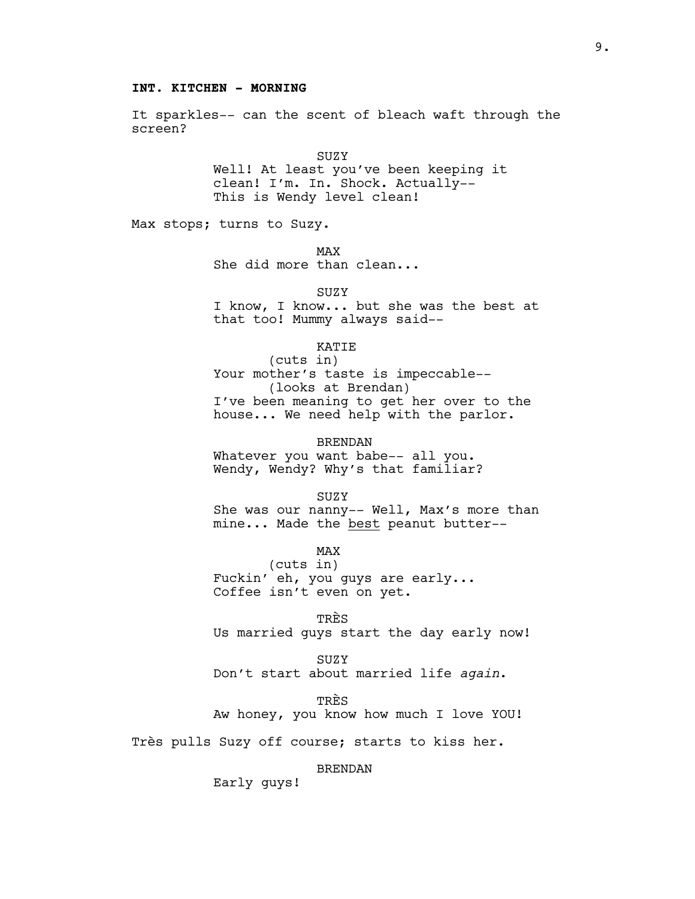### **INT. KITCHEN - MORNING**

It sparkles-- can the scent of bleach waft through the screen?

> SUZY Well! At least you've been keeping it clean! I'm. In. Shock. Actually-- This is Wendy level clean!

Max stops; turns to Suzy.

MAX

She did more than clean...

SUZY

I know, I know... but she was the best at that too! Mummy always said--

### KATIE

(cuts in) Your mother's taste is impeccable-- (looks at Brendan) I've been meaning to get her over to the house... We need help with the parlor.

BRENDAN Whatever you want babe-- all you. Wendy, Wendy? Why's that familiar?

SUZY She was our nanny-- Well, Max's more than mine... Made the best peanut butter--

MAX (cuts in) Fuckin' eh, you guys are early... Coffee isn't even on yet.

TRÈS Us married guys start the day early now!

SUZY Don't start about married life *again*.

TRÈS

Aw honey, you know how much I love YOU!

Très pulls Suzy off course; starts to kiss her.

BRENDAN

Early guys!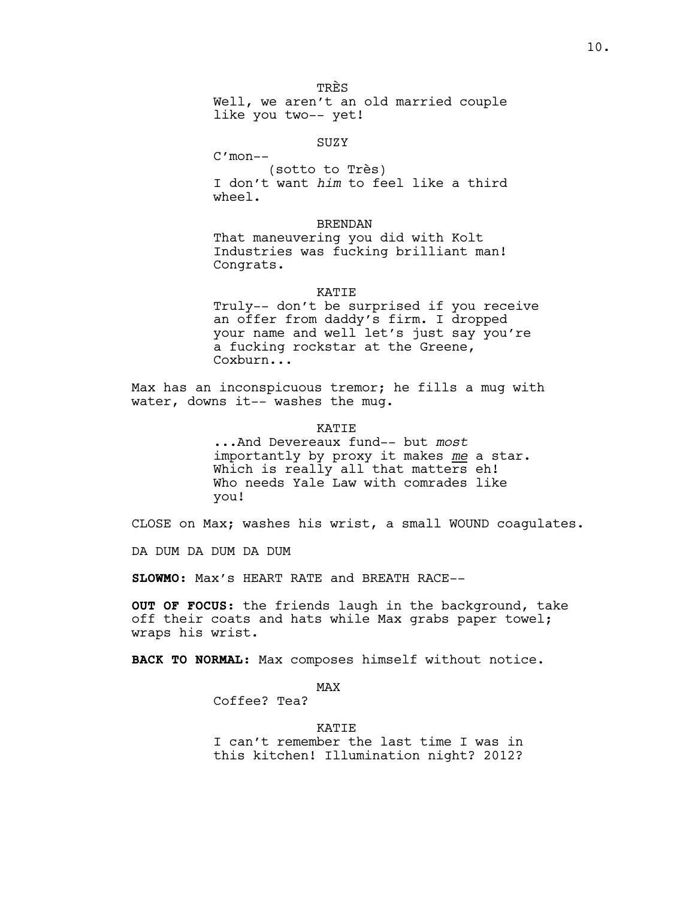TRÈS

Well, we aren't an old married couple like you two-- yet!

SUZY

C'mon--

(sotto to Très) I don't want *him* to feel like a third wheel.

## BRENDAN

That maneuvering you did with Kolt Industries was fucking brilliant man! Congrats.

### KATIE

Truly-- don't be surprised if you receive an offer from daddy's firm. I dropped your name and well let's just say you're a fucking rockstar at the Greene, Coxburn...

Max has an inconspicuous tremor; he fills a mug with water, downs it-- washes the mug.

#### **KATTE**

...And Devereaux fund-- but *most* importantly by proxy it makes *me* a star. Which is really all that matters eh! Who needs Yale Law with comrades like you!

CLOSE on Max; washes his wrist, a small WOUND coagulates.

DA DUM DA DUM DA DUM

**SLOWMO:** Max's HEART RATE and BREATH RACE--

**OUT OF FOCUS:** the friends laugh in the background, take off their coats and hats while Max grabs paper towel; wraps his wrist.

**BACK TO NORMAL:** Max composes himself without notice.

MAX

Coffee? Tea?

KATIE

I can't remember the last time I was in this kitchen! Illumination night? 2012?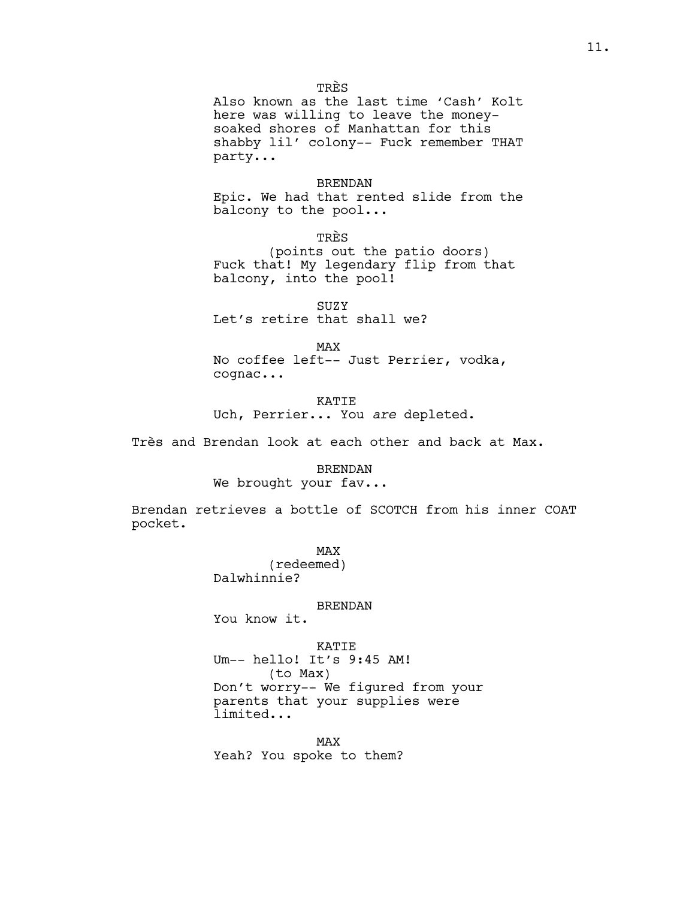Also known as the last time 'Cash' Kolt here was willing to leave the moneysoaked shores of Manhattan for this shabby lil' colony-- Fuck remember THAT party...

#### BRENDAN

Epic. We had that rented slide from the balcony to the pool...

TRÈS

(points out the patio doors) Fuck that! My legendary flip from that balcony, into the pool!

SUZY Let's retire that shall we?

MAX No coffee left-- Just Perrier, vodka, cognac...

KATIE Uch, Perrier... You *are* depleted.

Très and Brendan look at each other and back at Max.

### BRENDAN

We brought your fav...

Brendan retrieves a bottle of SCOTCH from his inner COAT pocket.

MAX

(redeemed) Dalwhinnie?

### BRENDAN

You know it.

# KATIE

Um-- hello! It's 9:45 AM! (to Max) Don't worry-- We figured from your parents that your supplies were limited...

MAX Yeah? You spoke to them?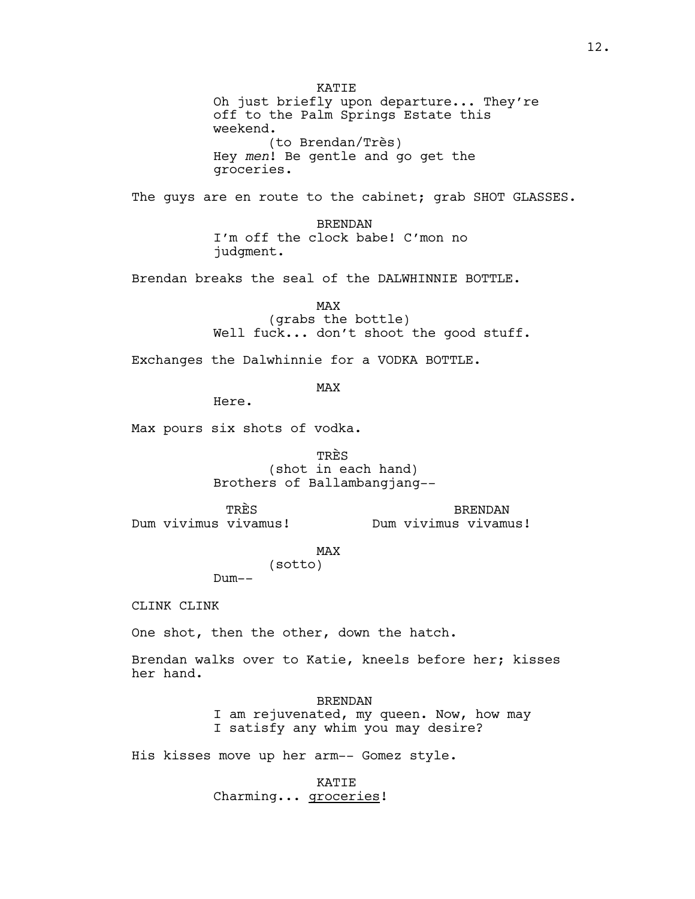The guys are en route to the cabinet; grab SHOT GLASSES.

BRENDAN I'm off the clock babe! C'mon no judgment.

Brendan breaks the seal of the DALWHINNIE BOTTLE.

MAX (grabs the bottle) Well fuck... don't shoot the good stuff.

Exchanges the Dalwhinnie for a VODKA BOTTLE.

MAX

Here.

Max pours six shots of vodka.

TRÈS (shot in each hand) Brothers of Ballambangjang--

TRÈS Dum vivimus vivamus! BRENDAN Dum vivimus vivamus!

MAX

(sotto) Dum--

CLINK CLINK

One shot, then the other, down the hatch.

Brendan walks over to Katie, kneels before her; kisses her hand.

> BRENDAN I am rejuvenated, my queen. Now, how may I satisfy any whim you may desire?

His kisses move up her arm-- Gomez style.

KATIE Charming... groceries!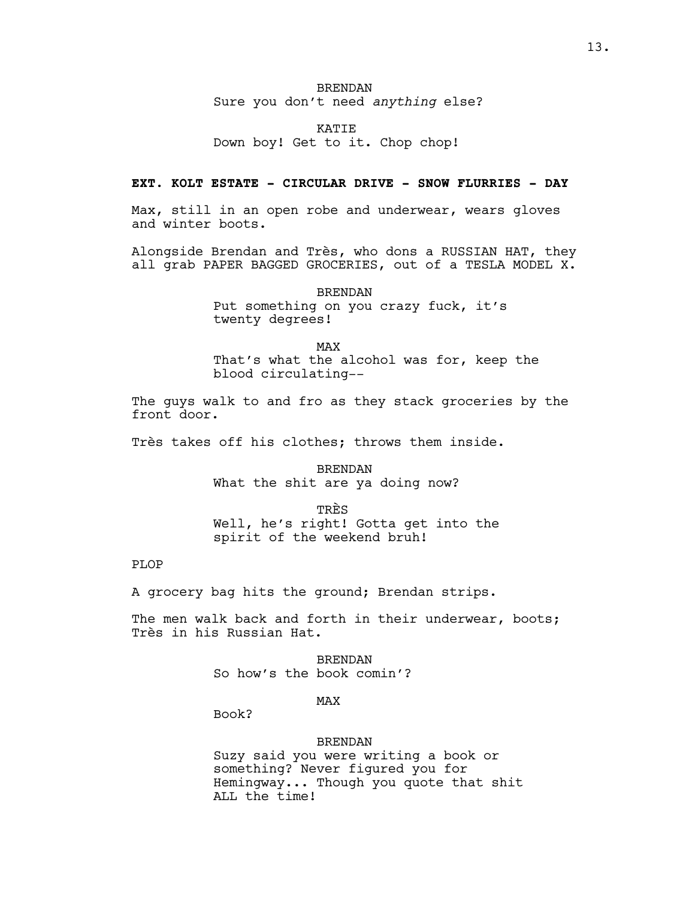## BRENDAN Sure you don't need *anything* else?

KATIE Down boy! Get to it. Chop chop!

#### **EXT. KOLT ESTATE - CIRCULAR DRIVE - SNOW FLURRIES - DAY**

Max, still in an open robe and underwear, wears gloves and winter boots.

Alongside Brendan and Très, who dons a RUSSIAN HAT, they all grab PAPER BAGGED GROCERIES, out of a TESLA MODEL X.

> BRENDAN Put something on you crazy fuck, it's twenty degrees!

> > MAX

That's what the alcohol was for, keep the blood circulating--

The guys walk to and fro as they stack groceries by the front door.

Très takes off his clothes; throws them inside.

BRENDAN What the shit are ya doing now?

TRÈS Well, he's right! Gotta get into the spirit of the weekend bruh!

### PLOP

A grocery bag hits the ground; Brendan strips.

The men walk back and forth in their underwear, boots; Très in his Russian Hat.

> BRENDAN So how's the book comin'?

### MAX

Book?

### BRENDAN

Suzy said you were writing a book or something? Never figured you for Hemingway... Though you quote that shit ALL the time!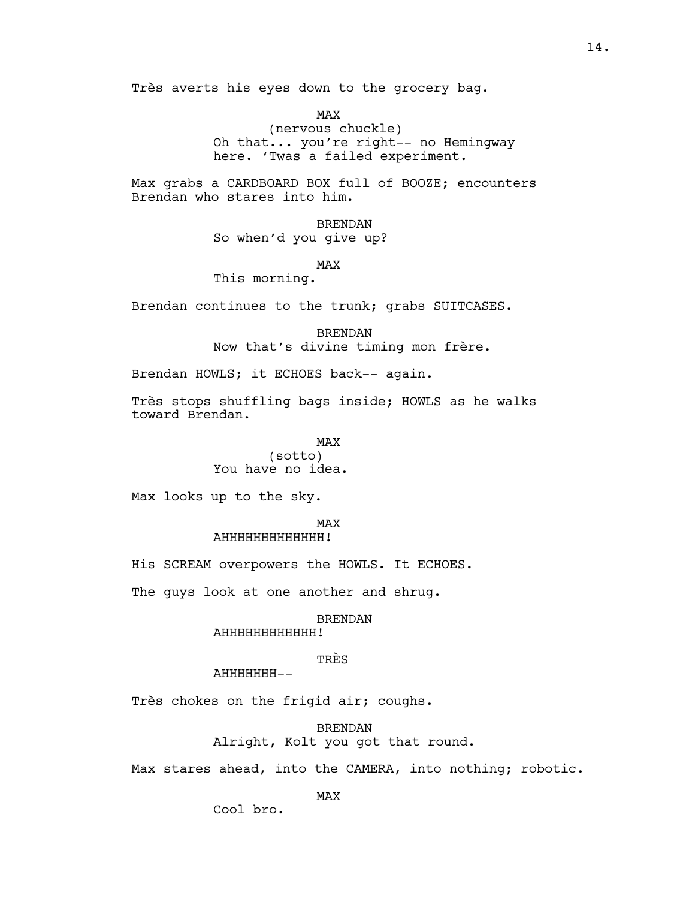Très averts his eyes down to the grocery bag.

MAX

(nervous chuckle) Oh that... you're right-- no Hemingway here. 'Twas a failed experiment.

Max grabs a CARDBOARD BOX full of BOOZE; encounters Brendan who stares into him.

> BRENDAN So when'd you give up?

# MAX

This morning.

Brendan continues to the trunk; grabs SUITCASES.

BRENDAN Now that's divine timing mon frère.

Brendan HOWLS; it ECHOES back-- again.

Très stops shuffling bags inside; HOWLS as he walks toward Brendan.

MAX

(sotto) You have no idea.

Max looks up to the sky.

# MAX AHHHHHHHHHHHHH!

His SCREAM overpowers the HOWLS. It ECHOES.

The guys look at one another and shrug.

# BRENDAN

AHHHHHHHHHHHH!

## TRÈS

# AHHHHHHH--

Très chokes on the frigid air; coughs.

BRENDAN Alright, Kolt you got that round.

Max stares ahead, into the CAMERA, into nothing; robotic.

MAX

Cool bro.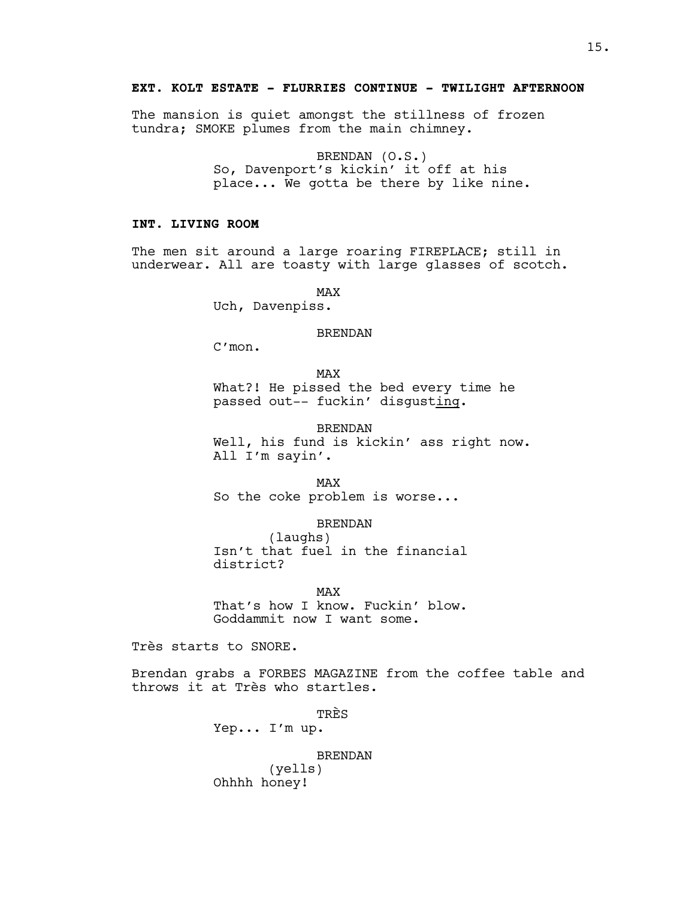The mansion is quiet amongst the stillness of frozen tundra; SMOKE plumes from the main chimney.

> BRENDAN (O.S.) So, Davenport's kickin' it off at his place... We gotta be there by like nine.

## **INT. LIVING ROOM**

The men sit around a large roaring FIREPLACE; still in underwear. All are toasty with large glasses of scotch.

MAX

Uch, Davenpiss.

#### BRENDAN

C'mon.

MAX

What?! He pissed the bed every time he passed out-- fuckin' disgusting.

BRENDAN Well, his fund is kickin' ass right now. All I'm sayin'.

MAX

So the coke problem is worse...

BRENDAN

(laughs) Isn't that fuel in the financial district?

MAX That's how I know. Fuckin' blow. Goddammit now I want some.

Très starts to SNORE.

Brendan grabs a FORBES MAGAZINE from the coffee table and throws it at Très who startles.

> TRÈS Yep... I'm up.

BRENDAN (yells) Ohhhh honey!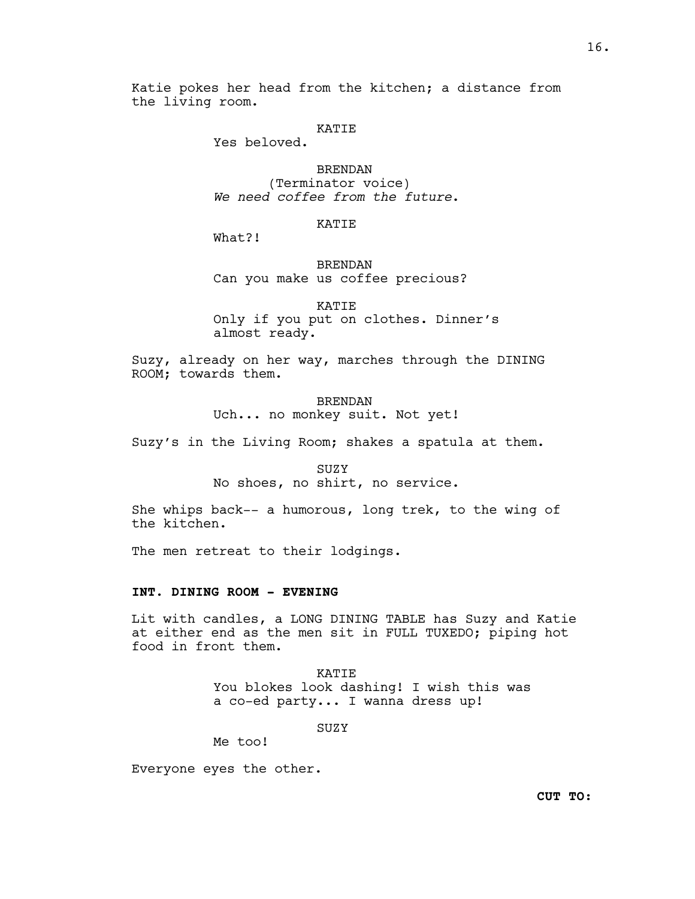Katie pokes her head from the kitchen; a distance from the living room.

#### KATIE

Yes beloved.

BRENDAN (Terminator voice) *We need coffee from the future*.

# KATIE

What?!

BRENDAN Can you make us coffee precious?

KATIE Only if you put on clothes. Dinner's almost ready.

Suzy, already on her way, marches through the DINING ROOM; towards them.

> BRENDAN Uch... no monkey suit. Not yet!

Suzy's in the Living Room; shakes a spatula at them.

SUZY No shoes, no shirt, no service.

She whips back-- a humorous, long trek, to the wing of the kitchen.

The men retreat to their lodgings.

#### **INT. DINING ROOM - EVENING**

Lit with candles, a LONG DINING TABLE has Suzy and Katie at either end as the men sit in FULL TUXEDO; piping hot food in front them.

> KATIE You blokes look dashing! I wish this was a co-ed party... I wanna dress up!

> > SUZY

Me too!

Everyone eyes the other.

**CUT TO:**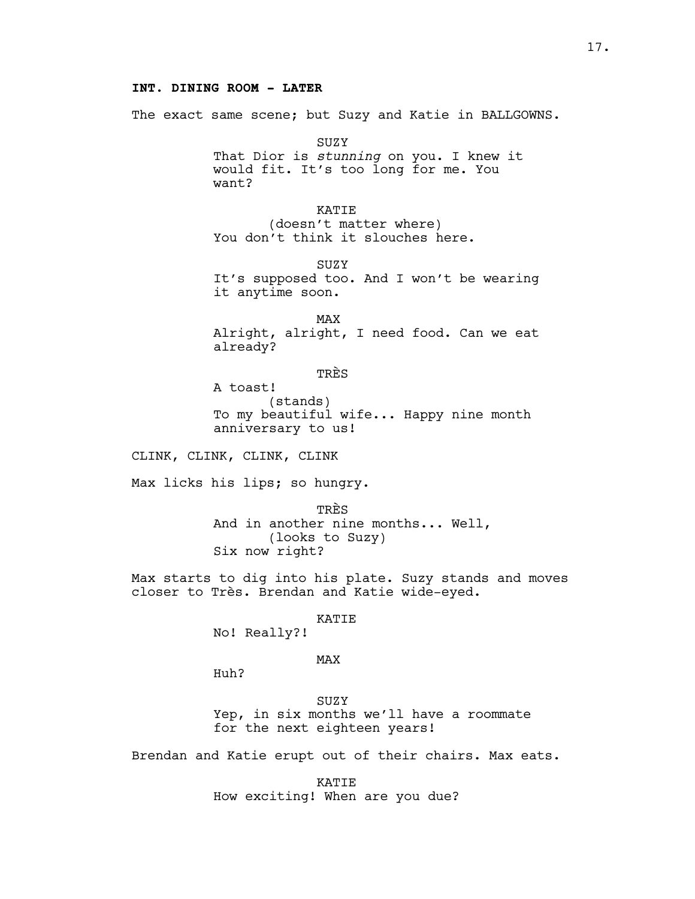## **INT. DINING ROOM - LATER**

The exact same scene; but Suzy and Katie in BALLGOWNS.

SUZY That Dior is *stunning* on you. I knew it would fit. It's too long for me. You want?

KATIE (doesn't matter where) You don't think it slouches here.

SUZY It's supposed too. And I won't be wearing it anytime soon.

MAX Alright, alright, I need food. Can we eat already?

TRÈS

A toast! (stands) To my beautiful wife... Happy nine month anniversary to us!

CLINK, CLINK, CLINK, CLINK

Max licks his lips; so hungry.

TRÈS And in another nine months... Well, (looks to Suzy) Six now right?

Max starts to dig into his plate. Suzy stands and moves closer to Très. Brendan and Katie wide-eyed.

KATIE

No! Really?!

## MAX

Huh?

SUZY Yep, in six months we'll have a roommate for the next eighteen years!

Brendan and Katie erupt out of their chairs. Max eats.

KATIE How exciting! When are you due?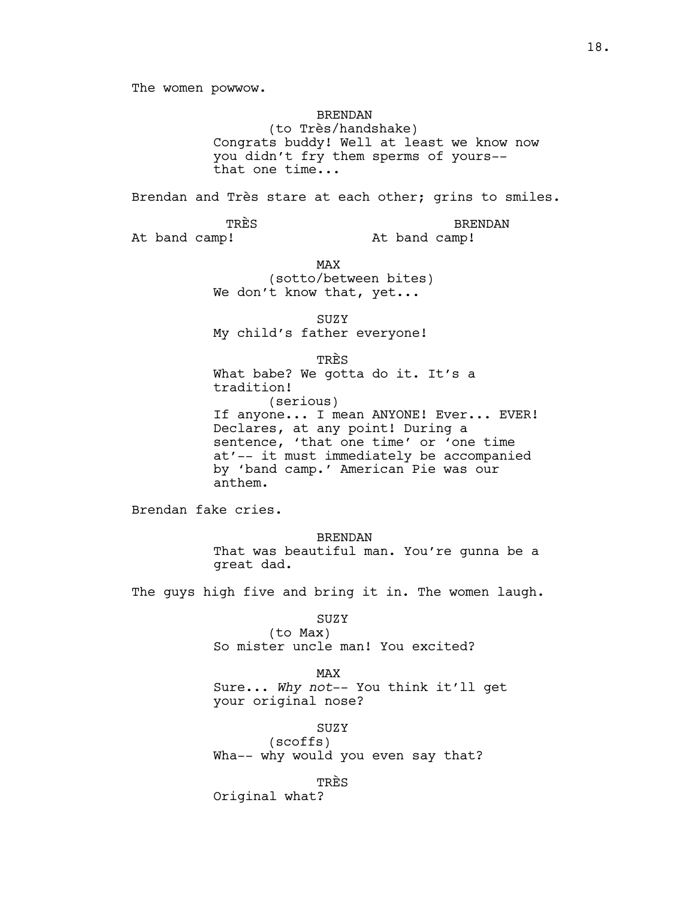At band camp!

# BRENDAN

(to Très/handshake) Congrats buddy! Well at least we know now you didn't fry them sperms of yours- that one time...

Brendan and Très stare at each other; grins to smiles.

TRÈS

BRENDAN At band camp!

MAX (sotto/between bites) We don't know that, yet...

SUZY My child's father everyone!

TRÈS What babe? We gotta do it. It's a tradition! (serious) If anyone... I mean ANYONE! Ever... EVER! Declares, at any point! During a sentence, 'that one time' or 'one time at'-- it must immediately be accompanied by 'band camp.' American Pie was our anthem.

Brendan fake cries.

BRENDAN That was beautiful man. You're gunna be a great dad.

The guys high five and bring it in. The women laugh.

### SUZY

(to Max) So mister uncle man! You excited?

#### MAX

Sure... *Why not*-- You think it'll get your original nose?

SUZY

(scoffs) Wha-- why would you even say that?

TRÈS

Original what?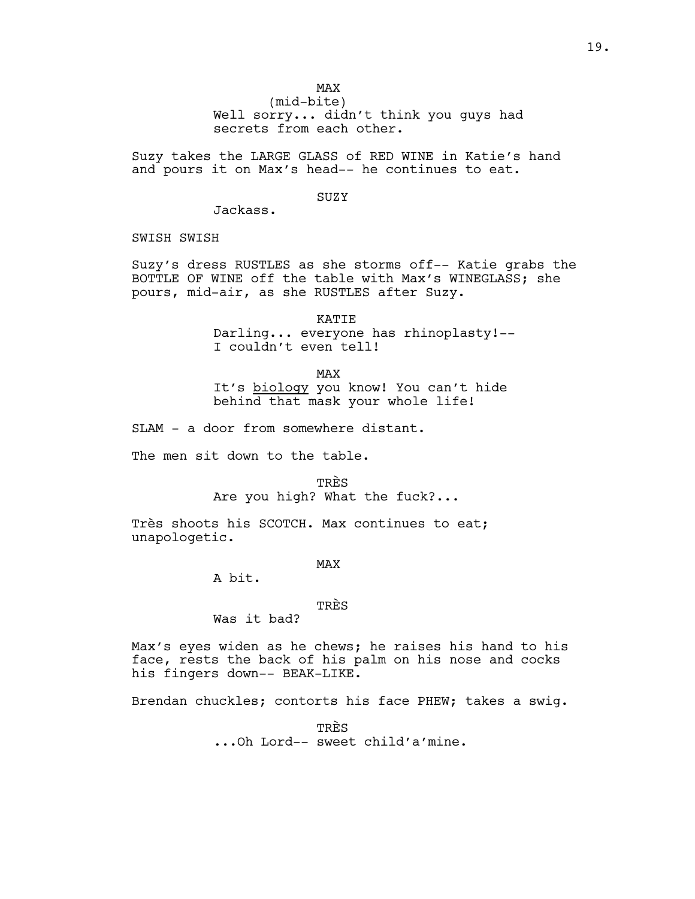(mid-bite) Well sorry... didn't think you guys had secrets from each other.

Suzy takes the LARGE GLASS of RED WINE in Katie's hand and pours it on Max's head-- he continues to eat.

#### SUZY

Jackass.

SWISH SWISH

Suzy's dress RUSTLES as she storms off-- Katie grabs the BOTTLE OF WINE off the table with Max's WINEGLASS; she pours, mid-air, as she RUSTLES after Suzy.

> KATIE Darling... everyone has rhinoplasty!-- I couldn't even tell!

> MAX It's biology you know! You can't hide behind that mask your whole life!

SLAM - a door from somewhere distant.

The men sit down to the table.

TRÈS Are you high? What the fuck?...

Très shoots his SCOTCH. Max continues to eat; unapologetic.

## MAX

A bit.

# TRÈS

Was it bad?

Max's eyes widen as he chews; he raises his hand to his face, rests the back of his palm on his nose and cocks his fingers down-- BEAK-LIKE.

Brendan chuckles; contorts his face PHEW; takes a swig.

TRÈS ...Oh Lord-- sweet child'a'mine.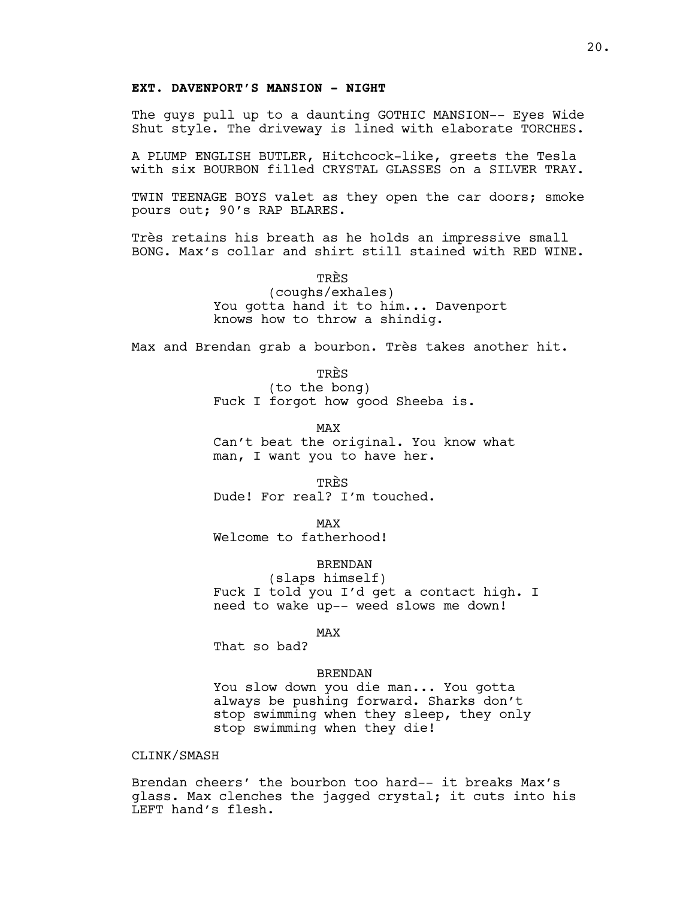## **EXT. DAVENPORT'S MANSION - NIGHT**

The guys pull up to a daunting GOTHIC MANSION-- Eyes Wide Shut style. The driveway is lined with elaborate TORCHES.

A PLUMP ENGLISH BUTLER, Hitchcock-like, greets the Tesla with six BOURBON filled CRYSTAL GLASSES on a SILVER TRAY.

TWIN TEENAGE BOYS valet as they open the car doors; smoke pours out; 90's RAP BLARES.

Très retains his breath as he holds an impressive small BONG. Max's collar and shirt still stained with RED WINE.

> TRÈS (coughs/exhales) You gotta hand it to him... Davenport knows how to throw a shindig.

Max and Brendan grab a bourbon. Très takes another hit.

TRÈS

(to the bong) Fuck I forgot how good Sheeba is.

MAX

Can't beat the original. You know what man, I want you to have her.

TRÈS Dude! For real? I'm touched.

MAX Welcome to fatherhood!

### BRENDAN

(slaps himself) Fuck I told you I'd get a contact high. I need to wake up-- weed slows me down!

MAX

That so bad?

### BRENDAN

You slow down you die man... You gotta always be pushing forward. Sharks don't stop swimming when they sleep, they only stop swimming when they die!

### CLINK/SMASH

Brendan cheers' the bourbon too hard-- it breaks Max's glass. Max clenches the jagged crystal; it cuts into his LEFT hand's flesh.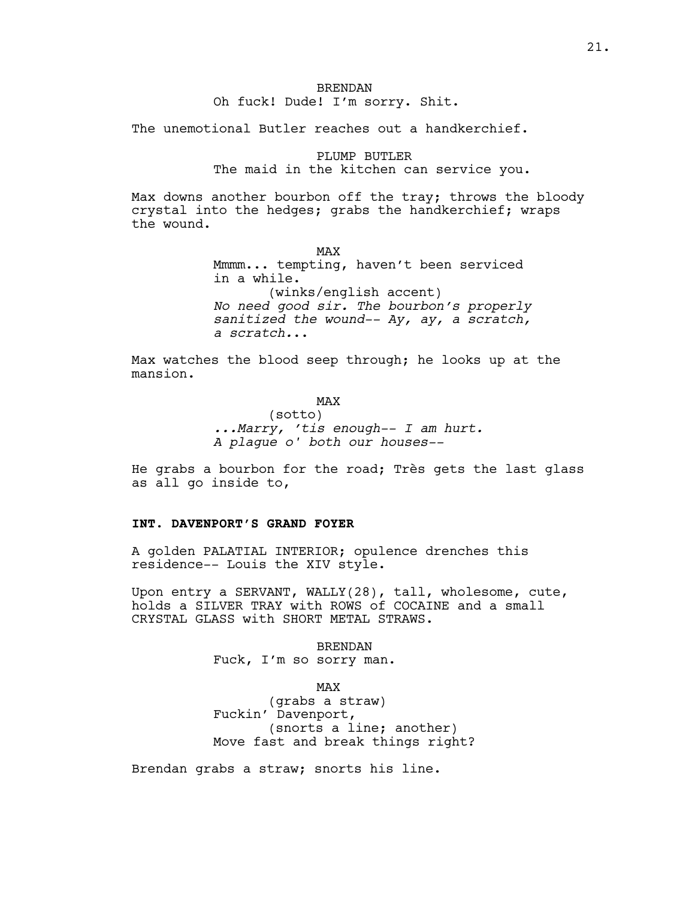The unemotional Butler reaches out a handkerchief.

PLUMP BUTLER

The maid in the kitchen can service you.

Max downs another bourbon off the tray; throws the bloody crystal into the hedges; grabs the handkerchief; wraps the wound.

> MAX Mmmm... tempting, haven't been serviced in a while. (winks/english accent) *No need good sir. The bourbon's properly sanitized the wound-- Ay, ay, a scratch, a scratch.*..

Max watches the blood seep through; he looks up at the mansion.

MAX

(sotto) *...Marry, 'tis enough-- I am hurt. A plague o' both our houses--*

He grabs a bourbon for the road; Très gets the last glass as all go inside to,

# **INT. DAVENPORT'S GRAND FOYER**

A golden PALATIAL INTERIOR; opulence drenches this residence-- Louis the XIV style.

Upon entry a SERVANT, WALLY(28), tall, wholesome, cute, holds a SILVER TRAY with ROWS of COCAINE and a small CRYSTAL GLASS with SHORT METAL STRAWS.

> BRENDAN Fuck, I'm so sorry man.

> > MAX

(grabs a straw) Fuckin' Davenport, (snorts a line; another) Move fast and break things right?

Brendan grabs a straw; snorts his line.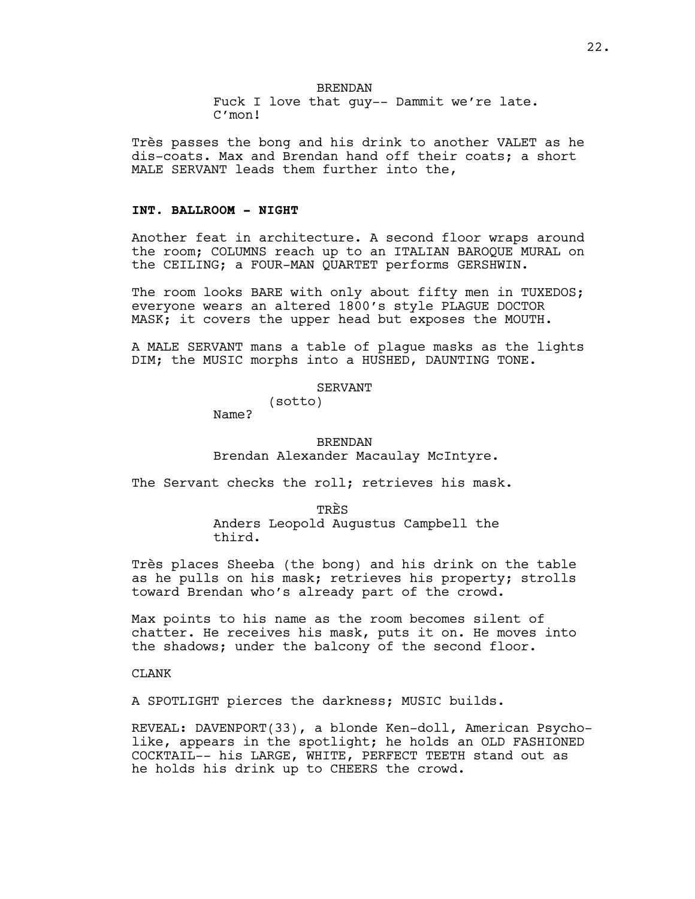BRENDAN Fuck I love that guy-- Dammit we're late. C'mon!

Très passes the bong and his drink to another VALET as he dis-coats. Max and Brendan hand off their coats; a short MALE SERVANT leads them further into the,

### **INT. BALLROOM - NIGHT**

Another feat in architecture. A second floor wraps around the room; COLUMNS reach up to an ITALIAN BAROQUE MURAL on the CEILING; a FOUR-MAN QUARTET performs GERSHWIN.

The room looks BARE with only about fifty men in TUXEDOS; everyone wears an altered 1800's style PLAGUE DOCTOR MASK; it covers the upper head but exposes the MOUTH.

A MALE SERVANT mans a table of plague masks as the lights DIM; the MUSIC morphs into a HUSHED, DAUNTING TONE.

### SERVANT

(sotto)

Name?

## BRENDAN

Brendan Alexander Macaulay McIntyre.

The Servant checks the roll; retrieves his mask.

TRÈS Anders Leopold Augustus Campbell the third.

Très places Sheeba (the bong) and his drink on the table as he pulls on his mask; retrieves his property; strolls toward Brendan who's already part of the crowd.

Max points to his name as the room becomes silent of chatter. He receives his mask, puts it on. He moves into the shadows; under the balcony of the second floor.

### CLANK

A SPOTLIGHT pierces the darkness; MUSIC builds.

REVEAL: DAVENPORT(33), a blonde Ken-doll, American Psycholike, appears in the spotlight; he holds an OLD FASHIONED COCKTAIL-- his LARGE, WHITE, PERFECT TEETH stand out as he holds his drink up to CHEERS the crowd.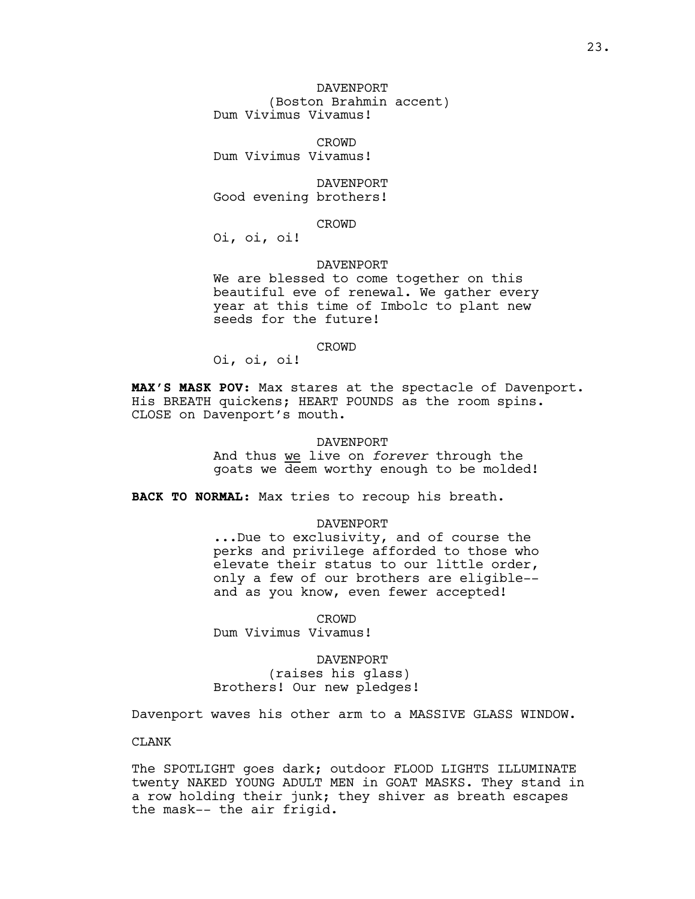DAVENPORT (Boston Brahmin accent) Dum Vivimus Vivamus!

CROWD Dum Vivimus Vivamus!

DAVENPORT Good evening brothers!

CROWD

Oi, oi, oi!

### DAVENPORT

We are blessed to come together on this beautiful eve of renewal. We gather every year at this time of Imbolc to plant new seeds for the future!

### CROWD

Oi, oi, oi!

**MAX'S MASK POV:** Max stares at the spectacle of Davenport. His BREATH quickens; HEART POUNDS as the room spins. CLOSE on Davenport's mouth.

### DAVENPORT

And thus we live on *forever* through the goats we deem worthy enough to be molded!

**BACK TO NORMAL:** Max tries to recoup his breath.

#### DAVENPORT

...Due to exclusivity, and of course the perks and privilege afforded to those who elevate their status to our little order, only a few of our brothers are eligible- and as you know, even fewer accepted!

CROWD

Dum Vivimus Vivamus!

DAVENPORT (raises his glass) Brothers! Our new pledges!

Davenport waves his other arm to a MASSIVE GLASS WINDOW.

CLANK

The SPOTLIGHT goes dark; outdoor FLOOD LIGHTS ILLUMINATE twenty NAKED YOUNG ADULT MEN in GOAT MASKS. They stand in a row holding their junk; they shiver as breath escapes the mask-- the air frigid.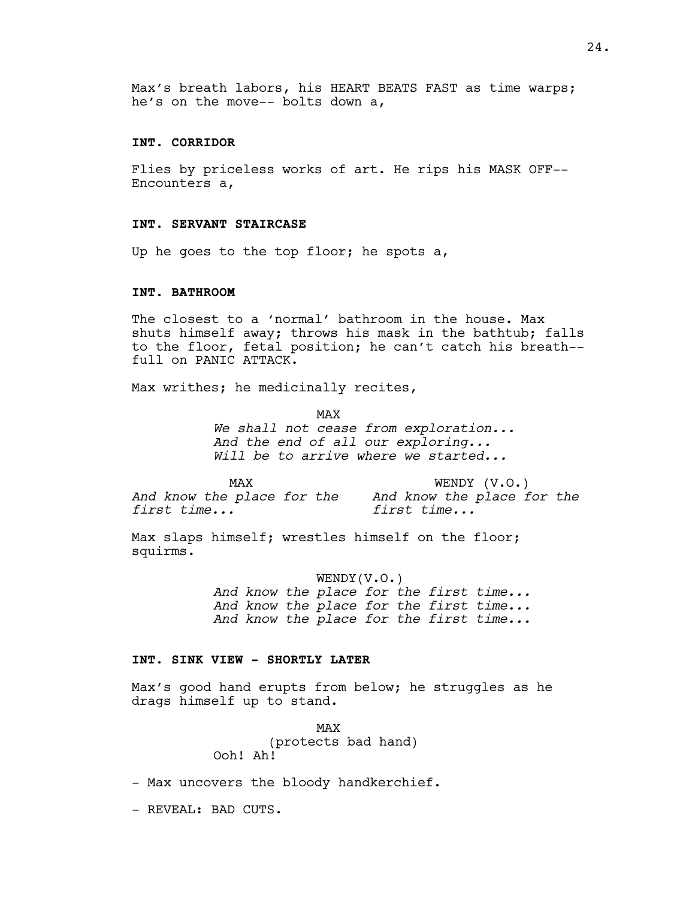Max's breath labors, his HEART BEATS FAST as time warps; he's on the move-- bolts down a,

#### **INT. CORRIDOR**

Flies by priceless works of art. He rips his MASK OFF-- Encounters a,

### **INT. SERVANT STAIRCASE**

Up he goes to the top floor; he spots a,

### **INT. BATHROOM**

The closest to a 'normal' bathroom in the house. Max shuts himself away; throws his mask in the bathtub; falls to the floor, fetal position; he can't catch his breath- full on PANIC ATTACK.

Max writhes; he medicinally recites,

MAX

*We shall not cease from exploration... And the end of all our exploring... Will be to arrive where we started...*

MAX *And know the place for the first time...*

WENDY (V.O.) *And know the place for the first time...*

Max slaps himself; wrestles himself on the floor; squirms.

> WENDY(V.O.) *And know the place for the first time... And know the place for the first time... And know the place for the first time...*

### **INT. SINK VIEW - SHORTLY LATER**

Max's good hand erupts from below; he struggles as he drags himself up to stand.

> MAX (protects bad hand) Ooh! Ah!

- Max uncovers the bloody handkerchief.

- REVEAL: BAD CUTS.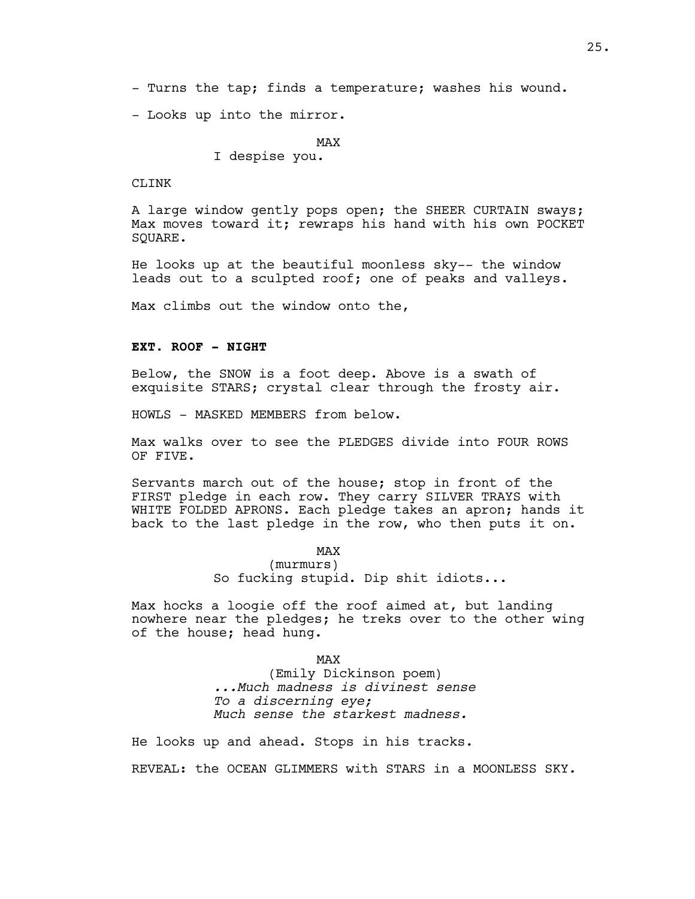- Turns the tap; finds a temperature; washes his wound.

- Looks up into the mirror.

MAX

I despise you.

CLINK

A large window gently pops open; the SHEER CURTAIN sways; Max moves toward it; rewraps his hand with his own POCKET SQUARE.

He looks up at the beautiful moonless sky-- the window leads out to a sculpted roof; one of peaks and valleys.

Max climbs out the window onto the,

### **EXT. ROOF - NIGHT**

Below, the SNOW is a foot deep. Above is a swath of exquisite STARS; crystal clear through the frosty air.

HOWLS - MASKED MEMBERS from below.

Max walks over to see the PLEDGES divide into FOUR ROWS OF FIVE.

Servants march out of the house; stop in front of the FIRST pledge in each row. They carry SILVER TRAYS with WHITE FOLDED APRONS. Each pledge takes an apron; hands it back to the last pledge in the row, who then puts it on.

MAX

(murmurs) So fucking stupid. Dip shit idiots...

Max hocks a loogie off the roof aimed at, but landing nowhere near the pledges; he treks over to the other wing of the house; head hung.

> MAX (Emily Dickinson poem) *...Much madness is divinest sense To a discerning eye; Much sense the starkest madness.*

He looks up and ahead. Stops in his tracks.

REVEAL: the OCEAN GLIMMERS with STARS in a MOONLESS SKY.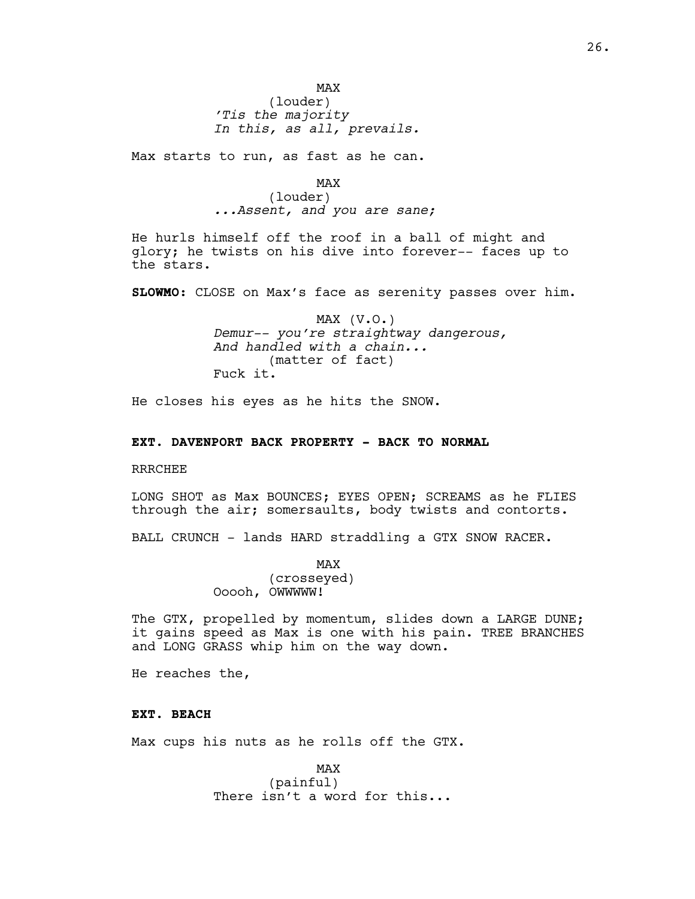MAX (louder) *'Tis the majority In this, as all, prevails.*

Max starts to run, as fast as he can.

#### MAX

(louder) *...Assent, and you are sane;*

He hurls himself off the roof in a ball of might and glory; he twists on his dive into forever-- faces up to the stars.

**SLOWMO:** CLOSE on Max's face as serenity passes over him.

 $MAX (V.O.)$ *Demur-- you're straightway dangerous, And handled with a chain...* (matter of fact) Fuck it.

He closes his eyes as he hits the SNOW.

### **EXT. DAVENPORT BACK PROPERTY - BACK TO NORMAL**

RRRCHEE

LONG SHOT as Max BOUNCES; EYES OPEN; SCREAMS as he FLIES through the air; somersaults, body twists and contorts.

BALL CRUNCH - lands HARD straddling a GTX SNOW RACER.

# MAX

(crosseyed) Ooooh, OWWWWW!

The GTX, propelled by momentum, slides down a LARGE DUNE; it gains speed as Max is one with his pain. TREE BRANCHES and LONG GRASS whip him on the way down.

He reaches the,

## **EXT. BEACH**

Max cups his nuts as he rolls off the GTX.

MAX (painful) There isn't a word for this...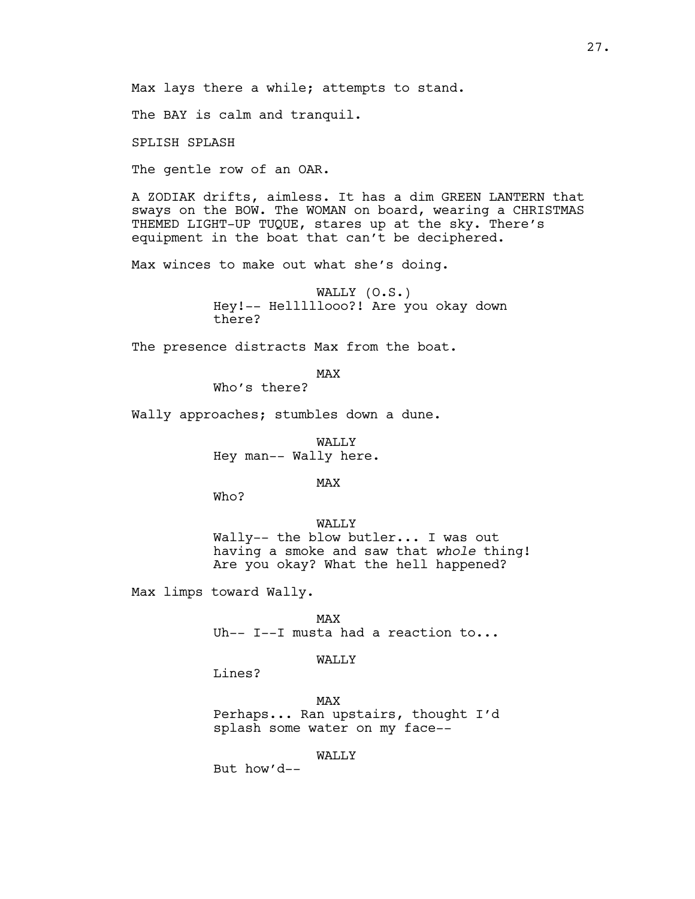Max lays there a while; attempts to stand.

The BAY is calm and tranquil.

SPLISH SPLASH

The gentle row of an OAR.

A ZODIAK drifts, aimless. It has a dim GREEN LANTERN that sways on the BOW. The WOMAN on board, wearing a CHRISTMAS THEMED LIGHT-UP TUQUE, stares up at the sky. There's equipment in the boat that can't be deciphered.

Max winces to make out what she's doing.

WALLY (O.S.) Hey!-- Helllllooo?! Are you okay down there?

The presence distracts Max from the boat.

MAX

Who's there?

Wally approaches; stumbles down a dune.

WALLY Hey man-- Wally here.

MAX

Who?

## WALLY

Wally-- the blow butler... I was out having a smoke and saw that *whole* thing! Are you okay? What the hell happened?

Max limps toward Wally.

MAX Uh-- I--I musta had a reaction to...

# WALLY

Lines?

MAX Perhaps... Ran upstairs, thought I'd splash some water on my face--

# WALLY

But how'd--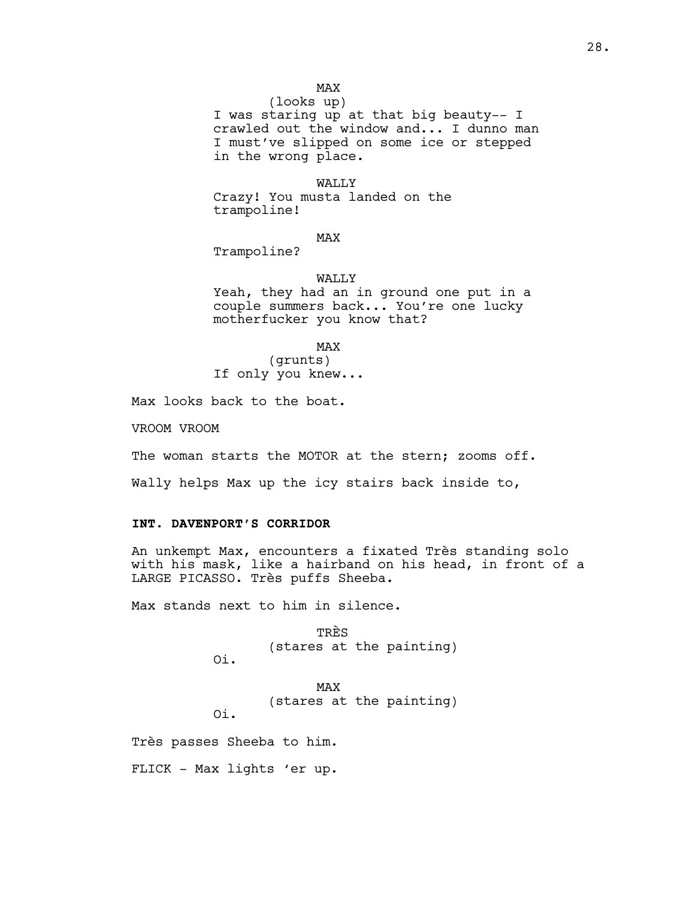# MAX

(looks up)

I was staring up at that big beauty-- I crawled out the window and... I dunno man I must've slipped on some ice or stepped in the wrong place.

WALLY

Crazy! You musta landed on the trampoline!

MAX

Trampoline?

## WALLY

Yeah, they had an in ground one put in a couple summers back... You're one lucky motherfucker you know that?

MAX

(grunts) If only you knew...

Max looks back to the boat.

VROOM VROOM

The woman starts the MOTOR at the stern; zooms off.

Wally helps Max up the icy stairs back inside to,

# **INT. DAVENPORT'S CORRIDOR**

An unkempt Max, encounters a fixated Très standing solo with his mask, like a hairband on his head, in front of a LARGE PICASSO. Très puffs Sheeba.

Max stands next to him in silence.

TRÈS (stares at the painting)

MAX (stares at the painting)

Oi.

Oi.

Très passes Sheeba to him.

FLICK - Max lights 'er up.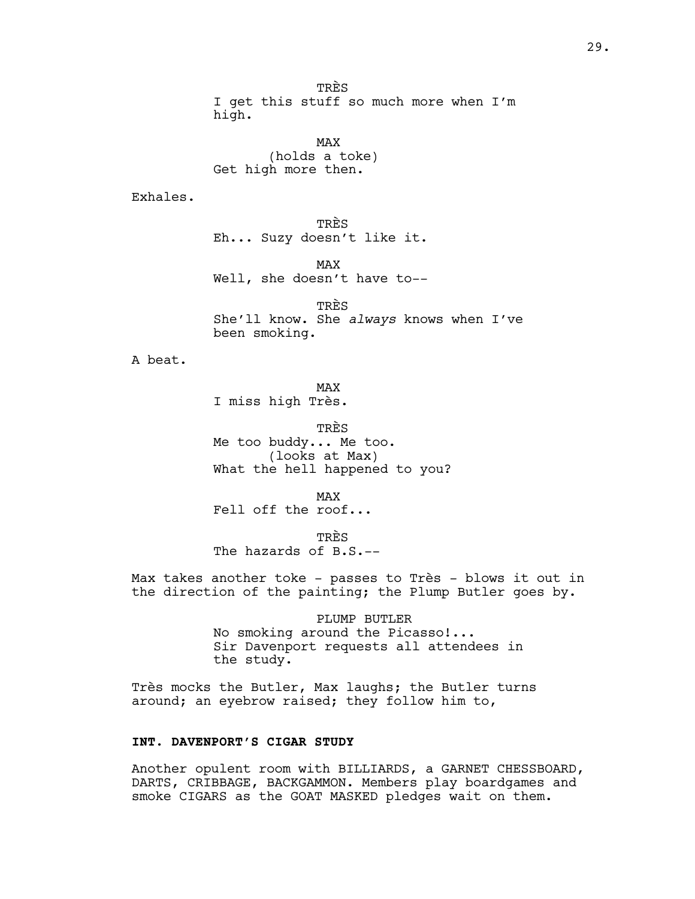TRÈS I get this stuff so much more when I'm high.

MAX (holds a toke) Get high more then.

Exhales.

TRÈS Eh... Suzy doesn't like it.

MAX Well, she doesn't have to--

TRÈS She'll know. She *always* knows when I've been smoking.

A beat.

MAX I miss high Très.

TRÈS Me too buddy... Me too. (looks at Max) What the hell happened to you?

MAX Fell off the roof...

TRÈS The hazards of B.S.--

Max takes another toke - passes to Très - blows it out in the direction of the painting; the Plump Butler goes by.

> PLUMP BUTLER No smoking around the Picasso!... Sir Davenport requests all attendees in the study.

Très mocks the Butler, Max laughs; the Butler turns around; an eyebrow raised; they follow him to,

# **INT. DAVENPORT'S CIGAR STUDY**

Another opulent room with BILLIARDS, a GARNET CHESSBOARD, DARTS, CRIBBAGE, BACKGAMMON. Members play boardgames and smoke CIGARS as the GOAT MASKED pledges wait on them.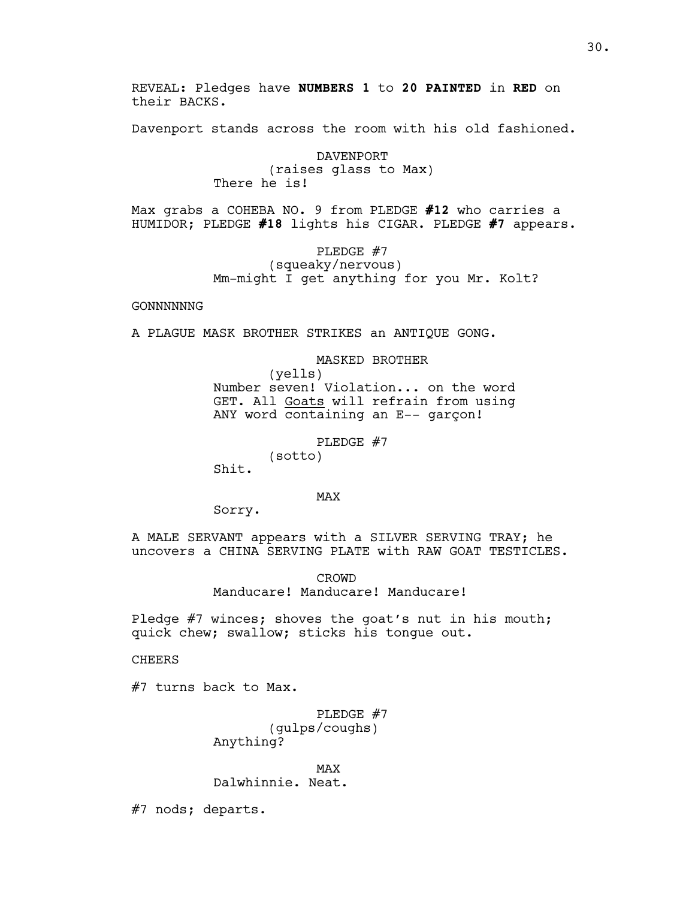REVEAL: Pledges have **NUMBERS 1** to **20 PAINTED** in **RED** on their BACKS.

Davenport stands across the room with his old fashioned.

DAVENPORT (raises glass to Max) There he is!

Max grabs a COHEBA NO. 9 from PLEDGE **#12** who carries a HUMIDOR; PLEDGE **#18** lights his CIGAR. PLEDGE **#7** appears.

> PLEDGE #7 (squeaky/nervous) Mm-might I get anything for you Mr. Kolt?

**GONNNNNNG** 

A PLAGUE MASK BROTHER STRIKES an ANTIQUE GONG.

MASKED BROTHER

(yells) Number seven! Violation... on the word GET. All Goats will refrain from using ANY word containing an E-- garçon!

PLEDGE #7

(sotto)

Shit.

MAX

Sorry.

A MALE SERVANT appears with a SILVER SERVING TRAY; he uncovers a CHINA SERVING PLATE with RAW GOAT TESTICLES.

> CROWD Manducare! Manducare! Manducare!

Pledge #7 winces; shoves the goat's nut in his mouth; quick chew; swallow; sticks his tongue out.

**CHEERS** 

#7 turns back to Max.

PLEDGE #7 (gulps/coughs) Anything?

MAX Dalwhinnie. Neat.

#7 nods; departs.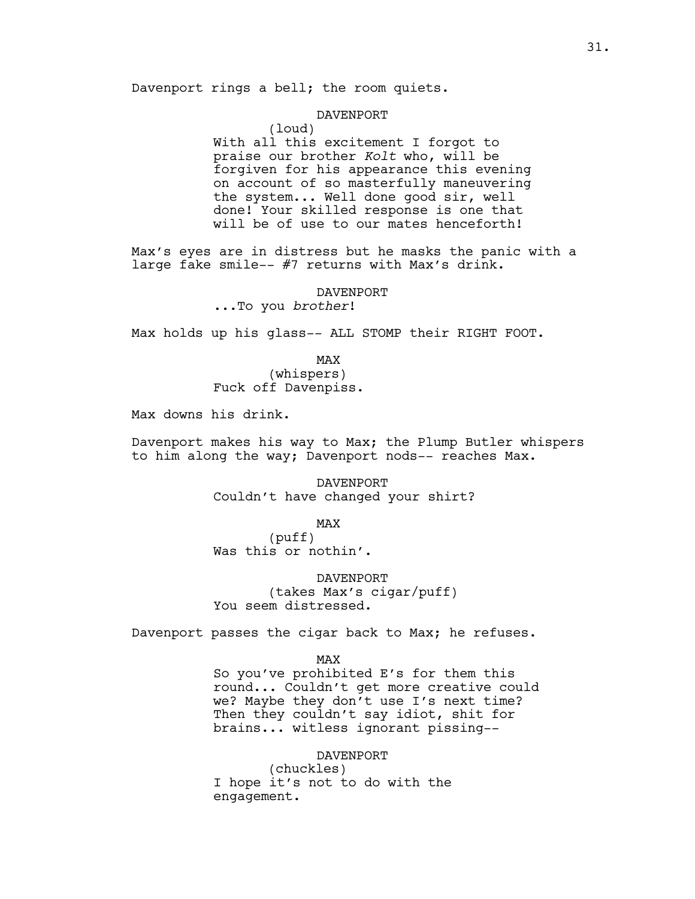Davenport rings a bell; the room quiets.

### DAVENPORT

(loud) With all this excitement I forgot to praise our brother *Kolt* who, will be forgiven for his appearance this evening on account of so masterfully maneuvering the system... Well done good sir, well done! Your skilled response is one that will be of use to our mates henceforth!

Max's eyes are in distress but he masks the panic with a large fake smile-- #7 returns with Max's drink.

#### DAVENPORT

...To you *brother*!

Max holds up his glass-- ALL STOMP their RIGHT FOOT.

### MAX

(whispers) Fuck off Davenpiss.

Max downs his drink.

Davenport makes his way to Max; the Plump Butler whispers to him along the way; Davenport nods-- reaches Max.

> DAVENPORT Couldn't have changed your shirt?

#### MAX

(puff) Was this or nothin'.

DAVENPORT (takes Max's cigar/puff) You seem distressed.

Davenport passes the cigar back to Max; he refuses.

#### MAX

So you've prohibited E's for them this round... Couldn't get more creative could we? Maybe they don't use I's next time? Then they couldn't say idiot, shit for brains... witless ignorant pissing--

DAVENPORT (chuckles) I hope it's not to do with the engagement.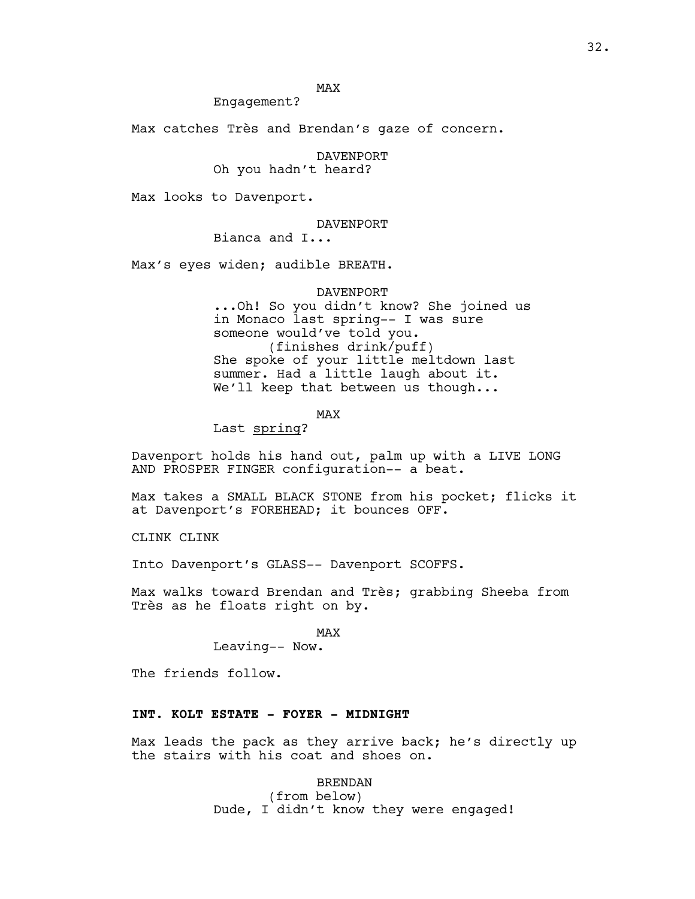# MAX

Engagement?

Max catches Très and Brendan's gaze of concern.

DAVENPORT

Oh you hadn't heard?

Max looks to Davenport.

# DAVENPORT

Bianca and I...

Max's eyes widen; audible BREATH.

### DAVENPORT

...Oh! So you didn't know? She joined us in Monaco last spring-- I was sure someone would've told you. (finishes drink/puff) She spoke of your little meltdown last summer. Had a little laugh about it. We'll keep that between us though...

# MAX

Last spring?

Davenport holds his hand out, palm up with a LIVE LONG AND PROSPER FINGER configuration-- a beat.

Max takes a SMALL BLACK STONE from his pocket; flicks it at Davenport's FOREHEAD; it bounces OFF.

CLINK CLINK

Into Davenport's GLASS-- Davenport SCOFFS.

Max walks toward Brendan and Très; grabbing Sheeba from Très as he floats right on by.

#### MAX

Leaving-- Now.

The friends follow.

# **INT. KOLT ESTATE - FOYER - MIDNIGHT**

Max leads the pack as they arrive back; he's directly up the stairs with his coat and shoes on.

BRENDAN

(from below) Dude, I didn't know they were engaged!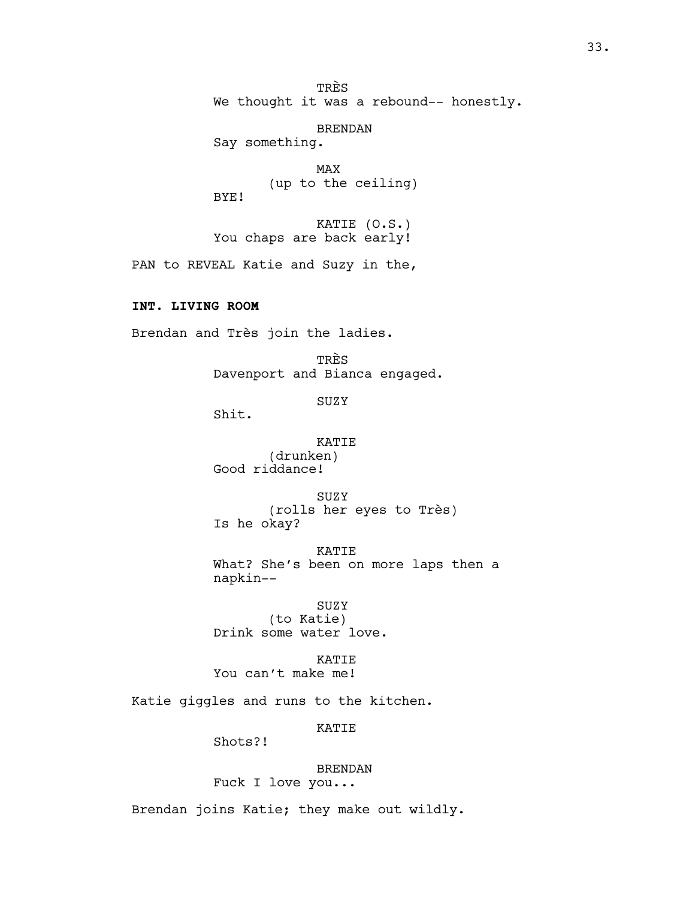TRÈS We thought it was a rebound-- honestly.

BRENDAN

Say something.

MAX (up to the ceiling) BYE!

KATIE (O.S.) You chaps are back early!

PAN to REVEAL Katie and Suzy in the,

# **INT. LIVING ROOM**

Brendan and Très join the ladies.

TRÈS Davenport and Bianca engaged.

SUZY

Shit.

KATIE (drunken) Good riddance!

SUZY (rolls her eyes to Très) Is he okay?

KATIE What? She's been on more laps then a napkin--

SUZY (to Katie) Drink some water love.

KATIE You can't make me!

Katie giggles and runs to the kitchen.

KATIE

Shots?!

BRENDAN

Fuck I love you...

Brendan joins Katie; they make out wildly.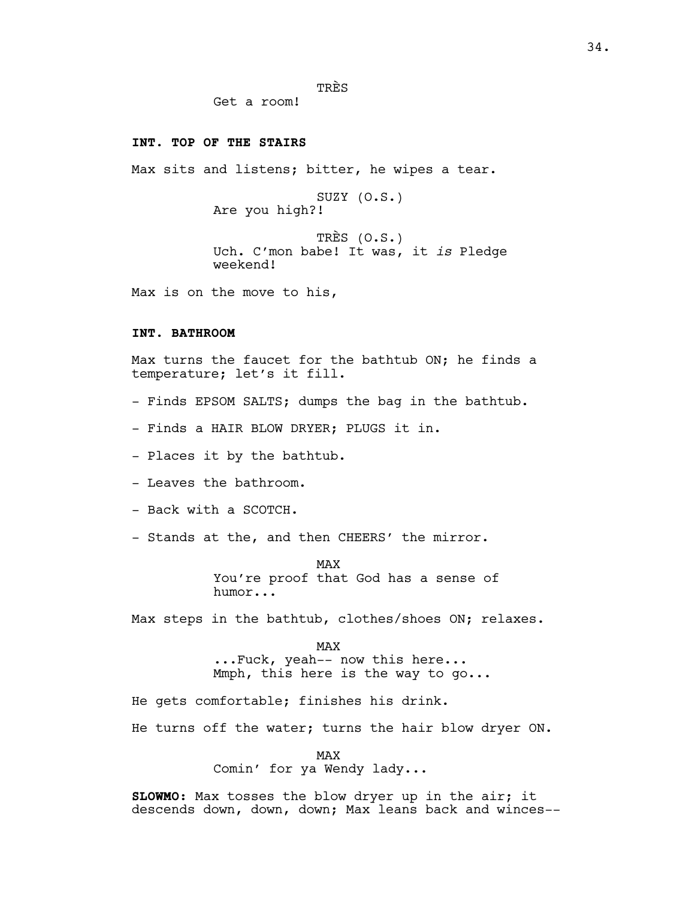# TRÈS

Get a room!

## **INT. TOP OF THE STAIRS**

Max sits and listens; bitter, he wipes a tear.

SUZY (O.S.) Are you high?!

TRÈS (O.S.) Uch. C'mon babe! It was, it *is* Pledge weekend!

Max is on the move to his,

#### **INT. BATHROOM**

Max turns the faucet for the bathtub ON; he finds a temperature; let's it fill.

- Finds EPSOM SALTS; dumps the bag in the bathtub.
- Finds a HAIR BLOW DRYER; PLUGS it in.
- Places it by the bathtub.
- Leaves the bathroom.
- Back with a SCOTCH.
- Stands at the, and then CHEERS' the mirror.

MAX You're proof that God has a sense of humor...

Max steps in the bathtub, clothes/shoes ON; relaxes.

#### MAX

...Fuck, yeah-- now this here... Mmph, this here is the way to go...

He gets comfortable; finishes his drink.

He turns off the water; turns the hair blow dryer ON.

MAX

Comin' for ya Wendy lady...

**SLOWMO**: Max tosses the blow dryer up in the air; it descends down, down, down; Max leans back and winces--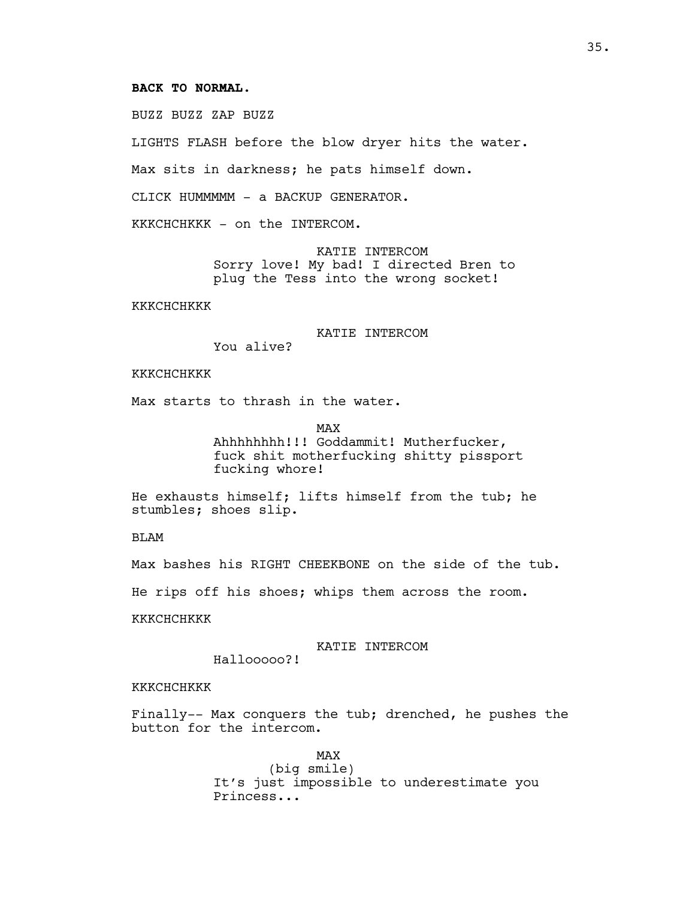### **BACK TO NORMAL.**

BUZZ BUZZ ZAP BUZZ

LIGHTS FLASH before the blow dryer hits the water.

Max sits in darkness; he pats himself down.

CLICK HUMMMMM - a BACKUP GENERATOR.

KKKCHCHKKK - on the INTERCOM.

KATIE INTERCOM Sorry love! My bad! I directed Bren to plug the Tess into the wrong socket!

KKKCHCHKKK

KATIE INTERCOM

You alive?

KKKCHCHKKK

Max starts to thrash in the water.

MAX

Ahhhhhhhh!!! Goddammit! Mutherfucker, fuck shit motherfucking shitty pissport fucking whore!

He exhausts himself; lifts himself from the tub; he stumbles; shoes slip.

**BT.AM** 

Max bashes his RIGHT CHEEKBONE on the side of the tub.

He rips off his shoes; whips them across the room.

KKKCHCHKKK

KATIE INTERCOM

Hallooooo?!

KKKCHCHKKK

Finally-- Max conquers the tub; drenched, he pushes the button for the intercom.

> MAX (big smile) It's just impossible to underestimate you Princess...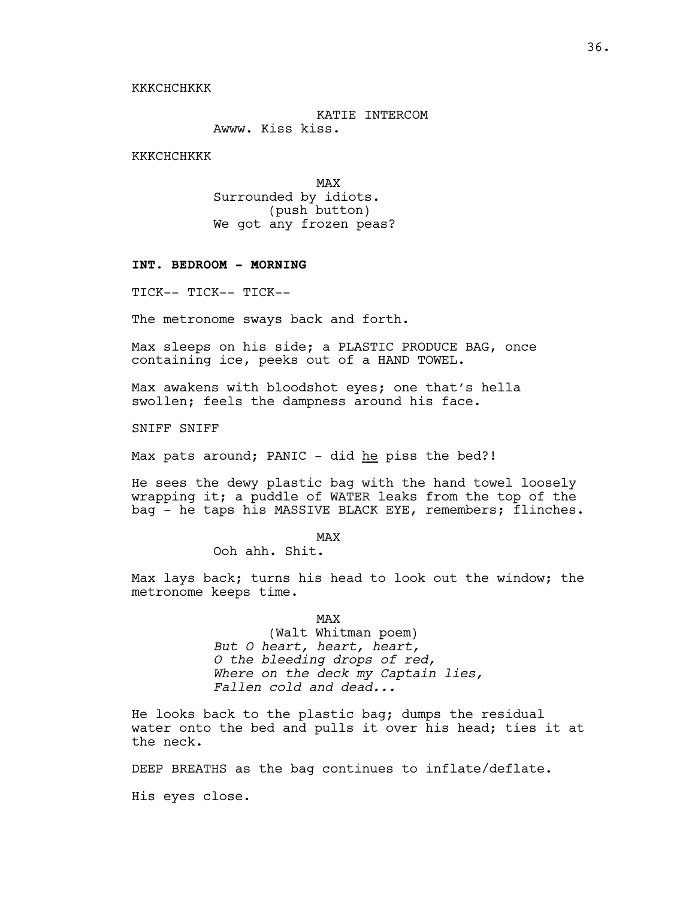KKKCHCHKKK

KATIE INTERCOM Awww. Kiss kiss.

KKKCHCHKKK

MAX Surrounded by idiots. (push button) We got any frozen peas?

### **INT. BEDROOM - MORNING**

TICK-- TICK-- TICK--

The metronome sways back and forth.

Max sleeps on his side; a PLASTIC PRODUCE BAG, once containing ice, peeks out of a HAND TOWEL.

Max awakens with bloodshot eyes; one that's hella swollen; feels the dampness around his face.

SNIFF SNIFF

Max pats around; PANIC - did he piss the bed?!

He sees the dewy plastic bag with the hand towel loosely wrapping it; a puddle of WATER leaks from the top of the bag - he taps his MASSIVE BLACK EYE, remembers; flinches.

MAX

Ooh ahh. Shit.

Max lays back; turns his head to look out the window; the metronome keeps time.

#### MAX

(Walt Whitman poem) *But O heart, heart, heart, O the bleeding drops of red, Where on the deck my Captain lies, Fallen cold and dead...*

He looks back to the plastic bag; dumps the residual water onto the bed and pulls it over his head; ties it at the neck.

DEEP BREATHS as the bag continues to inflate/deflate.

His eyes close.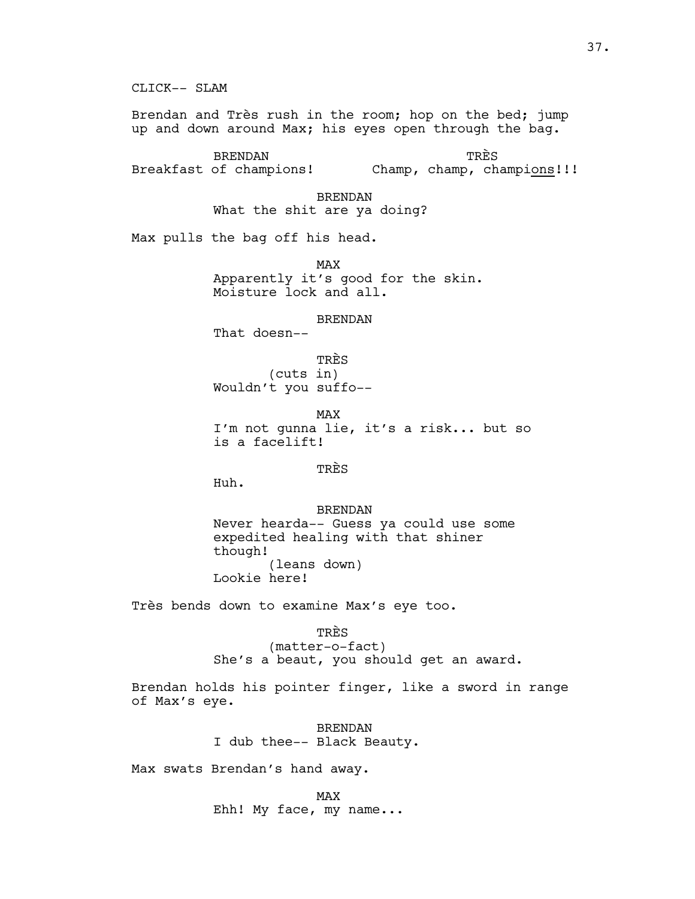CLICK-- SLAM

Brendan and Très rush in the room; hop on the bed; jump up and down around Max; his eyes open through the bag.

BRENDAN Breakfast of champions! TRÈS Champ, champ, champions!!!

> BRENDAN What the shit are ya doing?

Max pulls the bag off his head.

MAX Apparently it's good for the skin. Moisture lock and all.

## BRENDAN

That doesn--

TRÈS (cuts in) Wouldn't you suffo--

MAX I'm not gunna lie, it's a risk... but so is a facelift!

TRÈS

Huh.

BRENDAN Never hearda-- Guess ya could use some expedited healing with that shiner though! (leans down) Lookie here!

Très bends down to examine Max's eye too.

#### TRÈS

(matter-o-fact) She's a beaut, you should get an award.

Brendan holds his pointer finger, like a sword in range of Max's eye.

> BRENDAN I dub thee-- Black Beauty.

Max swats Brendan's hand away.

MAX Ehh! My face, my name...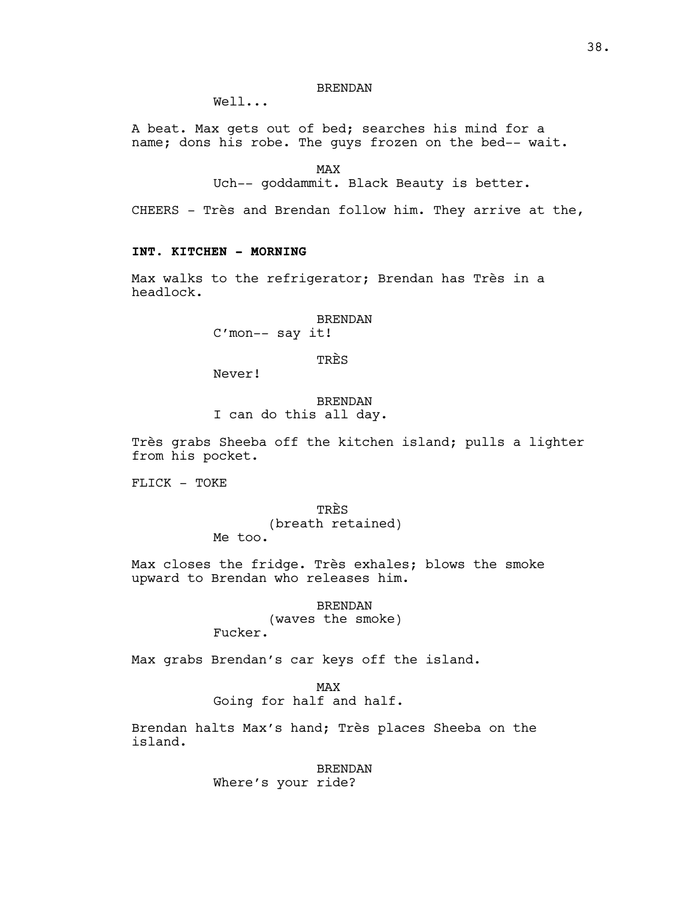### BRENDAN

Well...

A beat. Max gets out of bed; searches his mind for a name; dons his robe. The guys frozen on the bed-- wait.

MAX

Uch-- goddammit. Black Beauty is better.

CHEERS - Très and Brendan follow him. They arrive at the,

# **INT. KITCHEN - MORNING**

Max walks to the refrigerator; Brendan has Très in a headlock.

# BRENDAN

C'mon-- say it!

# TRÈS

Never!

# BRENDAN

I can do this all day.

Très grabs Sheeba off the kitchen island; pulls a lighter from his pocket.

FLICK - TOKE

# TRÈS (breath retained) Me too.

Max closes the fridge. Très exhales; blows the smoke upward to Brendan who releases him.

BRENDAN

(waves the smoke)

Fucker.

Max grabs Brendan's car keys off the island.

MAX

# Going for half and half.

Brendan halts Max's hand; Très places Sheeba on the island.

> BRENDAN Where's your ride?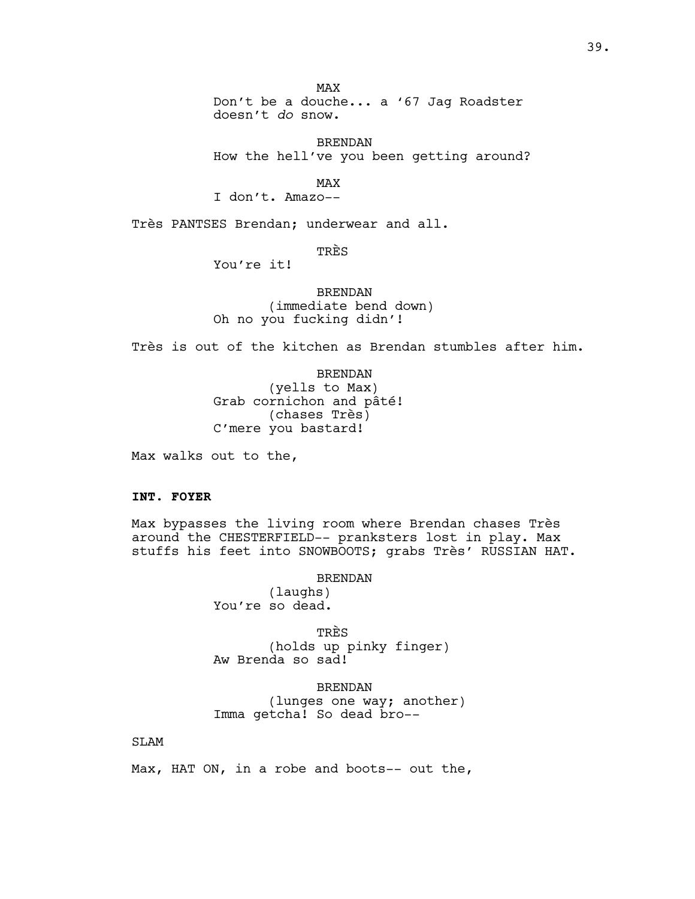MAX Don't be a douche... a '67 Jag Roadster doesn't *do* snow.

BRENDAN How the hell've you been getting around?

MAX

I don't. Amazo--

Très PANTSES Brendan; underwear and all.

TRÈS

You're it!

BRENDAN (immediate bend down) Oh no you fucking didn'!

Très is out of the kitchen as Brendan stumbles after him.

BRENDAN (yells to Max) Grab cornichon and pâté! (chases Très) C'mere you bastard!

Max walks out to the,

### **INT. FOYER**

Max bypasses the living room where Brendan chases Très around the CHESTERFIELD-- pranksters lost in play. Max stuffs his feet into SNOWBOOTS; grabs Très' RUSSIAN HAT.

BRENDAN

(laughs) You're so dead.

TRÈS (holds up pinky finger) Aw Brenda so sad!

BRENDAN (lunges one way; another) Imma getcha! So dead bro--

## SLAM

Max, HAT ON, in a robe and boots-- out the,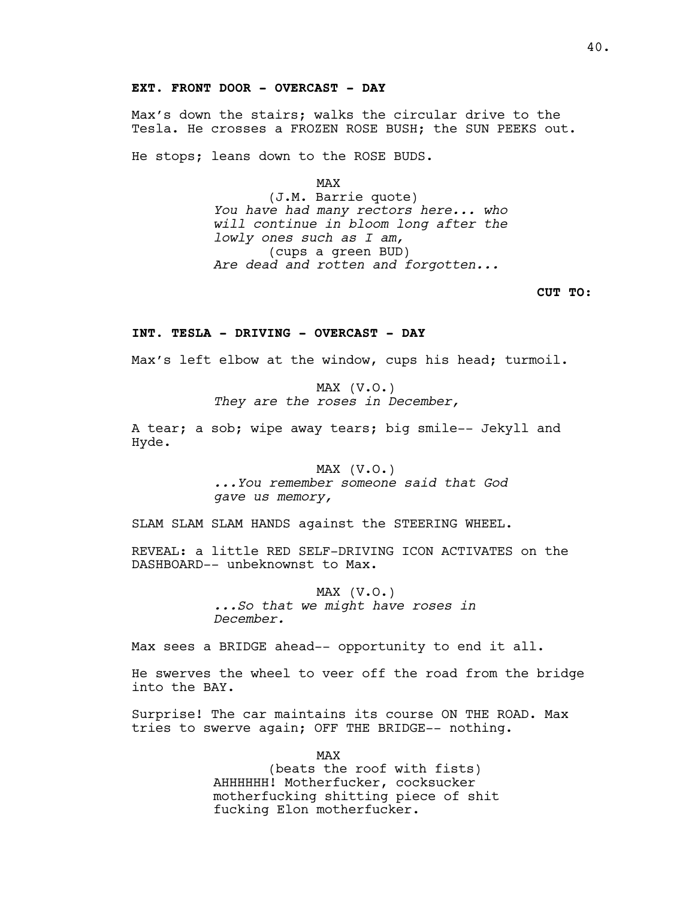## **EXT. FRONT DOOR - OVERCAST - DAY**

Max's down the stairs; walks the circular drive to the Tesla. He crosses a FROZEN ROSE BUSH; the SUN PEEKS out.

He stops; leans down to the ROSE BUDS.

MAX

(J.M. Barrie quote) *You have had many rectors here... who will continue in bloom long after the lowly ones such as I am,* (cups a green BUD) *Are dead and rotten and forgotten...*

**CUT TO:**

#### **INT. TESLA - DRIVING - OVERCAST - DAY**

Max's left elbow at the window, cups his head; turmoil.

MAX (V.O.) *They are the roses in December,*

A tear; a sob; wipe away tears; big smile-- Jekyll and Hyde.

#### $MAX (V.O.)$

*...You remember someone said that God gave us memory,*

SLAM SLAM SLAM HANDS against the STEERING WHEEL.

REVEAL: a little RED SELF-DRIVING ICON ACTIVATES on the DASHBOARD-- unbeknownst to Max.

> MAX (V.O.) *...So that we might have roses in December.*

Max sees a BRIDGE ahead-- opportunity to end it all.

He swerves the wheel to veer off the road from the bridge into the BAY.

Surprise! The car maintains its course ON THE ROAD. Max tries to swerve again; OFF THE BRIDGE-- nothing.

> MAX (beats the roof with fists) AHHHHHH! Motherfucker, cocksucker motherfucking shitting piece of shit fucking Elon motherfucker.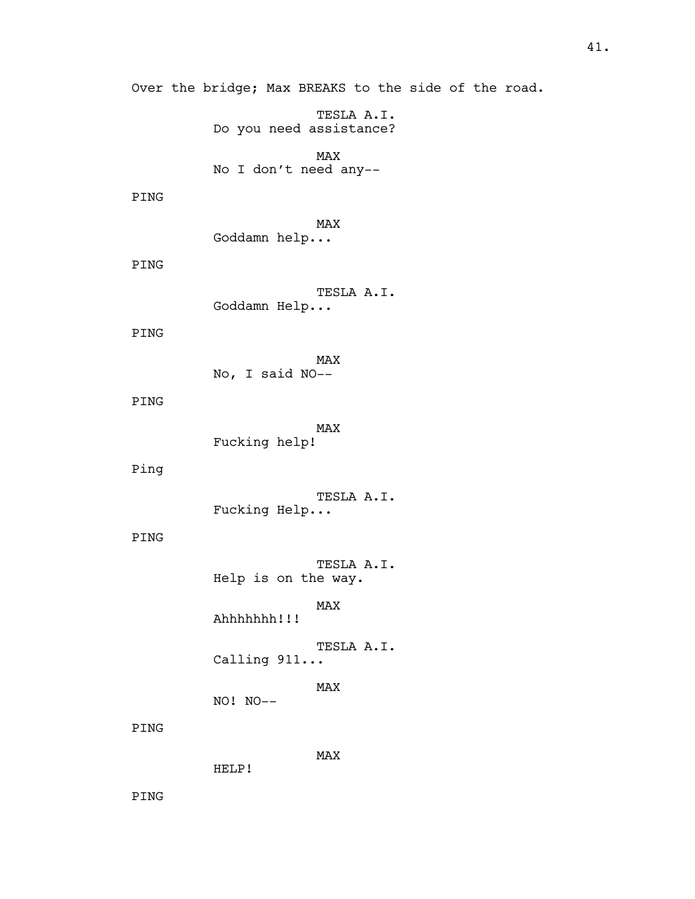TESLA A.I. Do you need assistance? MAX No I don't need any-- PING MAX Goddamn help... PING TESLA A.I. Goddamn Help... PING MAX No, I said NO-- PING MAX Fucking help! Ping TESLA A.I. Fucking Help... PING TESLA A.I. Help is on the way. MAX Ahhhhhhh!!! TESLA A.I. Calling 911... MAX NO! NO-- PING MAX HELP! PING

Over the bridge; Max BREAKS to the side of the road.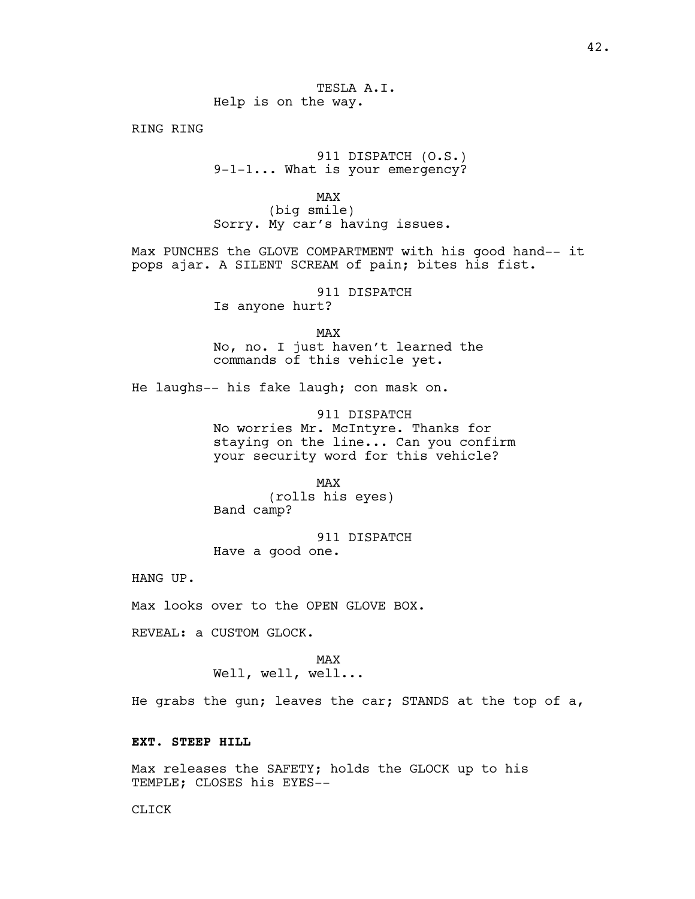TESLA A.I. Help is on the way.

RING RING

911 DISPATCH (O.S.) 9-1-1... What is your emergency?

MAX (big smile) Sorry. My car's having issues.

Max PUNCHES the GLOVE COMPARTMENT with his good hand-- it pops ajar. A SILENT SCREAM of pain; bites his fist.

> 911 DISPATCH Is anyone hurt?

> > MAX

No, no. I just haven't learned the commands of this vehicle yet.

He laughs-- his fake laugh; con mask on.

911 DISPATCH No worries Mr. McIntyre. Thanks for staying on the line... Can you confirm your security word for this vehicle?

MAX (rolls his eyes) Band camp?

911 DISPATCH Have a good one.

HANG UP.

Max looks over to the OPEN GLOVE BOX.

REVEAL: a CUSTOM GLOCK.

MAX Well, well, well...

He grabs the gun; leaves the car; STANDS at the top of a,

### **EXT. STEEP HILL**

Max releases the SAFETY; holds the GLOCK up to his TEMPLE; CLOSES his EYES--

CLICK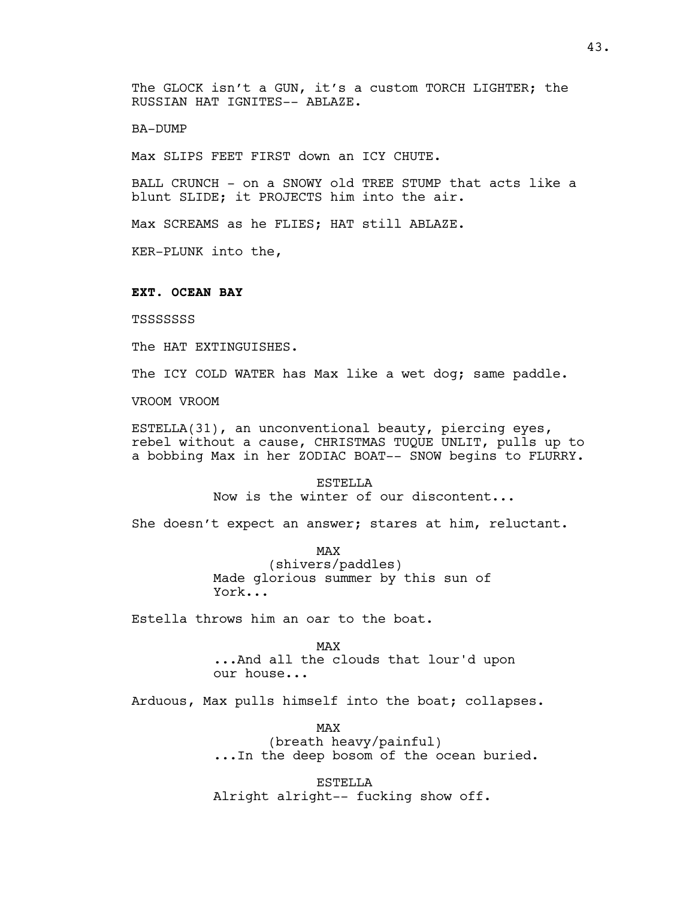The GLOCK isn't a GUN, it's a custom TORCH LIGHTER; the RUSSIAN HAT IGNITES-- ABLAZE.

BA-DUMP

Max SLIPS FEET FIRST down an ICY CHUTE.

BALL CRUNCH - on a SNOWY old TREE STUMP that acts like a blunt SLIDE; it PROJECTS him into the air.

Max SCREAMS as he FLIES; HAT still ABLAZE.

KER-PLUNK into the,

### **EXT. OCEAN BAY**

**TSSSSSSS** 

The HAT EXTINGUISHES.

The ICY COLD WATER has Max like a wet dog; same paddle.

VROOM VROOM

ESTELLA(31), an unconventional beauty, piercing eyes, rebel without a cause, CHRISTMAS TUQUE UNLIT, pulls up to a bobbing Max in her ZODIAC BOAT-- SNOW begins to FLURRY.

> ESTELLA Now is the winter of our discontent...

She doesn't expect an answer; stares at him, reluctant.

MAX (shivers/paddles) Made glorious summer by this sun of York...

Estella throws him an oar to the boat.

MAX ...And all the clouds that lour'd upon our house...

Arduous, Max pulls himself into the boat; collapses.

MAX (breath heavy/painful) ...In the deep bosom of the ocean buried.

ESTELLA Alright alright-- fucking show off.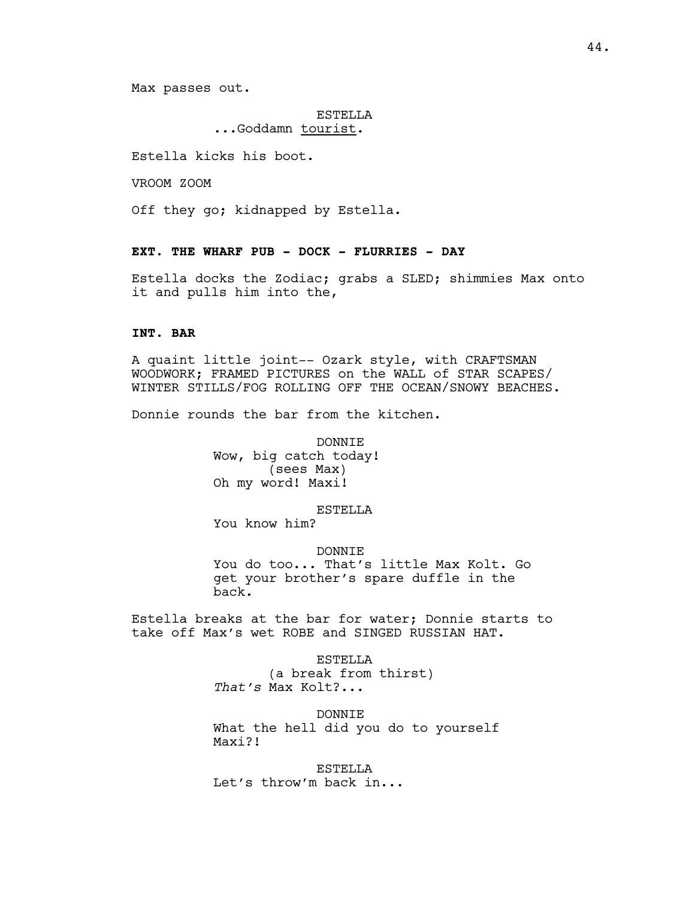Max passes out.

ESTELLA ...Goddamn tourist.

Estella kicks his boot.

VROOM ZOOM

Off they go; kidnapped by Estella.

# **EXT. THE WHARF PUB - DOCK - FLURRIES - DAY**

Estella docks the Zodiac; grabs a SLED; shimmies Max onto it and pulls him into the,

### **INT. BAR**

A quaint little joint-- Ozark style, with CRAFTSMAN WOODWORK; FRAMED PICTURES on the WALL of STAR SCAPES/ WINTER STILLS/FOG ROLLING OFF THE OCEAN/SNOWY BEACHES.

Donnie rounds the bar from the kitchen.

DONNIE Wow, big catch today! (sees Max) Oh my word! Maxi!

ESTELLA

You know him?

DONNIE You do too... That's little Max Kolt. Go get your brother's spare duffle in the back.

Estella breaks at the bar for water; Donnie starts to take off Max's wet ROBE and SINGED RUSSIAN HAT.

> **ESTELLA** (a break from thirst) *That's* Max Kolt?...

DONNIE What the hell did you do to yourself Maxi?!

ESTELLA Let's throw'm back in...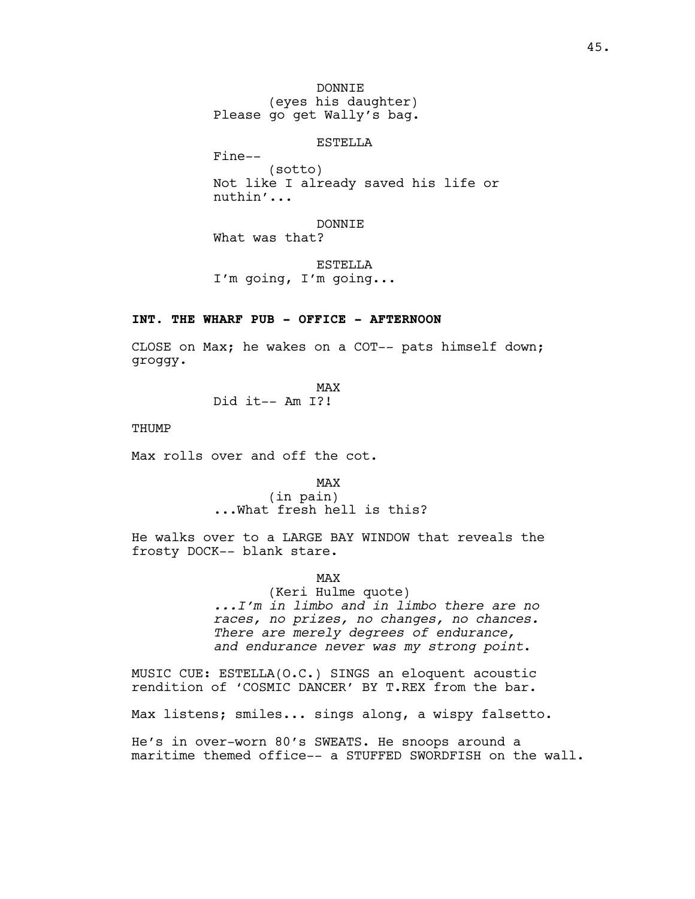DONNIE (eyes his daughter) Please go get Wally's bag.

### ESTELLA

Fine-- (sotto) Not like I already saved his life or nuthin'...

DONNIE What was that?

ESTELLA I'm going, I'm going...

## **INT. THE WHARF PUB - OFFICE - AFTERNOON**

CLOSE on Max; he wakes on a COT-- pats himself down; groggy.

### MAX

Did it-- Am I?!

THUMP

Max rolls over and off the cot.

MAX (in pain) ...What fresh hell is this?

He walks over to a LARGE BAY WINDOW that reveals the frosty DOCK-- blank stare.

### MAX

(Keri Hulme quote) *...I'm in limbo and in limbo there are no races, no prizes, no changes, no chances. There are merely degrees of endurance, and endurance never was my strong point*.

MUSIC CUE: ESTELLA(O.C.) SINGS an eloquent acoustic rendition of 'COSMIC DANCER' BY T.REX from the bar.

Max listens; smiles... sings along, a wispy falsetto.

He's in over-worn 80's SWEATS. He snoops around a maritime themed office-- a STUFFED SWORDFISH on the wall.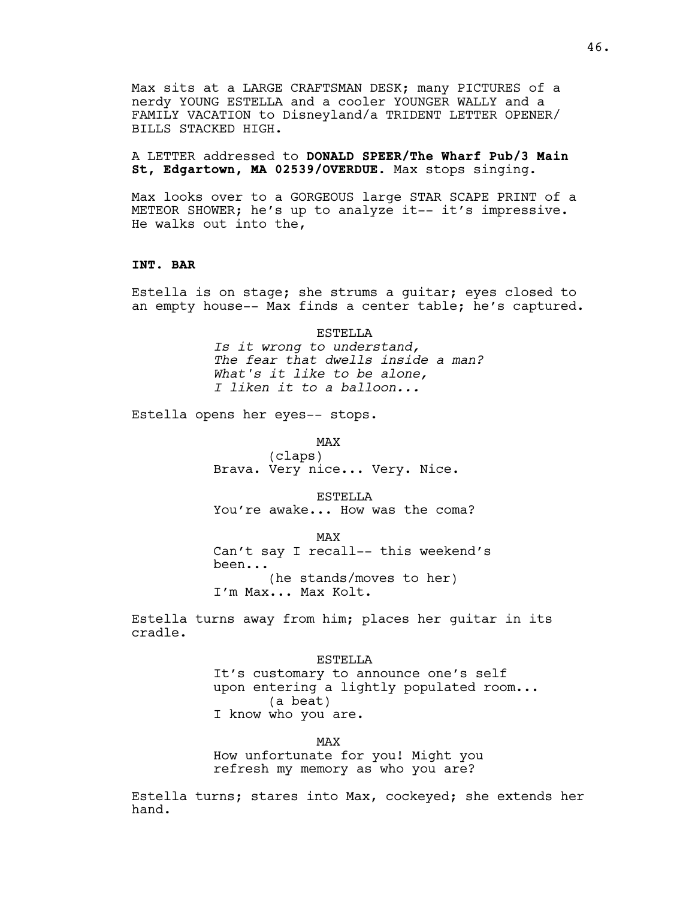Max sits at a LARGE CRAFTSMAN DESK; many PICTURES of a nerdy YOUNG ESTELLA and a cooler YOUNGER WALLY and a FAMILY VACATION to Disneyland/a TRIDENT LETTER OPENER/ BILLS STACKED HIGH.

A LETTER addressed to **DONALD SPEER/The Wharf Pub/3 Main St, Edgartown, MA 02539/OVERDUE**. Max stops singing.

Max looks over to a GORGEOUS large STAR SCAPE PRINT of a METEOR SHOWER; he's up to analyze it-- it's impressive. He walks out into the,

### **INT. BAR**

Estella is on stage; she strums a guitar; eyes closed to an empty house-- Max finds a center table; he's captured.

ESTELLA

*Is it wrong to understand, The fear that dwells inside a man? What's it like to be alone, I liken it to a balloon...*

Estella opens her eyes-- stops.

MAX

(claps) Brava. Very nice... Very. Nice.

ESTELLA You're awake... How was the coma?

MAX Can't say I recall-- this weekend's been... (he stands/moves to her) I'm Max... Max Kolt.

Estella turns away from him; places her guitar in its cradle.

> ESTELLA It's customary to announce one's self upon entering a lightly populated room... (a beat) I know who you are.

> > MAX

How unfortunate for you! Might you refresh my memory as who you are?

Estella turns; stares into Max, cockeyed; she extends her hand.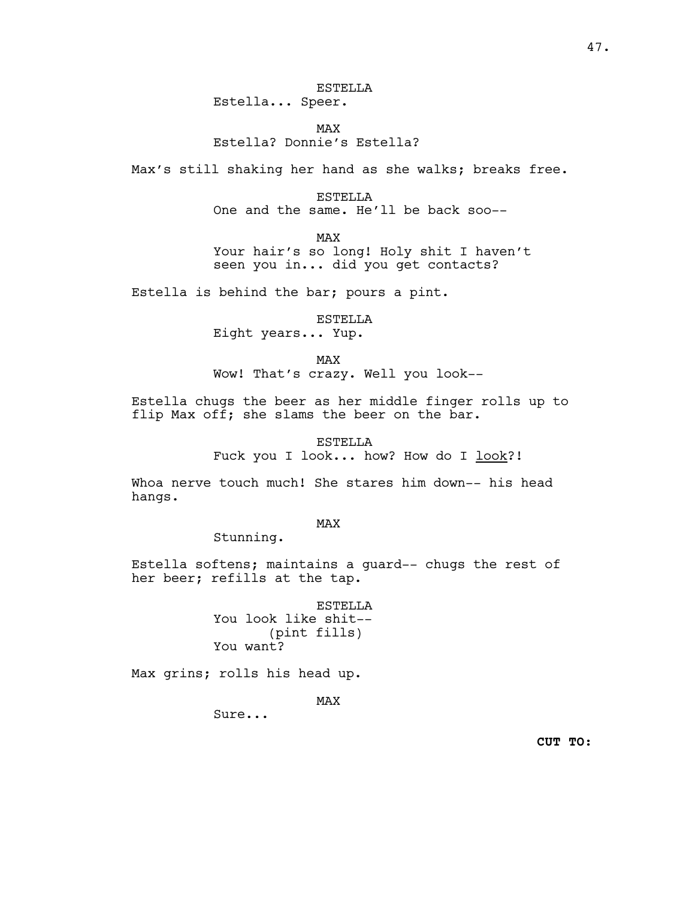47.

# ESTELLA Estella... Speer.

MAX Estella? Donnie's Estella?

Max's still shaking her hand as she walks; breaks free.

ESTELLA One and the same. He'll be back soo--

MAX

Your hair's so long! Holy shit I haven't seen you in... did you get contacts?

Estella is behind the bar; pours a pint.

ESTELLA Eight years... Yup.

MAX

Wow! That's crazy. Well you look--

Estella chugs the beer as her middle finger rolls up to flip Max off; she slams the beer on the bar.

> ESTELLA Fuck you I look... how? How do I look?!

Whoa nerve touch much! She stares him down-- his head hangs.

MAX

Stunning.

Estella softens; maintains a guard-- chugs the rest of her beer; refills at the tap.

> ESTELLA You look like shit-- (pint fills) You want?

Max grins; rolls his head up.

MAX

Sure...

**CUT TO:**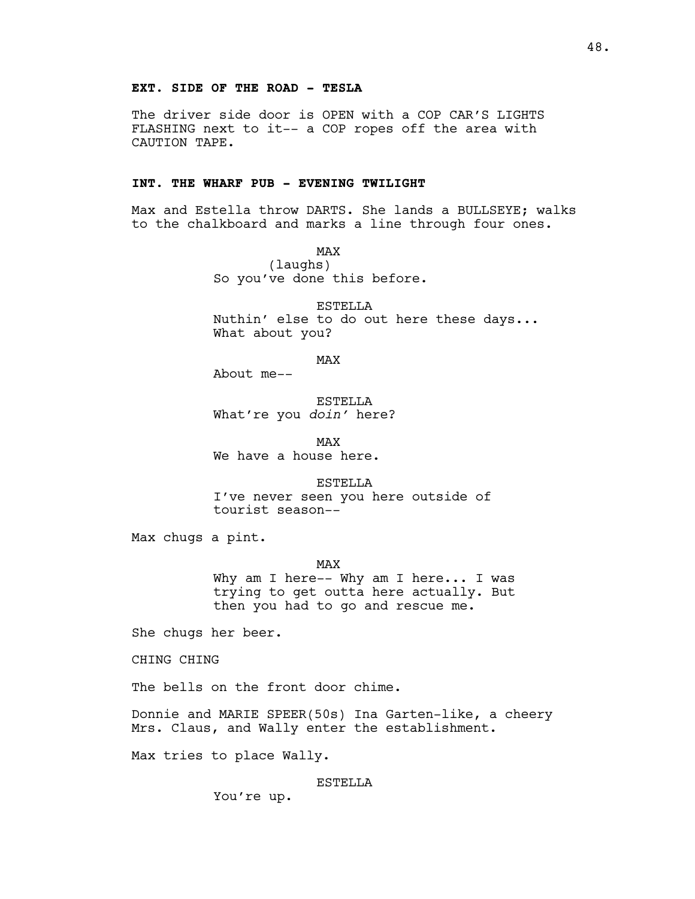## **EXT. SIDE OF THE ROAD - TESLA**

The driver side door is OPEN with a COP CAR'S LIGHTS FLASHING next to it-- a COP ropes off the area with CAUTION TAPE.

#### **INT. THE WHARF PUB - EVENING TWILIGHT**

Max and Estella throw DARTS. She lands a BULLSEYE; walks to the chalkboard and marks a line through four ones.

> MAX (laughs) So you've done this before.

ESTELLA Nuthin' else to do out here these days... What about you?

MAX

About me--

ESTELLA What're you *doin'* here?

MAX We have a house here.

ESTELLA I've never seen you here outside of tourist season--

Max chugs a pint.

MAX

Why am I here-- Why am I here... I was trying to get outta here actually. But then you had to go and rescue me.

She chugs her beer.

CHING CHING

The bells on the front door chime.

Donnie and MARIE SPEER(50s) Ina Garten-like, a cheery Mrs. Claus, and Wally enter the establishment.

Max tries to place Wally.

#### ESTELLA

You're up.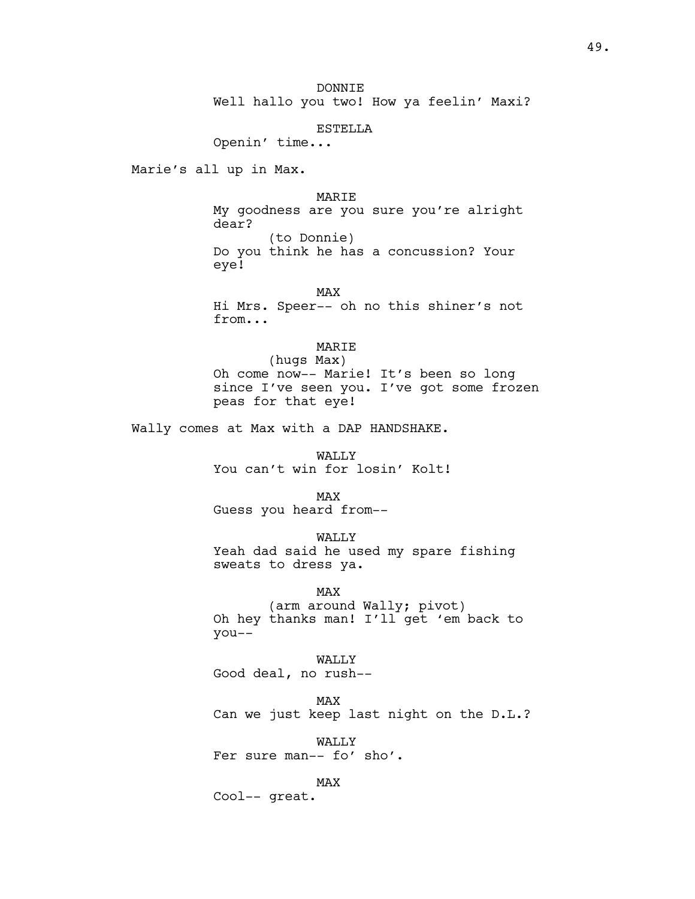ESTELLA

Openin' time...

Marie's all up in Max.

#### MARIE

My goodness are you sure you're alright dear? (to Donnie) Do you think he has a concussion? Your eye!

MAX Hi Mrs. Speer-- oh no this shiner's not from...

### MARIE

(hugs Max) Oh come now-- Marie! It's been so long since I've seen you. I've got some frozen peas for that eye!

Wally comes at Max with a DAP HANDSHAKE.

WALLY You can't win for losin' Kolt!

MAX Guess you heard from--

WALLY Yeah dad said he used my spare fishing sweats to dress ya.

MAX (arm around Wally; pivot) Oh hey thanks man! I'll get 'em back to you--

WALLY Good deal, no rush--

MAX Can we just keep last night on the D.L.?

WALLY Fer sure man-- fo' sho'.

MAX

Cool-- great.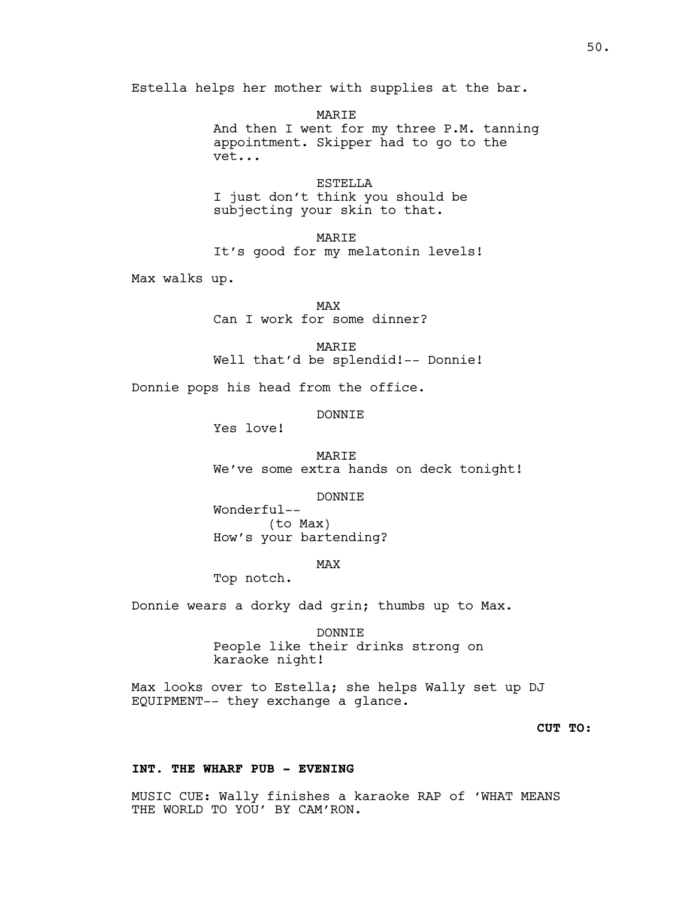Estella helps her mother with supplies at the bar.

MARIE And then I went for my three P.M. tanning appointment. Skipper had to go to the vet...

ESTELLA I just don't think you should be subjecting your skin to that.

MARIE It's good for my melatonin levels!

Max walks up.

MAX

Can I work for some dinner?

MARIE

Well that'd be splendid!-- Donnie!

Donnie pops his head from the office.

DONNIE

Yes love!

MARIE We've some extra hands on deck tonight!

DONNIE

Wonderful-- (to Max) How's your bartending?

MAX

Top notch.

Donnie wears a dorky dad grin; thumbs up to Max.

DONNIE People like their drinks strong on karaoke night!

Max looks over to Estella; she helps Wally set up DJ EQUIPMENT-- they exchange a glance.

**CUT TO:**

### **INT. THE WHARF PUB - EVENING**

MUSIC CUE: Wally finishes a karaoke RAP of 'WHAT MEANS THE WORLD TO YOU' BY CAM'RON.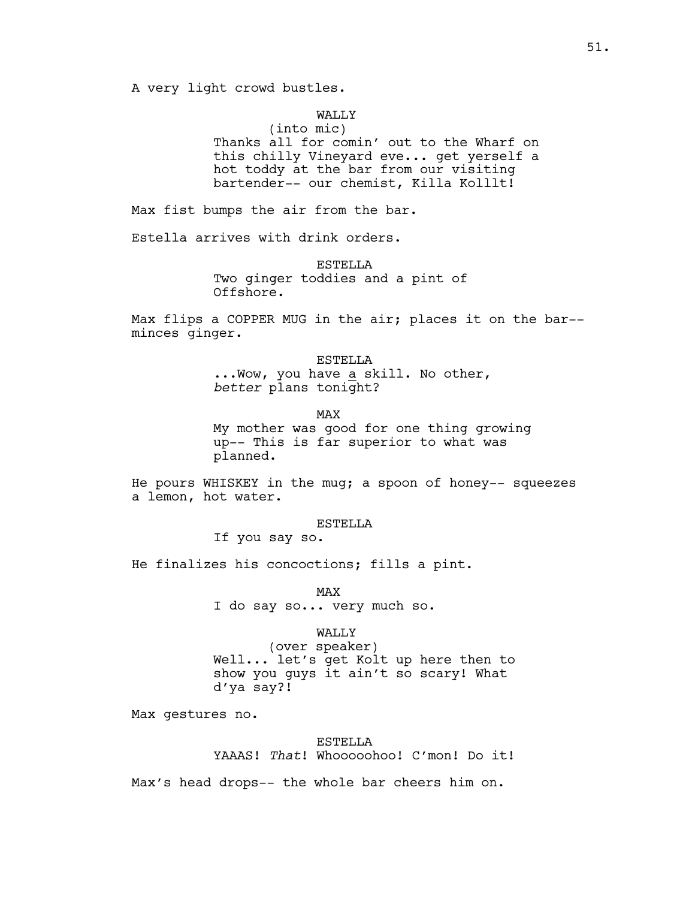A very light crowd bustles.

# WALLY

(into mic) Thanks all for comin' out to the Wharf on this chilly Vineyard eve... get yerself a hot toddy at the bar from our visiting bartender-- our chemist, Killa Kolllt!

Max fist bumps the air from the bar.

Estella arrives with drink orders.

**ESTELLA** Two ginger toddies and a pint of Offshore.

Max flips a COPPER MUG in the air; places it on the bar- minces ginger.

> ESTELLA ... Wow, you have a skill. No other, *better* plans tonight?

MAX My mother was good for one thing growing up-- This is far superior to what was planned.

He pours WHISKEY in the mug; a spoon of honey-- squeezes a lemon, hot water.

### ESTELLA

If you say so.

He finalizes his concoctions; fills a pint.

MAX I do say so... very much so.

#### WALLY

(over speaker) Well... let's get Kolt up here then to show you guys it ain't so scary! What d'ya say?!

Max gestures no.

ESTELLA YAAAS! *That*! Whooooohoo! C'mon! Do it!

Max's head drops-- the whole bar cheers him on.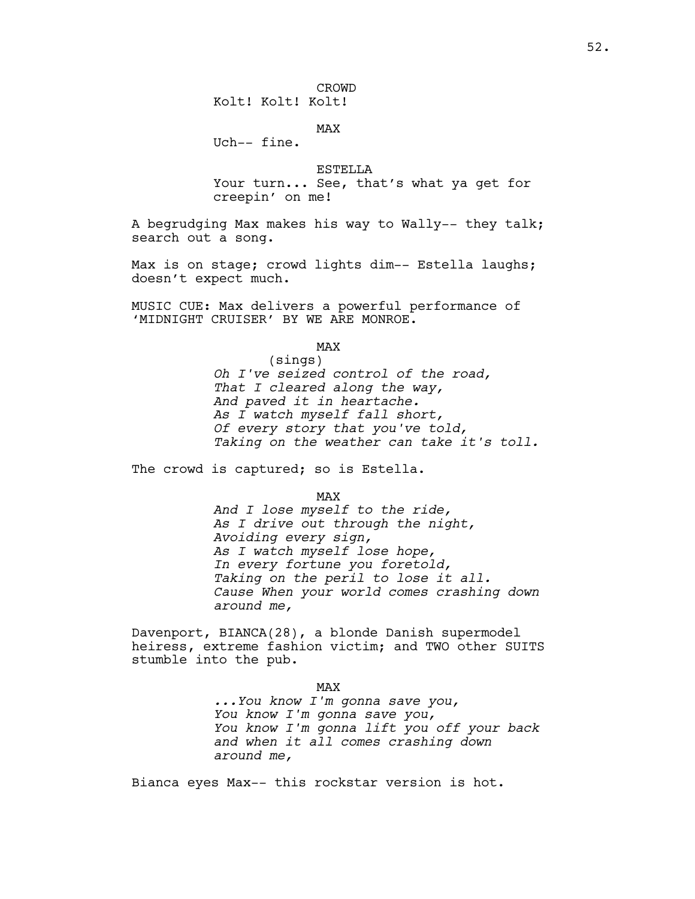Uch-- fine.

### ESTELLA

Your turn... See, that's what ya get for creepin' on me!

A begrudging Max makes his way to Wally-- they talk; search out a song.

Max is on stage; crowd lights dim-- Estella laughs; doesn't expect much.

MUSIC CUE: Max delivers a powerful performance of 'MIDNIGHT CRUISER' BY WE ARE MONROE.

MAX

(sings) *Oh I've seized control of the road, That I cleared along the way, And paved it in heartache. As I watch myself fall short, Of every story that you've told, Taking on the weather can take it's toll.*

The crowd is captured; so is Estella.

MAX

*And I lose myself to the ride, As I drive out through the night, Avoiding every sign, As I watch myself lose hope, In every fortune you foretold, Taking on the peril to lose it all. Cause When your world comes crashing down around me,*

Davenport, BIANCA(28), a blonde Danish supermodel heiress, extreme fashion victim; and TWO other SUITS stumble into the pub.

MAX

*...You know I'm gonna save you, You know I'm gonna save you, You know I'm gonna lift you off your back and when it all comes crashing down around me,*

Bianca eyes Max-- this rockstar version is hot.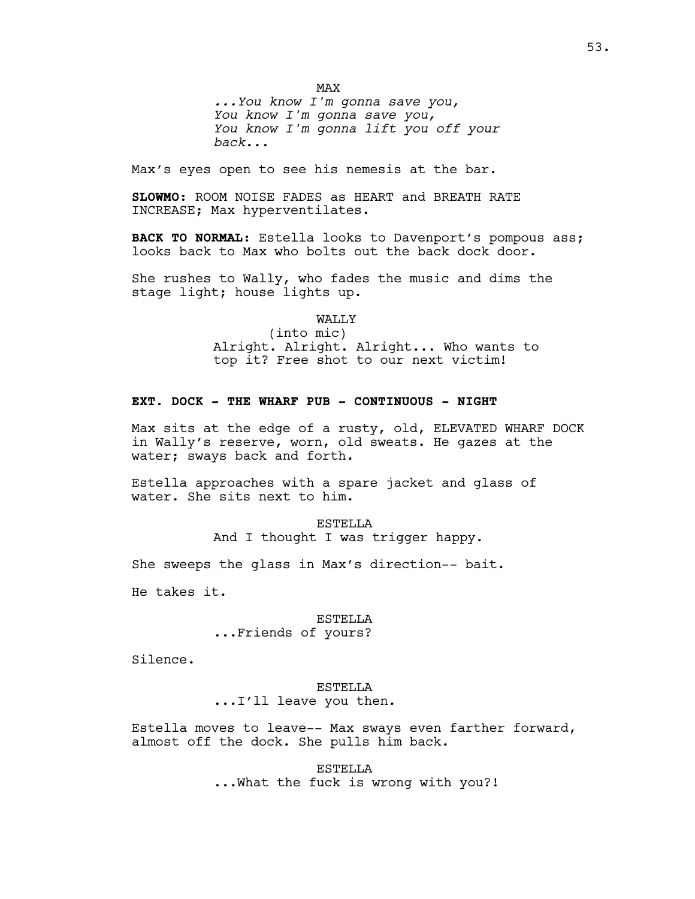*...You know I'm gonna save you, You know I'm gonna save you, You know I'm gonna lift you off your back...*

Max's eyes open to see his nemesis at the bar.

**SLOWMO:** ROOM NOISE FADES as HEART and BREATH RATE INCREASE; Max hyperventilates.

**BACK TO NORMAL:** Estella looks to Davenport's pompous ass; looks back to Max who bolts out the back dock door.

She rushes to Wally, who fades the music and dims the stage light; house lights up.

### WALLY

(into mic) Alright. Alright. Alright... Who wants to top it? Free shot to our next victim!

# **EXT. DOCK - THE WHARF PUB - CONTINUOUS - NIGHT**

Max sits at the edge of a rusty, old, ELEVATED WHARF DOCK in Wally's reserve, worn, old sweats. He gazes at the water; sways back and forth.

Estella approaches with a spare jacket and glass of water. She sits next to him.

> ESTELLA And I thought I was trigger happy.

She sweeps the glass in Max's direction-- bait.

He takes it.

ESTELLA ...Friends of yours?

Silence.

# ESTELLA ...I'll leave you then.

Estella moves to leave-- Max sways even farther forward, almost off the dock. She pulls him back.

> ESTELLA ...What the fuck is wrong with you?!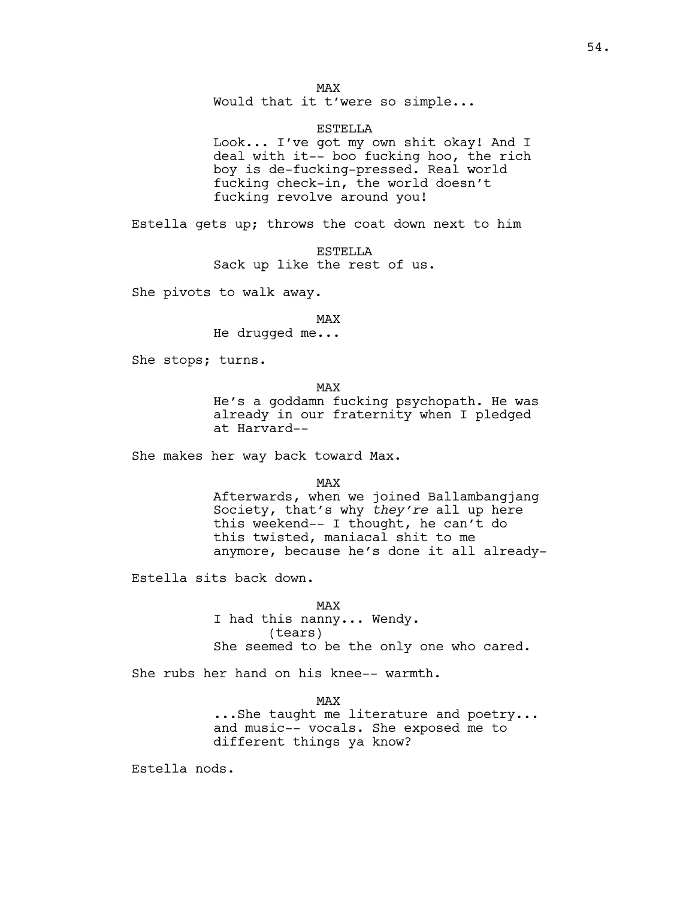Would that it t'were so simple...

#### **ESTELLA**

Look... I've got my own shit okay! And I deal with it-- boo fucking hoo, the rich boy is de-fucking-pressed. Real world fucking check-in, the world doesn't fucking revolve around you!

Estella gets up; throws the coat down next to him

ESTELLA Sack up like the rest of us.

She pivots to walk away.

MAX

He drugged me...

She stops; turns.

MAX

He's a goddamn fucking psychopath. He was already in our fraternity when I pledged at Harvard--

She makes her way back toward Max.

MAX

Afterwards, when we joined Ballambangjang Society, that's why *they're* all up here this weekend-- I thought, he can't do this twisted, maniacal shit to me anymore, because he's done it all already-

Estella sits back down.

#### MAX

I had this nanny... Wendy. (tears) She seemed to be the only one who cared.

She rubs her hand on his knee-- warmth.

MAX ...She taught me literature and poetry... and music-- vocals. She exposed me to different things ya know?

Estella nods.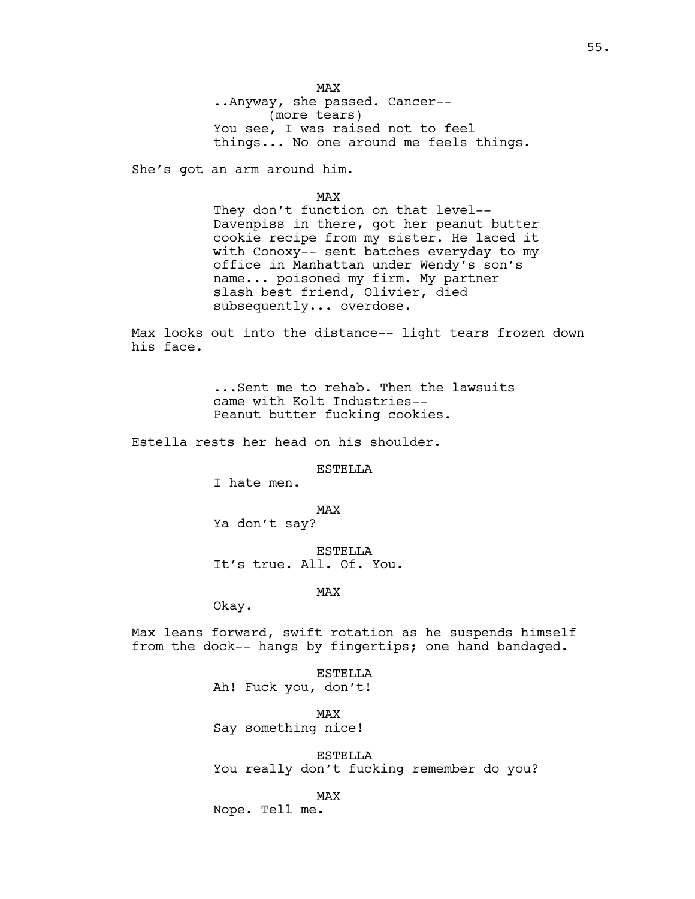MAX ..Anyway, she passed. Cancer-- (more tears) You see, I was raised not to feel things... No one around me feels things.

She's got an arm around him.

#### MAX

They don't function on that level-- Davenpiss in there, got her peanut butter cookie recipe from my sister. He laced it with Conoxy-- sent batches everyday to my office in Manhattan under Wendy's son's name... poisoned my firm. My partner slash best friend, Olivier, died subsequently... overdose.

Max looks out into the distance-- light tears frozen down his face.

> ...Sent me to rehab. Then the lawsuits came with Kolt Industries-- Peanut butter fucking cookies.

Estella rests her head on his shoulder.

### ESTELLA

I hate men.

### MAX

Ya don't say?

ESTELLA It's true. All. Of. You.

MAX

Okay.

Max leans forward, swift rotation as he suspends himself from the dock-- hangs by fingertips; one hand bandaged.

> ESTELLA Ah! Fuck you, don't!

MAX Say something nice!

ESTELLA You really don't fucking remember do you?

MAX

Nope. Tell me.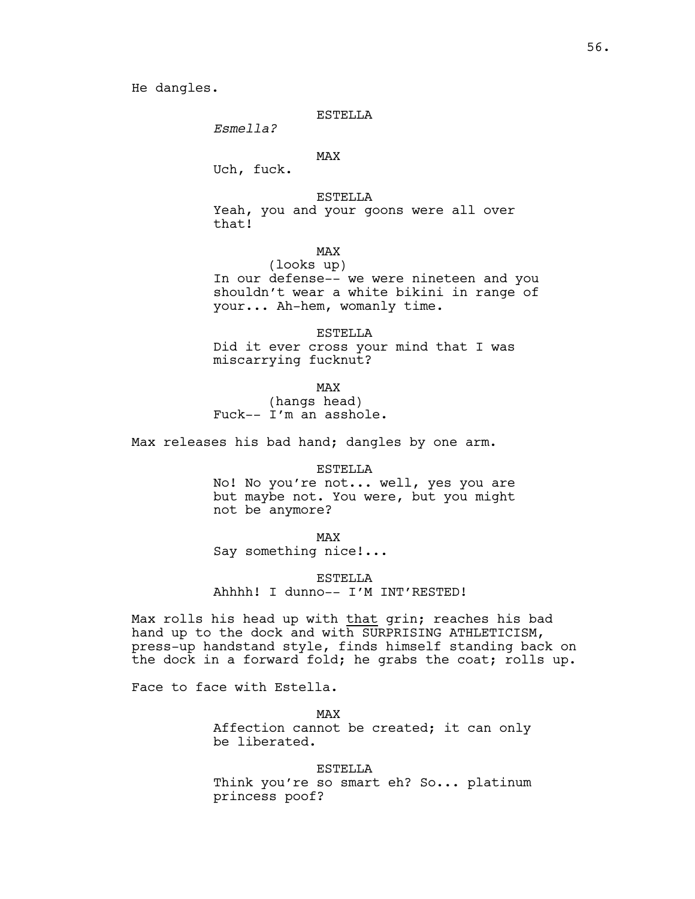He dangles.

### **ESTELLA**

*Esmella?*

# MAX

Uch, fuck.

ESTELLA

Yeah, you and your goons were all over that!

MAX

(looks up)

In our defense-- we were nineteen and you shouldn't wear a white bikini in range of your... Ah-hem, womanly time.

ESTELLA Did it ever cross your mind that I was miscarrying fucknut?

MAX

(hangs head) Fuck-- I'm an asshole.

Max releases his bad hand; dangles by one arm.

ESTELLA

No! No you're not... well, yes you are but maybe not. You were, but you might not be anymore?

MAX

Say something nice!...

ESTELLA Ahhhh! I dunno-- I'M INT'RESTED!

Max rolls his head up with that grin; reaches his bad hand up to the dock and with SURPRISING ATHLETICISM, press-up handstand style, finds himself standing back on the dock in a forward fold; he grabs the coat; rolls up.

Face to face with Estella.

MAX Affection cannot be created; it can only be liberated.

ESTELLA Think you're so smart eh? So... platinum princess poof?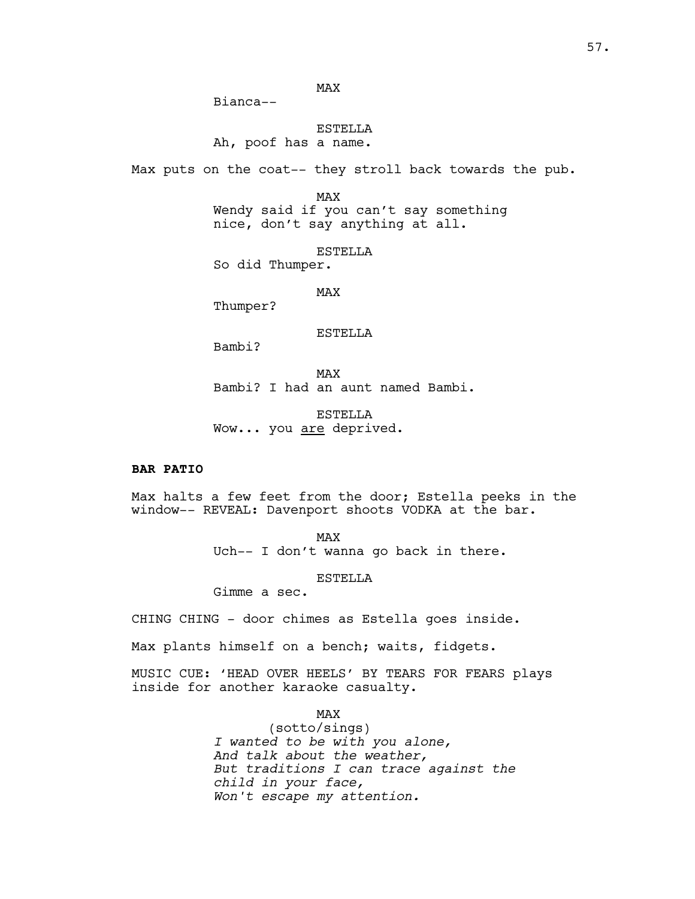Bianca--

# ESTELLA Ah, poof has a name.

Max puts on the coat-- they stroll back towards the pub.

MAX

Wendy said if you can't say something nice, don't say anything at all.

ESTELLA

So did Thumper.

MAX

Thumper?

### ESTELLA

Bambi?

MAX Bambi? I had an aunt named Bambi.

ESTELLA Wow... you are deprived.

# **BAR PATIO**

Max halts a few feet from the door; Estella peeks in the window-- REVEAL: Davenport shoots VODKA at the bar.

MAX

Uch-- I don't wanna go back in there.

ESTELLA

Gimme a sec.

CHING CHING - door chimes as Estella goes inside.

Max plants himself on a bench; waits, fidgets.

MUSIC CUE: 'HEAD OVER HEELS' BY TEARS FOR FEARS plays inside for another karaoke casualty.

## MAX

(sotto/sings) *I wanted to be with you alone, And talk about the weather, But traditions I can trace against the child in your face, Won't escape my attention.*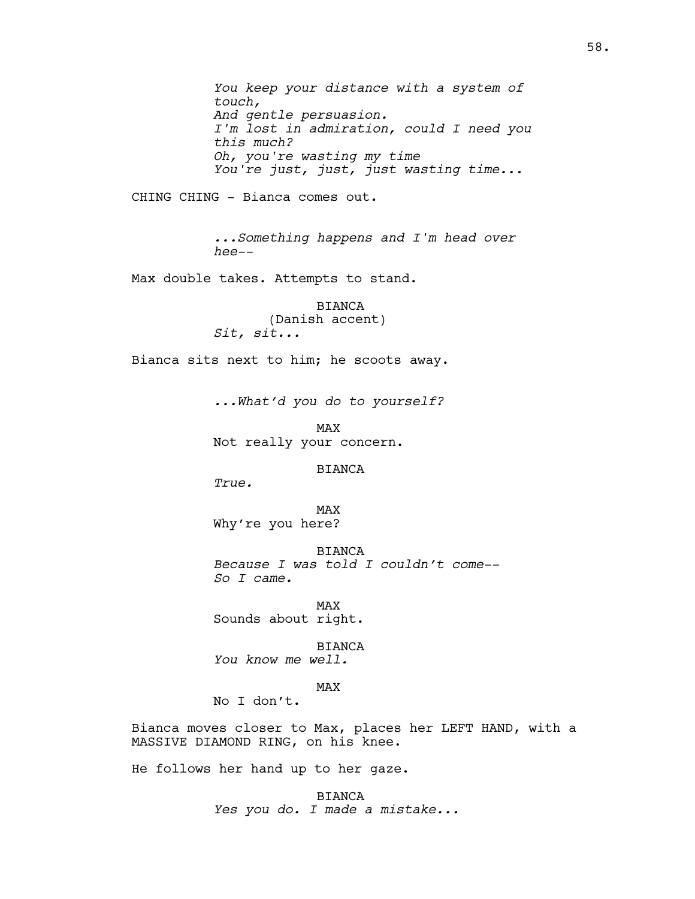*You keep your distance with a system of touch, And gentle persuasion. I'm lost in admiration, could I need you this much? Oh, you're wasting my time You're just, just, just wasting time...*

CHING CHING - Bianca comes out.

*...Something happens and I'm head over hee--*

Max double takes. Attempts to stand.

BIANCA (Danish accent) *Sit, sit...*

Bianca sits next to him; he scoots away.

*...What'd you do to yourself?*

MAX Not really your concern.

BIANCA

*True.*

MAX Why're you here?

BIANCA *Because I was told I couldn't come-- So I came.*

MAX Sounds about right.

BIANCA *You know me well.*

MAX

No I don't.

Bianca moves closer to Max, places her LEFT HAND, with a MASSIVE DIAMOND RING, on his knee.

He follows her hand up to her gaze.

BIANCA *Yes you do. I made a mistake...*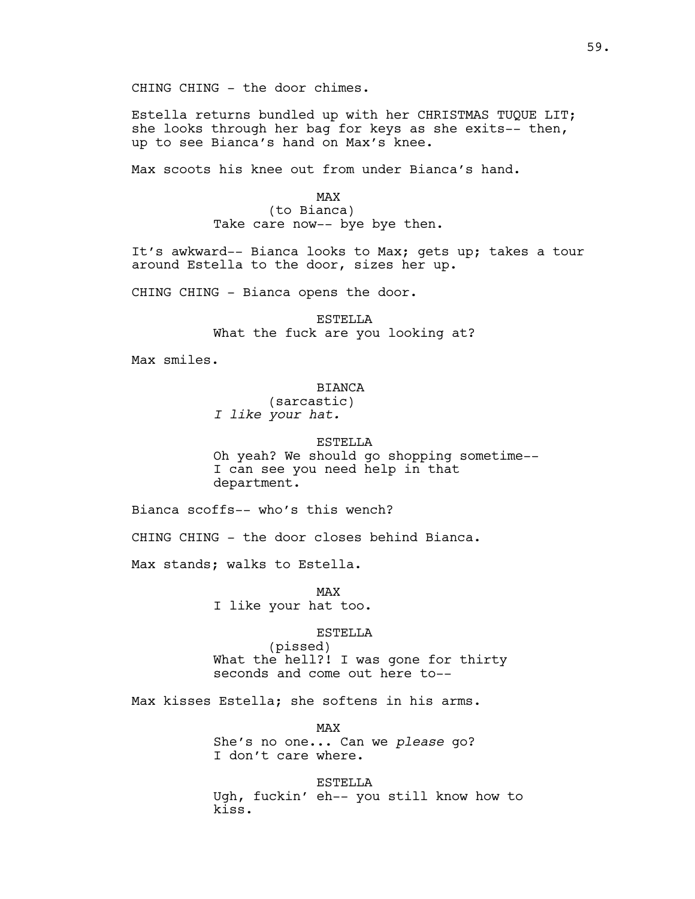CHING CHING - the door chimes.

Estella returns bundled up with her CHRISTMAS TUQUE LIT; she looks through her bag for keys as she exits-- then, up to see Bianca's hand on Max's knee.

Max scoots his knee out from under Bianca's hand.

MAX

(to Bianca) Take care now-- bye bye then.

It's awkward-- Bianca looks to Max; gets up; takes a tour around Estella to the door, sizes her up.

CHING CHING - Bianca opens the door.

ESTELLA What the fuck are you looking at?

Max smiles.

### BIANCA

(sarcastic) *I like your hat.*

#### ESTELLA

Oh yeah? We should go shopping sometime-- I can see you need help in that department.

Bianca scoffs-- who's this wench?

CHING CHING - the door closes behind Bianca.

Max stands; walks to Estella.

MAX I like your hat too.

#### ESTELLA

(pissed) What the hell?! I was gone for thirty seconds and come out here to--

Max kisses Estella; she softens in his arms.

MAX She's no one... Can we *please* go? I don't care where.

ESTELLA Ugh, fuckin' eh-- you still know how to kiss.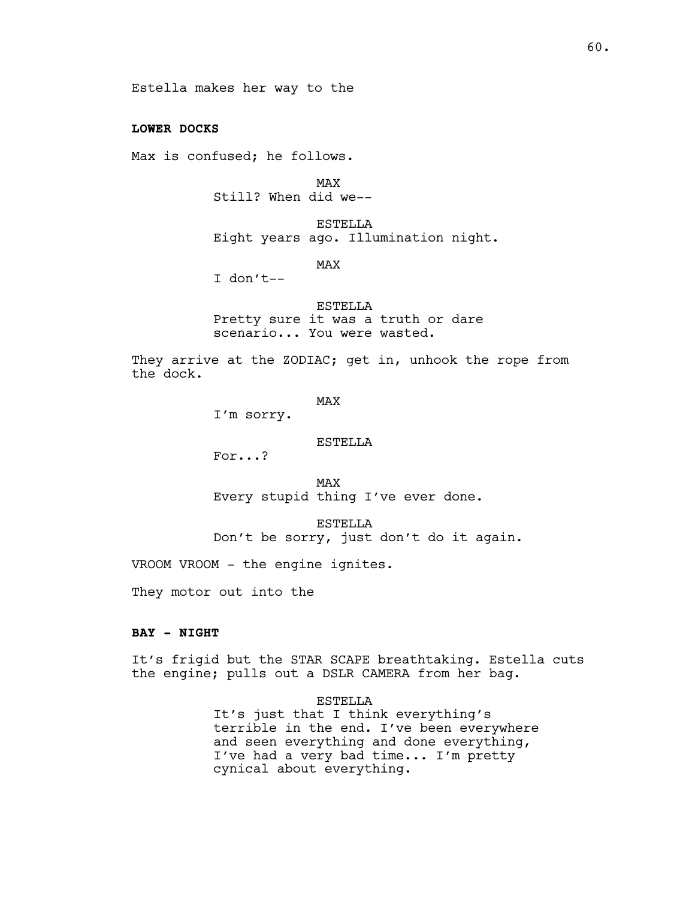### **LOWER DOCKS**

Max is confused; he follows.

MAX Still? When did we--

ESTELLA Eight years ago. Illumination night.

MAX

I don't--

ESTELLA Pretty sure it was a truth or dare scenario... You were wasted.

They arrive at the ZODIAC; get in, unhook the rope from the dock.

### MAX

I'm sorry.

### ESTELLA

For...?

MAX Every stupid thing I've ever done.

ESTELLA Don't be sorry, just don't do it again.

VROOM VROOM - the engine ignites.

They motor out into the

### **BAY - NIGHT**

It's frigid but the STAR SCAPE breathtaking. Estella cuts the engine; pulls out a DSLR CAMERA from her bag.

> ESTELLA It's just that I think everything's terrible in the end. I've been everywhere and seen everything and done everything, I've had a very bad time... I'm pretty cynical about everything.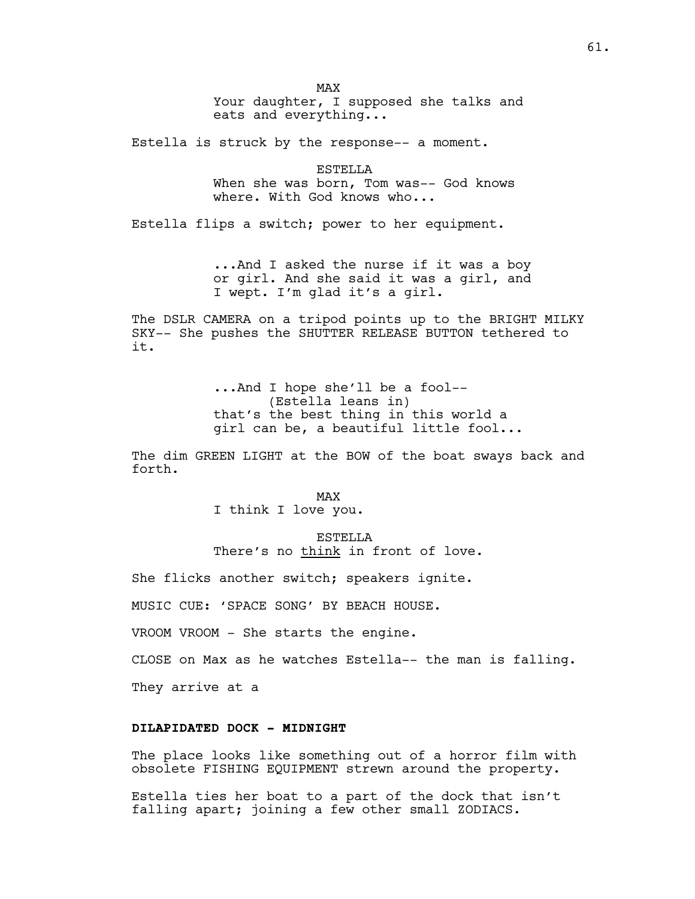MAX Your daughter, I supposed she talks and eats and everything...

Estella is struck by the response-- a moment.

ESTELLA When she was born, Tom was-- God knows where. With God knows who...

Estella flips a switch; power to her equipment.

...And I asked the nurse if it was a boy or girl. And she said it was a girl, and I wept. I'm glad it's a girl.

The DSLR CAMERA on a tripod points up to the BRIGHT MILKY SKY-- She pushes the SHUTTER RELEASE BUTTON tethered to it.

> ...And I hope she'll be a fool-- (Estella leans in) that's the best thing in this world a girl can be, a beautiful little fool...

The dim GREEN LIGHT at the BOW of the boat sways back and forth.

> MAX I think I love you.

**ESTELLA** There's no think in front of love.

She flicks another switch; speakers ignite.

MUSIC CUE: 'SPACE SONG' BY BEACH HOUSE.

VROOM VROOM - She starts the engine.

CLOSE on Max as he watches Estella-- the man is falling.

They arrive at a

### **DILAPIDATED DOCK - MIDNIGHT**

The place looks like something out of a horror film with obsolete FISHING EQUIPMENT strewn around the property.

Estella ties her boat to a part of the dock that isn't falling apart; joining a few other small ZODIACS.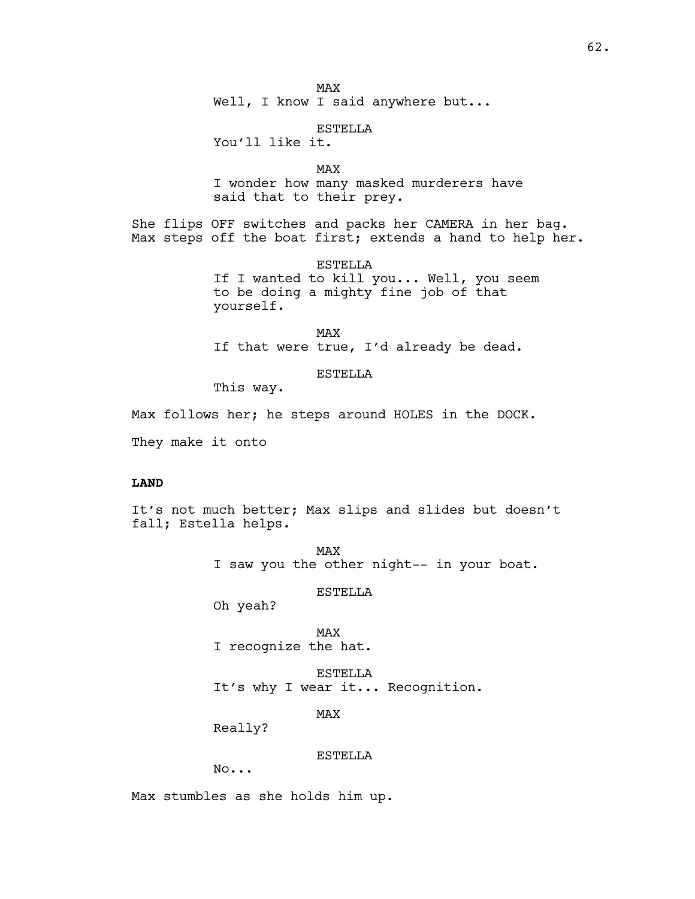62.

MAX Well, I know I said anywhere but...

ESTELLA

You'll like it.

MAX I wonder how many masked murderers have said that to their prey.

She flips OFF switches and packs her CAMERA in her bag. Max steps off the boat first; extends a hand to help her.

> ESTELLA If I wanted to kill you... Well, you seem to be doing a mighty fine job of that yourself.

> > MAX

If that were true, I'd already be dead.

ESTELLA

This way.

Max follows her; he steps around HOLES in the DOCK.

They make it onto

# **LAND**

It's not much better; Max slips and slides but doesn't fall; Estella helps.

> MAX I saw you the other night-- in your boat.

> > ESTELLA

Oh yeah?

MAX I recognize the hat.

ESTELLA It's why I wear it... Recognition.

MAX

Really?

ESTELLA

No...

Max stumbles as she holds him up.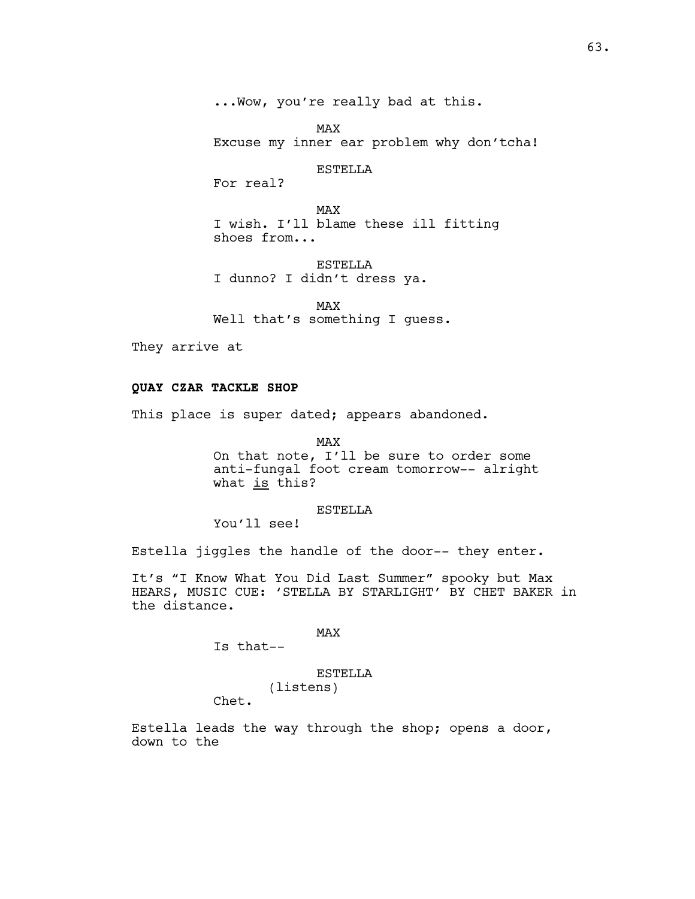...Wow, you're really bad at this.

MAX Excuse my inner ear problem why don'tcha!

ESTELLA

For real?

MAX I wish. I'll blame these ill fitting shoes from...

ESTELLA I dunno? I didn't dress ya.

MAX Well that's something I quess.

They arrive at

# **QUAY CZAR TACKLE SHOP**

This place is super dated; appears abandoned.

MAX

On that note, I'll be sure to order some anti-fungal foot cream tomorrow-- alright what is this?

### ESTELLA

You'll see!

Estella jiggles the handle of the door-- they enter.

It's "I Know What You Did Last Summer" spooky but Max HEARS, MUSIC CUE: 'STELLA BY STARLIGHT' BY CHET BAKER in the distance.

MAX

(listens)

Is that--

# ESTELLA

Chet.

Estella leads the way through the shop; opens a door, down to the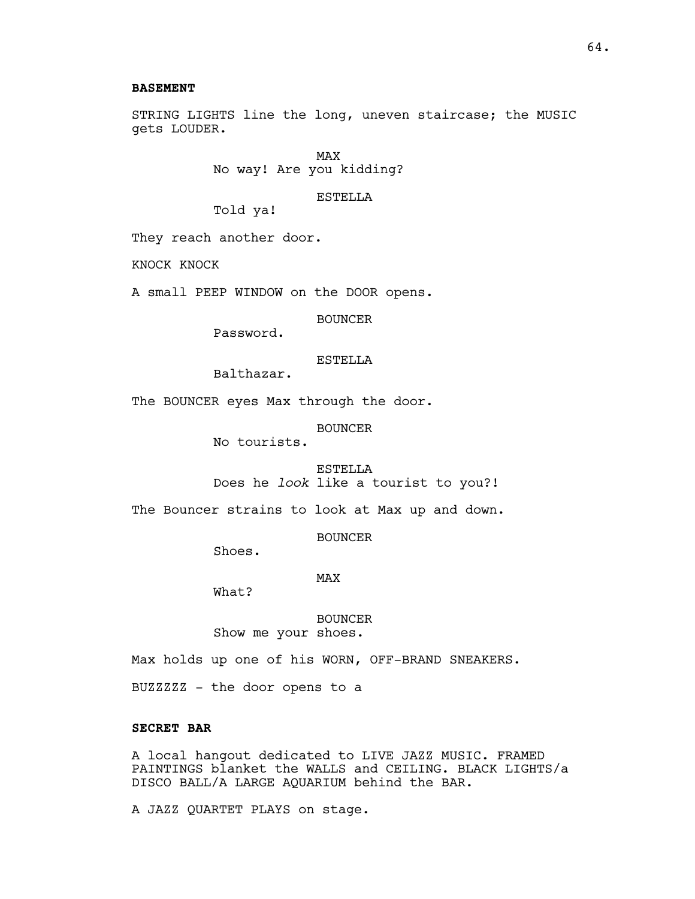STRING LIGHTS line the long, uneven staircase; the MUSIC gets LOUDER.

> MAX No way! Are you kidding?

> > ESTELLA

Told ya!

They reach another door.

KNOCK KNOCK

A small PEEP WINDOW on the DOOR opens.

BOUNCER

Password.

### ESTELLA

Balthazar.

The BOUNCER eyes Max through the door.

BOUNCER

No tourists.

ESTELLA Does he *look* like a tourist to you?!

The Bouncer strains to look at Max up and down.

BOUNCER

Shoes.

MAX

What?

BOUNCER Show me your shoes.

Max holds up one of his WORN, OFF-BRAND SNEAKERS.

BUZZZZZ - the door opens to a

## **SECRET BAR**

A local hangout dedicated to LIVE JAZZ MUSIC. FRAMED PAINTINGS blanket the WALLS and CEILING. BLACK LIGHTS/a DISCO BALL/A LARGE AQUARIUM behind the BAR.

A JAZZ QUARTET PLAYS on stage.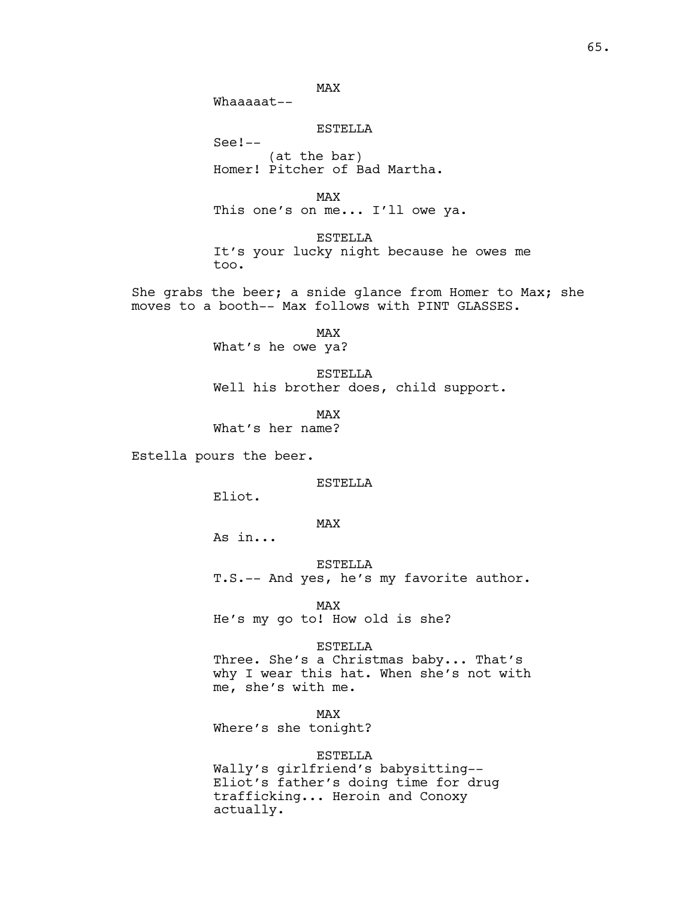Whaaaaat--

#### ESTELLA

See!-- (at the bar) Homer! Pitcher of Bad Martha.

MAX This one's on me... I'll owe ya.

ESTELLA It's your lucky night because he owes me too.

She grabs the beer; a snide glance from Homer to Max; she moves to a booth-- Max follows with PINT GLASSES.

> MAX What's he owe ya?

ESTELLA Well his brother does, child support.

MAX What's her name?

Estella pours the beer.

ESTELLA

Eliot.

MAX

As in...

ESTELLA T.S.-- And yes, he's my favorite author.

MAX He's my go to! How old is she?

ESTELLA Three. She's a Christmas baby... That's why I wear this hat. When she's not with me, she's with me.

MAX Where's she tonight?

### ESTELLA

Wally's girlfriend's babysitting-- Eliot's father's doing time for drug trafficking... Heroin and Conoxy actually.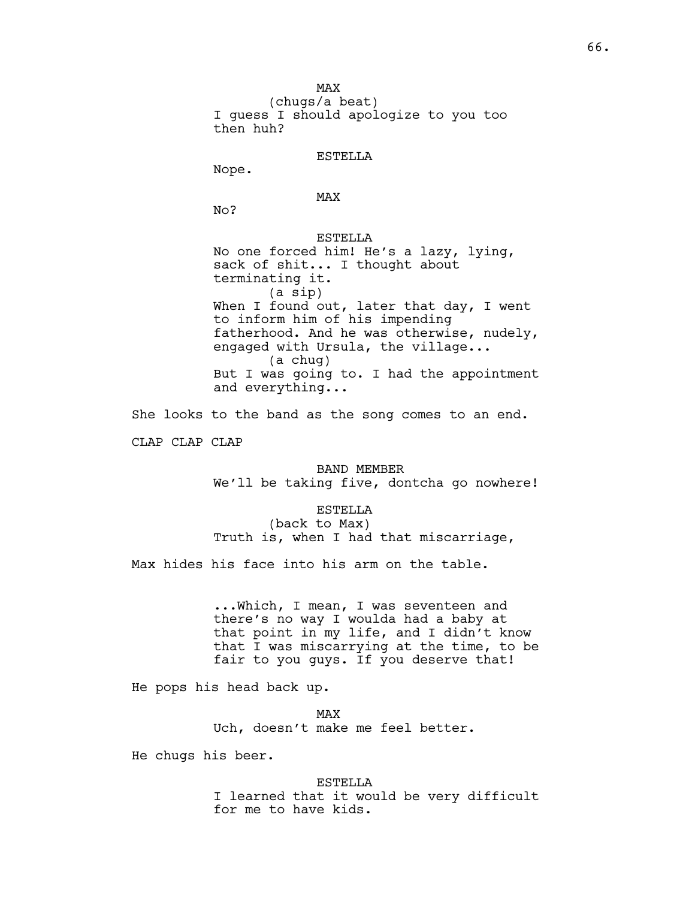MAX (chugs/a beat) I guess I should apologize to you too then huh?

ESTELLA

Nope.

MAX

No?

ESTELLA No one forced him! He's a lazy, lying, sack of shit... I thought about terminating it. (a sip) When I found out, later that day, I went to inform him of his impending fatherhood. And he was otherwise, nudely, engaged with Ursula, the village... (a chug) But I was going to. I had the appointment and everything...

She looks to the band as the song comes to an end.

CLAP CLAP CLAP

BAND MEMBER We'll be taking five, dontcha go nowhere!

> ESTELLA (back to Max)

Truth is, when I had that miscarriage,

Max hides his face into his arm on the table.

...Which, I mean, I was seventeen and there's no way I woulda had a baby at that point in my life, and I didn't know that I was miscarrying at the time, to be fair to you guys. If you deserve that!

He pops his head back up.

MAX Uch, doesn't make me feel better.

He chugs his beer.

ESTELLA

I learned that it would be very difficult for me to have kids.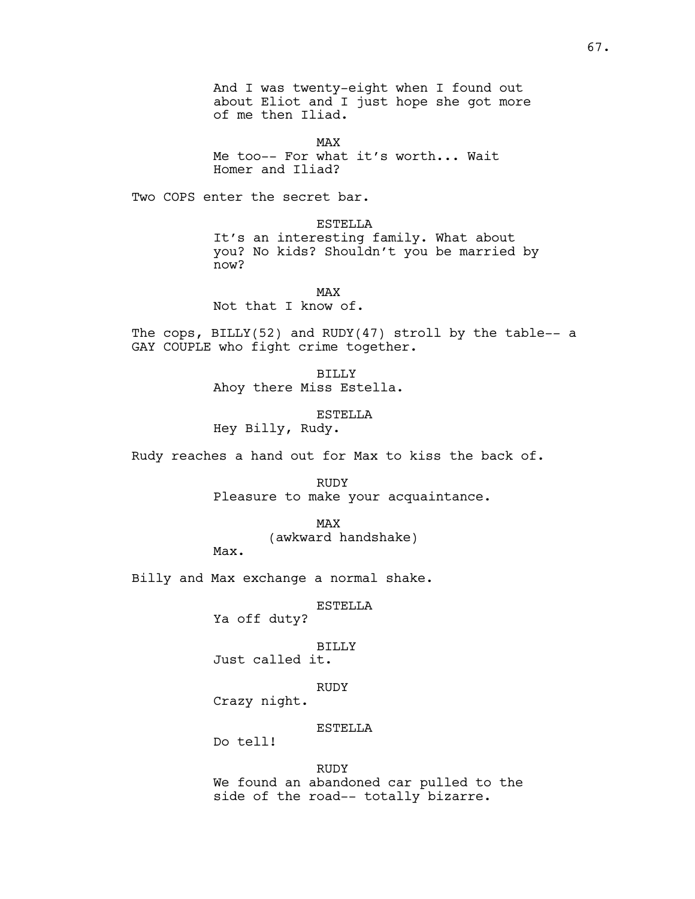And I was twenty-eight when I found out about Eliot and I just hope she got more of me then Iliad.

MAX Me too-- For what it's worth... Wait Homer and Iliad?

Two COPS enter the secret bar.

ESTELLA It's an interesting family. What about you? No kids? Shouldn't you be married by now?

MAX Not that I know of.

The cops, BILLY(52) and RUDY(47) stroll by the table-- a GAY COUPLE who fight crime together.

> BILLY Ahoy there Miss Estella.

ESTELLA Hey Billy, Rudy.

Rudy reaches a hand out for Max to kiss the back of.

RUDY Pleasure to make your acquaintance.

> MAX (awkward handshake)

Max.

Billy and Max exchange a normal shake.

ESTELLA

Ya off duty?

BILLY

Just called it.

RUDY

Crazy night.

#### ESTELLA

Do tell!

RUDY We found an abandoned car pulled to the side of the road-- totally bizarre.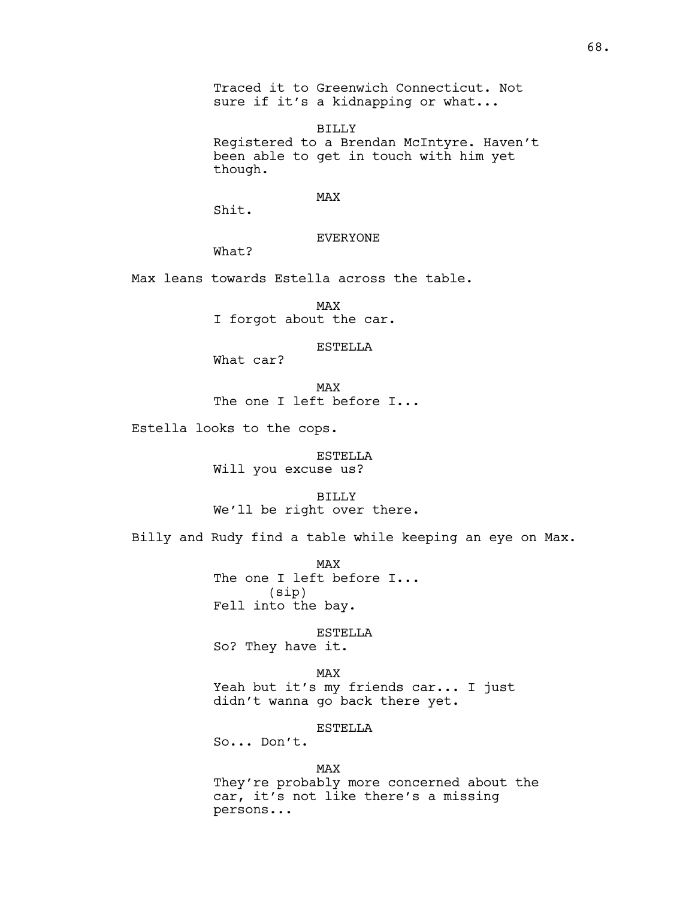Traced it to Greenwich Connecticut. Not sure if it's a kidnapping or what...

BILLY Registered to a Brendan McIntyre. Haven't been able to get in touch with him yet though.

### MAX

Shit.

### EVERYONE

What?

Max leans towards Estella across the table.

MAX I forgot about the car.

### ESTELLA

What car?

MAX

The one I left before I...

Estella looks to the cops.

ESTELLA Will you excuse us?

BILLY We'll be right over there.

Billy and Rudy find a table while keeping an eye on Max.

MAX The one I left before I... (sip) Fell into the bay.

ESTELLA So? They have it.

MAX Yeah but it's my friends car... I just didn't wanna go back there yet.

ESTELLA

So... Don't.

## MAX

They're probably more concerned about the car, it's not like there's a missing persons...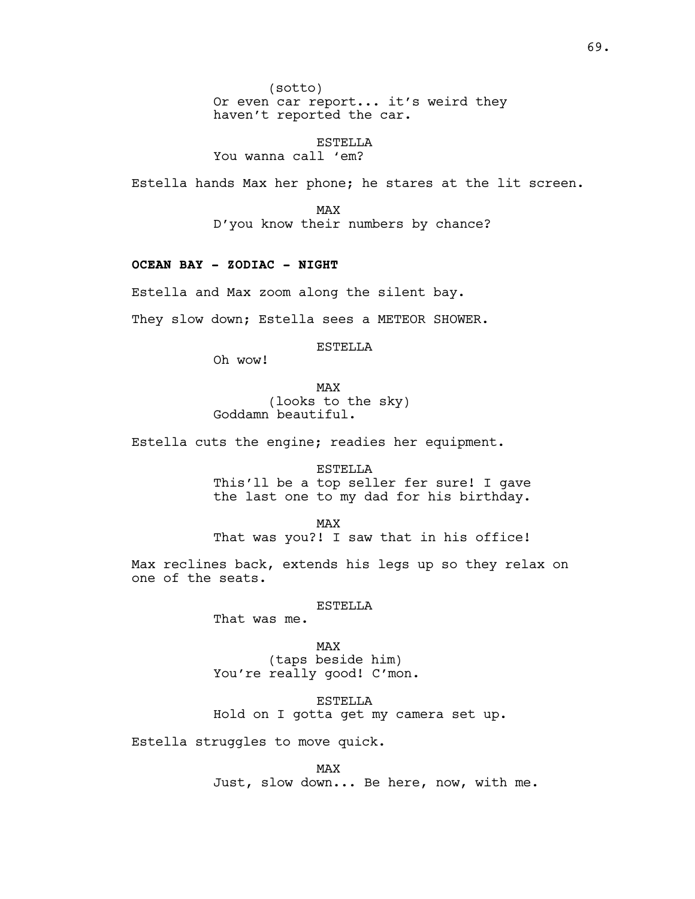(sotto) Or even car report... it's weird they haven't reported the car.

ESTELLA You wanna call 'em?

Estella hands Max her phone; he stares at the lit screen.

MAX D'you know their numbers by chance?

### **OCEAN BAY - ZODIAC - NIGHT**

Estella and Max zoom along the silent bay.

They slow down; Estella sees a METEOR SHOWER.

ESTELLA

Oh wow!

### MAX

(looks to the sky) Goddamn beautiful.

Estella cuts the engine; readies her equipment.

ESTELLA This'll be a top seller fer sure! I gave the last one to my dad for his birthday.

MAX

That was you?! I saw that in his office!

Max reclines back, extends his legs up so they relax on one of the seats.

#### ESTELLA

That was me.

MAX

(taps beside him) You're really good! C'mon.

ESTELLA

Hold on I gotta get my camera set up.

Estella struggles to move quick.

MAX Just, slow down... Be here, now, with me.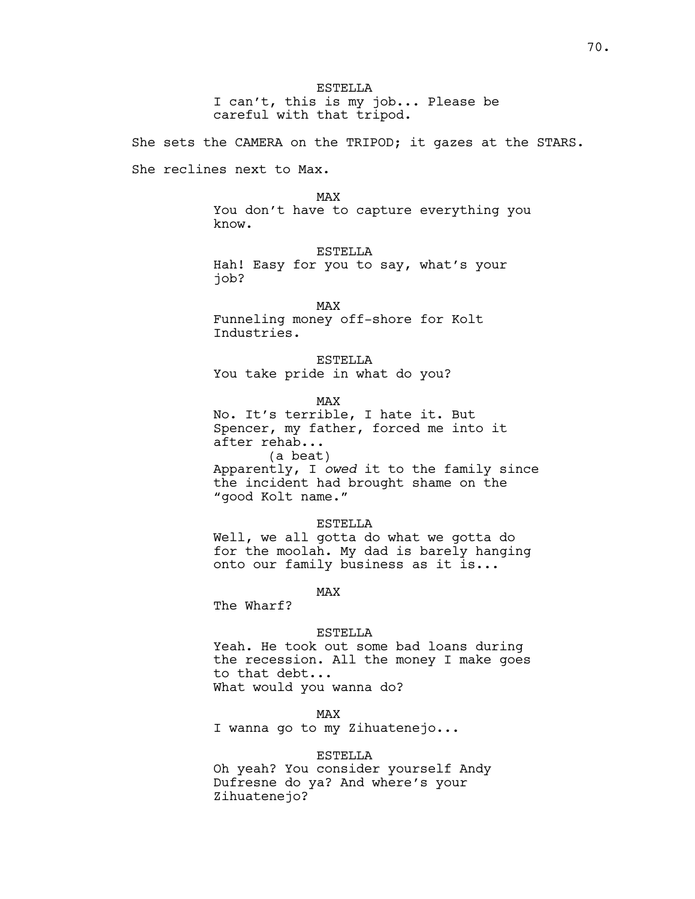ESTELLA I can't, this is my job... Please be careful with that tripod.

She sets the CAMERA on the TRIPOD; it gazes at the STARS.

She reclines next to Max.

#### MAX

You don't have to capture everything you know.

ESTELLA

Hah! Easy for you to say, what's your job?

MAX Funneling money off-shore for Kolt Industries.

ESTELLA You take pride in what do you?

MAX

No. It's terrible, I hate it. But Spencer, my father, forced me into it after rehab... (a beat)

Apparently, I *owed* it to the family since the incident had brought shame on the "good Kolt name."

#### ESTELLA

Well, we all gotta do what we gotta do for the moolah. My dad is barely hanging onto our family business as it is...

MAX

The Wharf?

#### ESTELLA

Yeah. He took out some bad loans during the recession. All the money I make goes to that debt... What would you wanna do?

MAX

I wanna go to my Zihuatenejo...

### ESTELLA

Oh yeah? You consider yourself Andy Dufresne do ya? And where's your Zihuatenejo?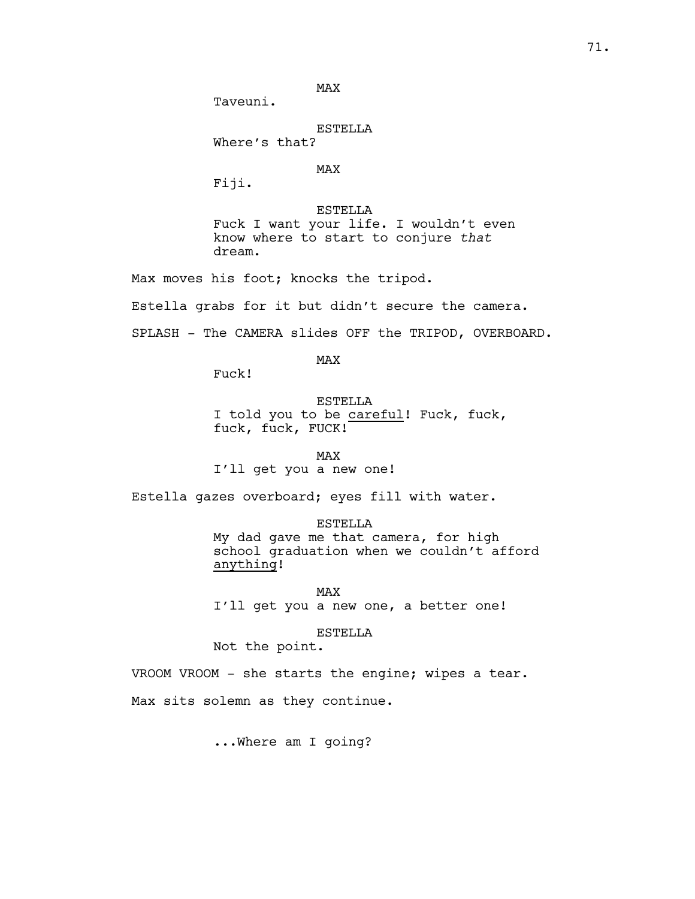Taveuni.

ESTELLA Where's that?

MAX

Fiji.

ESTELLA Fuck I want your life. I wouldn't even know where to start to conjure *that* dream.

Max moves his foot; knocks the tripod.

Estella grabs for it but didn't secure the camera.

SPLASH - The CAMERA slides OFF the TRIPOD, OVERBOARD.

MAX

Fuck!

ESTELLA

I told you to be careful! Fuck, fuck, fuck, fuck, FUCK!

#### MAX

I'll get you a new one!

Estella gazes overboard; eyes fill with water.

ESTELLA

My dad gave me that camera, for high school graduation when we couldn't afford anything!

MAX

I'll get you a new one, a better one!

ESTELLA

Not the point.

VROOM VROOM - she starts the engine; wipes a tear.

Max sits solemn as they continue.

...Where am I going?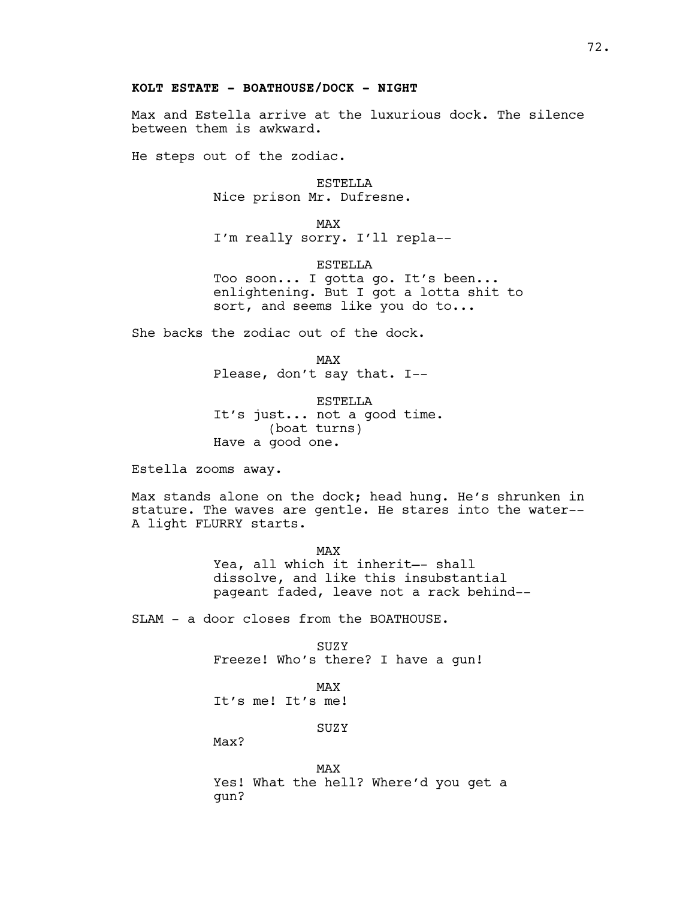# **KOLT ESTATE - BOATHOUSE/DOCK - NIGHT**

Max and Estella arrive at the luxurious dock. The silence between them is awkward.

He steps out of the zodiac.

ESTELLA Nice prison Mr. Dufresne.

MAX I'm really sorry. I'll repla--

ESTELLA Too soon... I gotta go. It's been... enlightening. But I got a lotta shit to sort, and seems like you do to...

She backs the zodiac out of the dock.

MAX

Please, don't say that. I--

ESTELLA It's just... not a good time. (boat turns) Have a good one.

Estella zooms away.

Max stands alone on the dock; head hung. He's shrunken in stature. The waves are gentle. He stares into the water-- A light FLURRY starts.

> MAX Yea, all which it inherit—- shall dissolve, and like this insubstantial pageant faded, leave not a rack behind--

SLAM - a door closes from the BOATHOUSE.

SUZY Freeze! Who's there? I have a gun!

MAX It's me! It's me!

SUZY

Max?

MAX Yes! What the hell? Where'd you get a gun?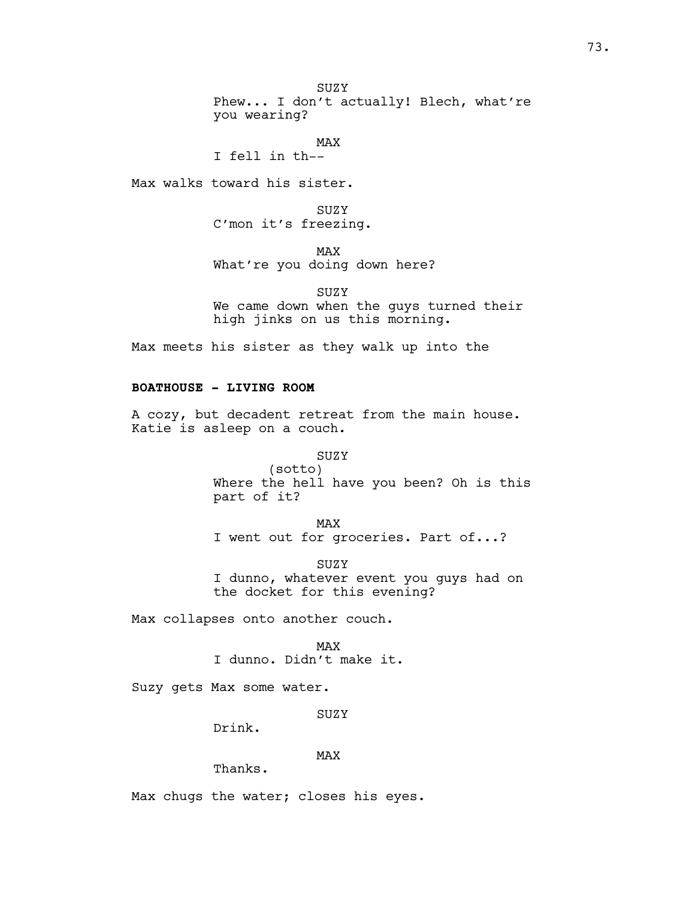SUZY Phew... I don't actually! Blech, what're you wearing?

MAX

I fell in th--

Max walks toward his sister.

SUZY C'mon it's freezing.

MAX

What're you doing down here?

**SUZY** 

We came down when the guys turned their high jinks on us this morning.

Max meets his sister as they walk up into the

# **BOATHOUSE - LIVING ROOM**

A cozy, but decadent retreat from the main house. Katie is asleep on a couch.

# SUZY

(sotto) Where the hell have you been? Oh is this part of it?

MAX I went out for groceries. Part of...?

SUZY I dunno, whatever event you guys had on the docket for this evening?

Max collapses onto another couch.

### MAX

I dunno. Didn't make it.

Suzy gets Max some water.

**SUZY** 

Drink.

# MAX

Thanks.

Max chugs the water; closes his eyes.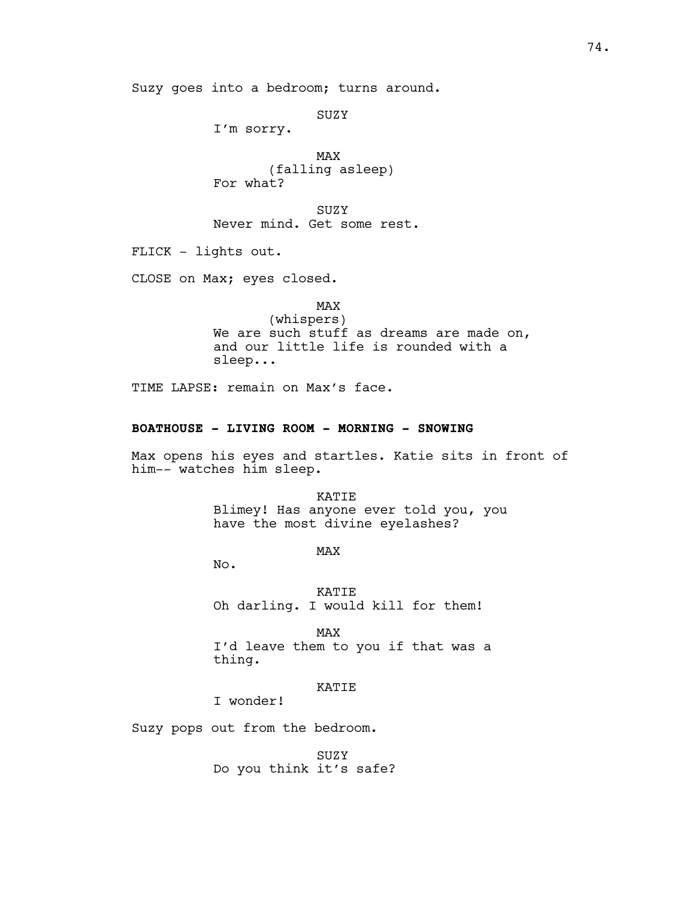```
SUZY
```
I'm sorry.

MAX (falling asleep) For what?

**SUZY** Never mind. Get some rest.

FLICK - lights out.

CLOSE on Max; eyes closed.

MAX

(whispers) We are such stuff as dreams are made on, and our little life is rounded with a sleep...

TIME LAPSE: remain on Max's face.

# **BOATHOUSE - LIVING ROOM - MORNING - SNOWING**

Max opens his eyes and startles. Katie sits in front of him-- watches him sleep.

> KATIE Blimey! Has anyone ever told you, you have the most divine eyelashes?

> > MAX

No.

KATIE Oh darling. I would kill for them!

MAX

I'd leave them to you if that was a thing.

# KATIE

I wonder!

Suzy pops out from the bedroom.

SUZY Do you think it's safe?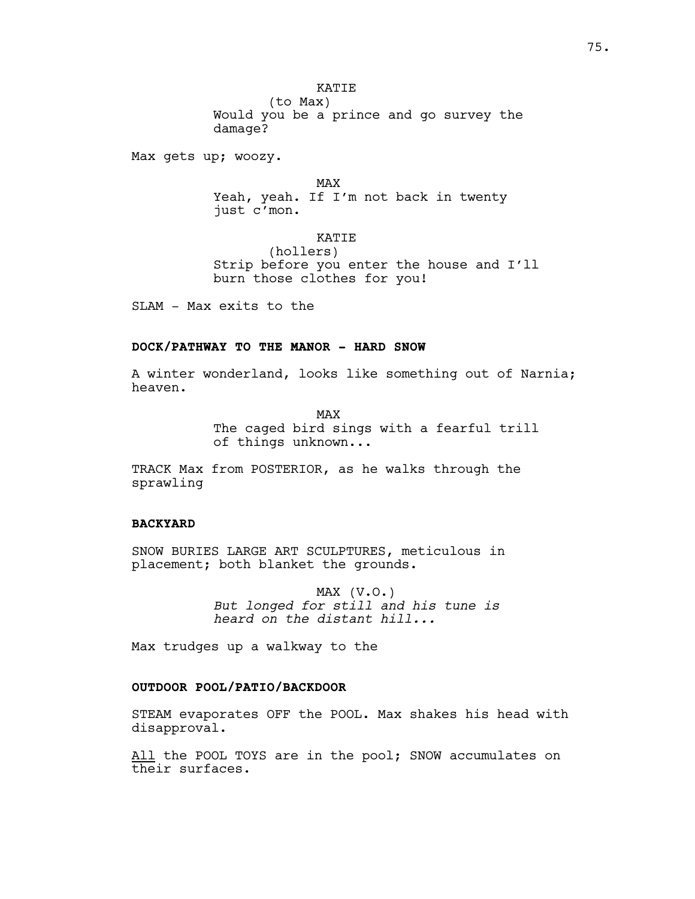# **KATTE**

(to Max) Would you be a prince and go survey the damage?

Max gets up; woozy.

MAX

Yeah, yeah. If I'm not back in twenty just c'mon.

KATIE

(hollers) Strip before you enter the house and I'll burn those clothes for you!

SLAM - Max exits to the

# **DOCK/PATHWAY TO THE MANOR - HARD SNOW**

A winter wonderland, looks like something out of Narnia; heaven.

> MAX The caged bird sings with a fearful trill of things unknown...

TRACK Max from POSTERIOR, as he walks through the sprawling

# **BACKYARD**

SNOW BURIES LARGE ART SCULPTURES, meticulous in placement; both blanket the grounds.

> MAX (V.O.) *But longed for still and his tune is heard on the distant hill...*

Max trudges up a walkway to the

# **OUTDOOR POOL/PATIO/BACKDOOR**

STEAM evaporates OFF the POOL. Max shakes his head with disapproval.

All the POOL TOYS are in the pool; SNOW accumulates on their surfaces.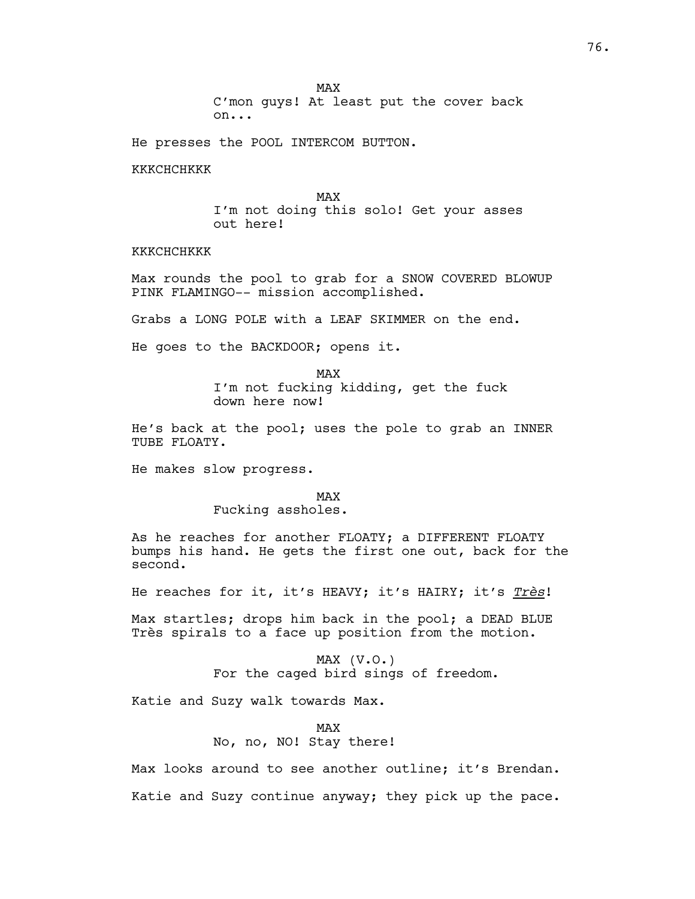He presses the POOL INTERCOM BUTTON.

KKKCHCHKKK

MAX I'm not doing this solo! Get your asses out here!

KKKCHCHKKK

Max rounds the pool to grab for a SNOW COVERED BLOWUP PINK FLAMINGO-- mission accomplished.

Grabs a LONG POLE with a LEAF SKIMMER on the end.

He goes to the BACKDOOR; opens it.

MAX I'm not fucking kidding, get the fuck down here now!

He's back at the pool; uses the pole to grab an INNER TUBE FLOATY.

He makes slow progress.

MAX

Fucking assholes.

As he reaches for another FLOATY; a DIFFERENT FLOATY bumps his hand. He gets the first one out, back for the second.

He reaches for it, it's HEAVY; it's HAIRY; it's *Très*!

Max startles; drops him back in the pool; a DEAD BLUE Très spirals to a face up position from the motion.

> $MAX (V.O.)$ For the caged bird sings of freedom.

Katie and Suzy walk towards Max.

MAX No, no, NO! Stay there!

Max looks around to see another outline; it's Brendan. Katie and Suzy continue anyway; they pick up the pace.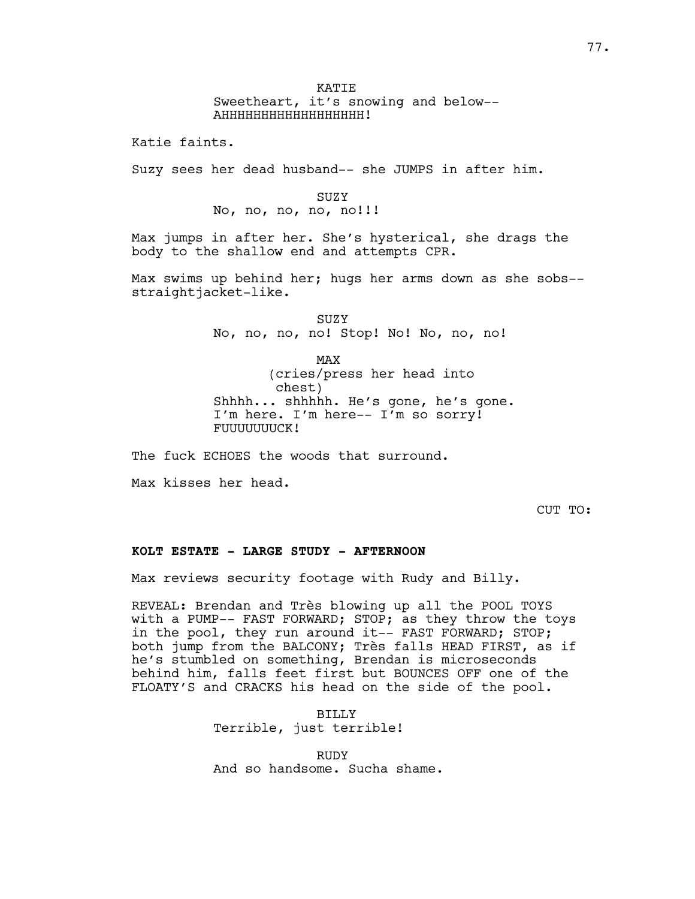# KATIE Sweetheart, it's snowing and below-- AHHHHHHHHHHHHHHHHHH!

Katie faints.

Suzy sees her dead husband-- she JUMPS in after him.

#### SUZY

No, no, no, no, no!!!

Max jumps in after her. She's hysterical, she drags the body to the shallow end and attempts CPR.

Max swims up behind her; hugs her arms down as she sobs- straightjacket-like.

> SUZY No, no, no, no! Stop! No! No, no, no!

MAX (cries/press her head into chest) Shhhh... shhhhh. He's gone, he's gone. I'm here. I'm here-- I'm so sorry! FUUUUUUUCK!

The fuck ECHOES the woods that surround.

Max kisses her head.

CUT TO:

## **KOLT ESTATE - LARGE STUDY - AFTERNOON**

Max reviews security footage with Rudy and Billy.

REVEAL: Brendan and Très blowing up all the POOL TOYS with a PUMP-- FAST FORWARD; STOP; as they throw the toys in the pool, they run around it-- FAST FORWARD; STOP; both jump from the BALCONY; Très falls HEAD FIRST, as if he's stumbled on something, Brendan is microseconds behind him, falls feet first but BOUNCES OFF one of the FLOATY'S and CRACKS his head on the side of the pool.

> BILLY Terrible, just terrible!

RUDY And so handsome. Sucha shame.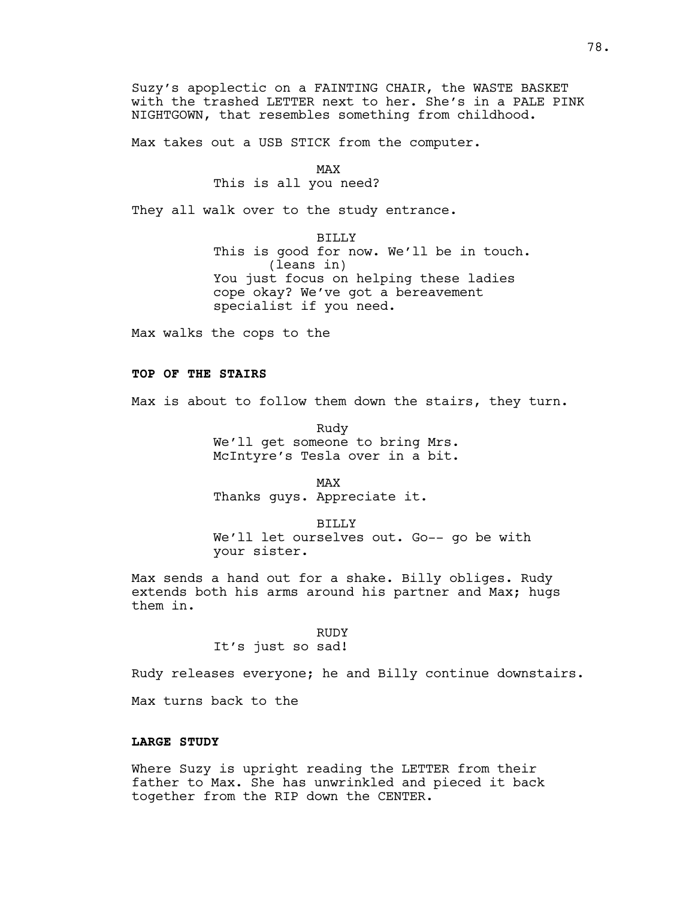Suzy's apoplectic on a FAINTING CHAIR, the WASTE BASKET with the trashed LETTER next to her. She's in a PALE PINK NIGHTGOWN, that resembles something from childhood.

Max takes out a USB STICK from the computer.

MAX

This is all you need?

They all walk over to the study entrance.

BILLY

This is good for now. We'll be in touch. (leans in) You just focus on helping these ladies cope okay? We've got a bereavement specialist if you need.

Max walks the cops to the

# **TOP OF THE STAIRS**

Max is about to follow them down the stairs, they turn.

Rudy We'll get someone to bring Mrs. McIntyre's Tesla over in a bit.

MAX

Thanks guys. Appreciate it.

BILLY

We'll let ourselves out. Go-- go be with your sister.

Max sends a hand out for a shake. Billy obliges. Rudy extends both his arms around his partner and Max; hugs them in.

RUDY

It's just so sad!

Rudy releases everyone; he and Billy continue downstairs.

Max turns back to the

## **LARGE STUDY**

Where Suzy is upright reading the LETTER from their father to Max. She has unwrinkled and pieced it back together from the RIP down the CENTER.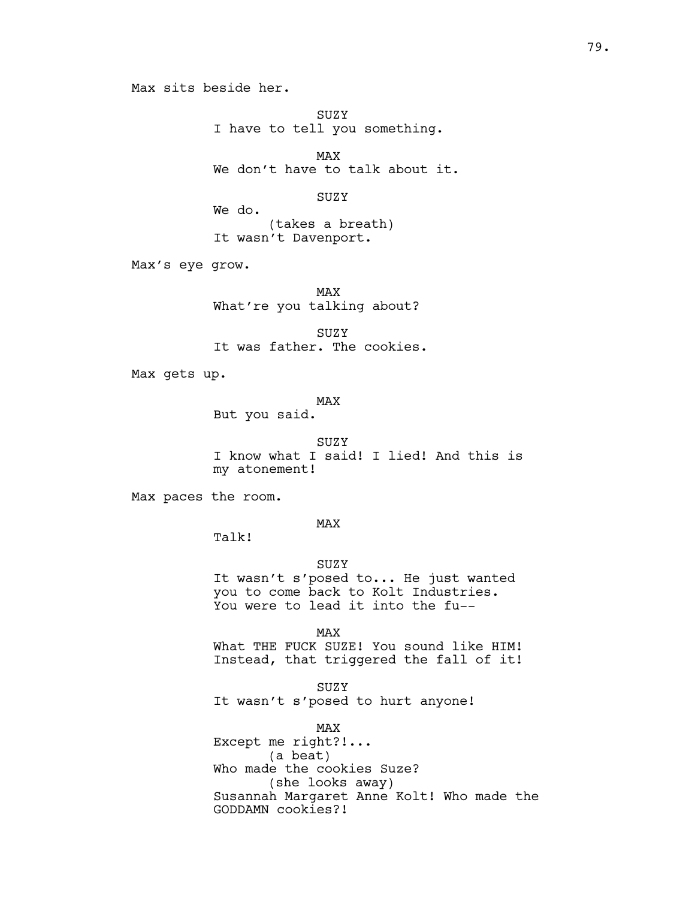Max sits beside her.

SUZY I have to tell you something.

MAX We don't have to talk about it.

SUZY We do. (takes a breath) It wasn't Davenport.

Max's eye grow.

MAX What're you talking about?

SUZY It was father. The cookies.

Max gets up.

# MAX

But you said.

SUZY I know what I said! I lied! And this is my atonement!

Max paces the room.

MAX

Talk!

SUZY

It wasn't s'posed to... He just wanted you to come back to Kolt Industries. You were to lead it into the fu--

MAX

What THE FUCK SUZE! You sound like HIM! Instead, that triggered the fall of it!

SUZY

It wasn't s'posed to hurt anyone!

MAX

Except me right?!... (a beat) Who made the cookies Suze? (she looks away) Susannah Margaret Anne Kolt! Who made the GODDAMN cookies?!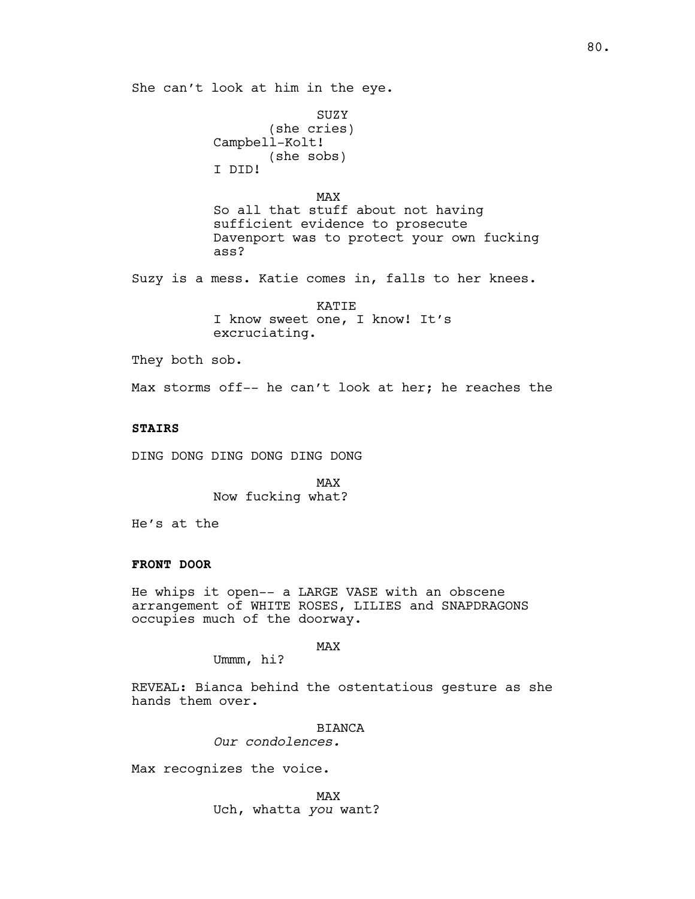SUZY (she cries) Campbell-Kolt! (she sobs) I DID!

MAX So all that stuff about not having sufficient evidence to prosecute Davenport was to protect your own fucking ass?

Suzy is a mess. Katie comes in, falls to her knees.

KATIE I know sweet one, I know! It's excruciating.

They both sob.

Max storms off-- he can't look at her; he reaches the

## **STAIRS**

DING DONG DING DONG DING DONG

MAX Now fucking what?

He's at the

# **FRONT DOOR**

He whips it open-- a LARGE VASE with an obscene arrangement of WHITE ROSES, LILIES and SNAPDRAGONS occupies much of the doorway.

MAX

Ummm, hi?

REVEAL: Bianca behind the ostentatious gesture as she hands them over.

BIANCA

*Our condolences.*

Max recognizes the voice.

MAX Uch, whatta *you* want?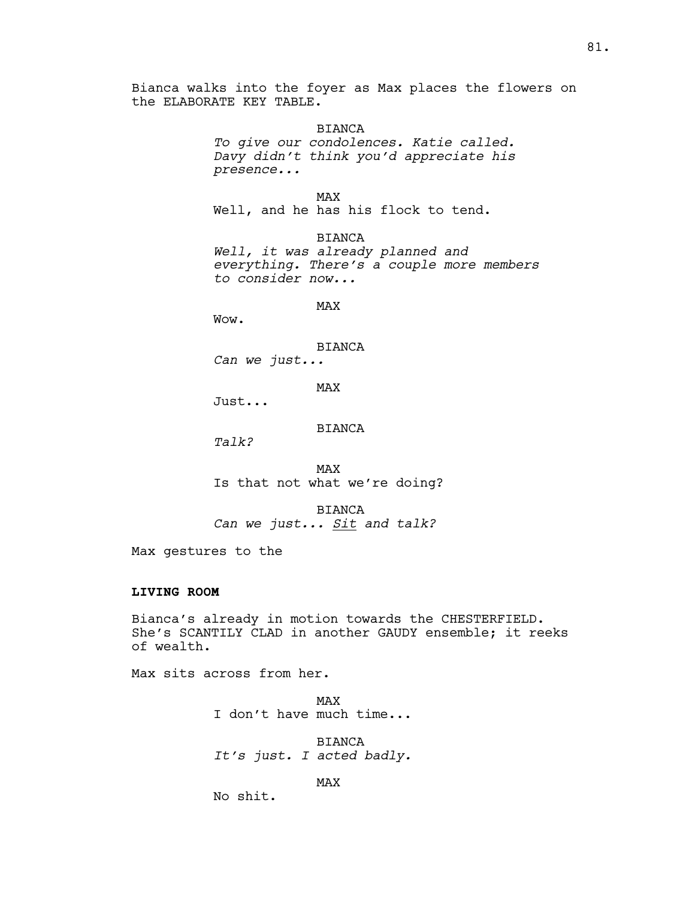Bianca walks into the foyer as Max places the flowers on the ELABORATE KEY TABLE.

BIANCA

*To give our condolences. Katie called. Davy didn't think you'd appreciate his presence...*

MAX

Well, and he has his flock to tend.

BIANCA *Well, it was already planned and everything. There's a couple more members to consider now...*

MAX

Wow.

BIANCA

*Can we just...*

MAX

Just...

BIANCA

*Talk?*

MAX Is that not what we're doing?

BIANCA *Can we just... Sit and talk?*

Max gestures to the

## **LIVING ROOM**

Bianca's already in motion towards the CHESTERFIELD. She's SCANTILY CLAD in another GAUDY ensemble; it reeks of wealth.

Max sits across from her.

MAX I don't have much time...

BIANCA *It's just. I acted badly.*

MAX

No shit.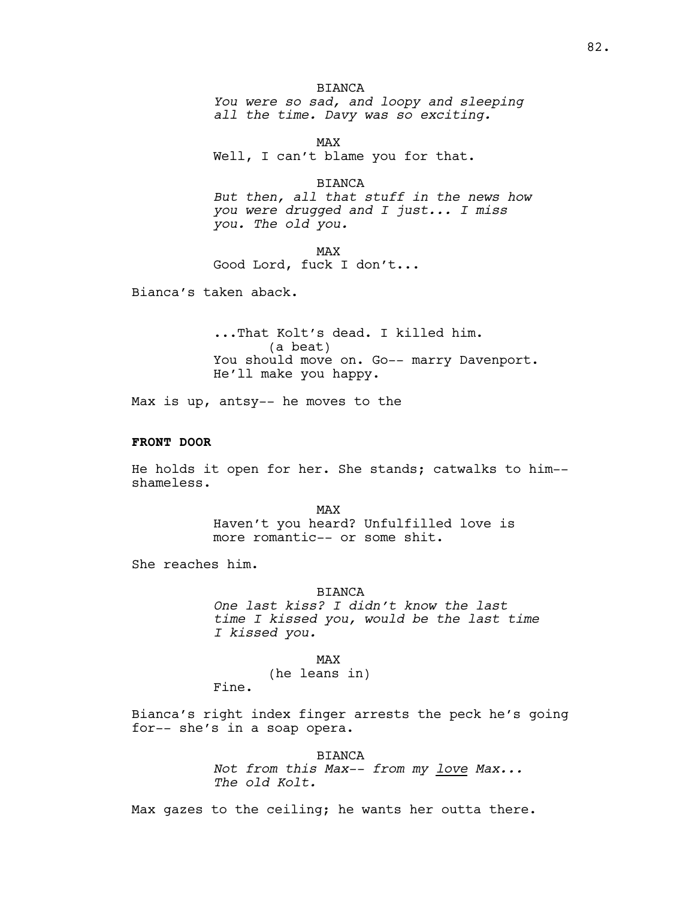**BIANCA** *You were so sad, and loopy and sleeping all the time. Davy was so exciting.*

MAX Well, I can't blame you for that.

BIANCA *But then, all that stuff in the news how you were drugged and I just... I miss you. The old you.*

MAX Good Lord, fuck I don't...

Bianca's taken aback.

...That Kolt's dead. I killed him. (a beat) You should move on. Go-- marry Davenport. He'll make you happy.

Max is up, antsy-- he moves to the

### **FRONT DOOR**

He holds it open for her. She stands; catwalks to him- shameless.

> MAX Haven't you heard? Unfulfilled love is more romantic-- or some shit.

She reaches him.

## **BIANCA**

*One last kiss? I didn't know the last time I kissed you, would be the last time I kissed you.*

> MAX (he leans in)

Fine.

Bianca's right index finger arrests the peck he's going for-- she's in a soap opera.

> BIANCA *Not from this Max-- from my love Max... The old Kolt.*

Max gazes to the ceiling; he wants her outta there.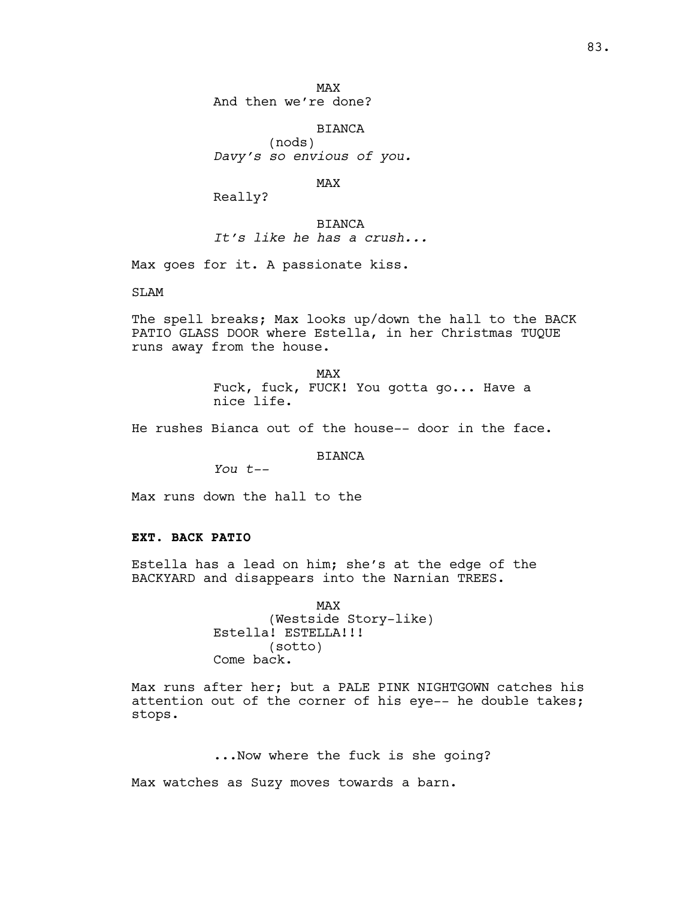MAX And then we're done?

BIANCA (nods) *Davy's so envious of you.*

MAX

Really?

BIANCA *It's like he has a crush...*

Max goes for it. A passionate kiss.

SLAM

The spell breaks; Max looks up/down the hall to the BACK PATIO GLASS DOOR where Estella, in her Christmas TUQUE runs away from the house.

> MAX Fuck, fuck, FUCK! You gotta go... Have a nice life.

He rushes Bianca out of the house-- door in the face.

BIANCA

*You t--*

Max runs down the hall to the

# **EXT. BACK PATIO**

Estella has a lead on him; she's at the edge of the BACKYARD and disappears into the Narnian TREES.

> MAX (Westside Story-like) Estella! ESTELLA!!! (sotto) Come back.

Max runs after her; but a PALE PINK NIGHTGOWN catches his attention out of the corner of his eye-- he double takes; stops.

...Now where the fuck is she going?

Max watches as Suzy moves towards a barn.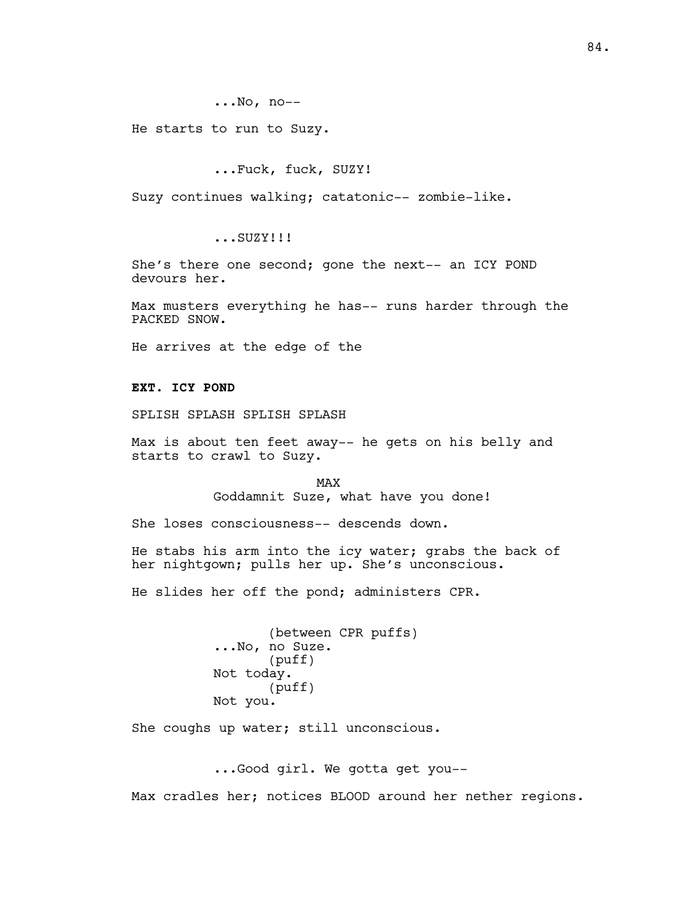...No, no--

He starts to run to Suzy.

...Fuck, fuck, SUZY!

Suzy continues walking; catatonic-- zombie-like.

...SUZY!!!!

She's there one second; gone the next-- an ICY POND devours her.

Max musters everything he has-- runs harder through the PACKED SNOW.

He arrives at the edge of the

**EXT. ICY POND**

SPLISH SPLASH SPLISH SPLASH

Max is about ten feet away-- he gets on his belly and starts to crawl to Suzy.

> MAX Goddamnit Suze, what have you done!

She loses consciousness-- descends down.

He stabs his arm into the icy water; grabs the back of her nightgown; pulls her up. She's unconscious.

He slides her off the pond; administers CPR.

(between CPR puffs) ...No, no Suze. (puff) Not today. (puff) Not you.

She coughs up water; still unconscious.

...Good girl. We gotta get you--

Max cradles her; notices BLOOD around her nether regions.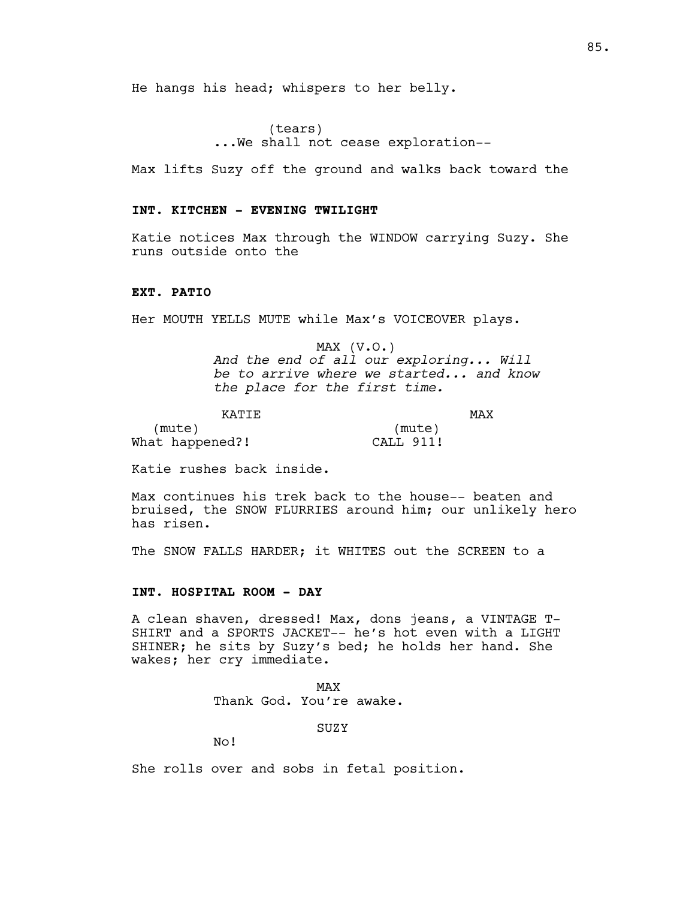He hangs his head; whispers to her belly.

(tears) ...We shall not cease exploration--

Max lifts Suzy off the ground and walks back toward the

### **INT. KITCHEN - EVENING TWILIGHT**

Katie notices Max through the WINDOW carrying Suzy. She runs outside onto the

### **EXT. PATIO**

Her MOUTH YELLS MUTE while Max's VOICEOVER plays.

 $MAX (V.O.)$ *And the end of all our exploring... Will be to arrive where we started... and know the place for the first time.*

MAX

| KATTE.          |           |
|-----------------|-----------|
| (mute)          | (mute)    |
| What happened?! | CALL 911! |

Katie rushes back inside.

Max continues his trek back to the house-- beaten and bruised, the SNOW FLURRIES around him; our unlikely hero has risen.

The SNOW FALLS HARDER; it WHITES out the SCREEN to a

### **INT. HOSPITAL ROOM - DAY**

A clean shaven, dressed! Max, dons jeans, a VINTAGE T-SHIRT and a SPORTS JACKET-- he's hot even with a LIGHT SHINER; he sits by Suzy's bed; he holds her hand. She wakes; her cry immediate.

> MAX Thank God. You're awake.

> > SUZY

No!

She rolls over and sobs in fetal position.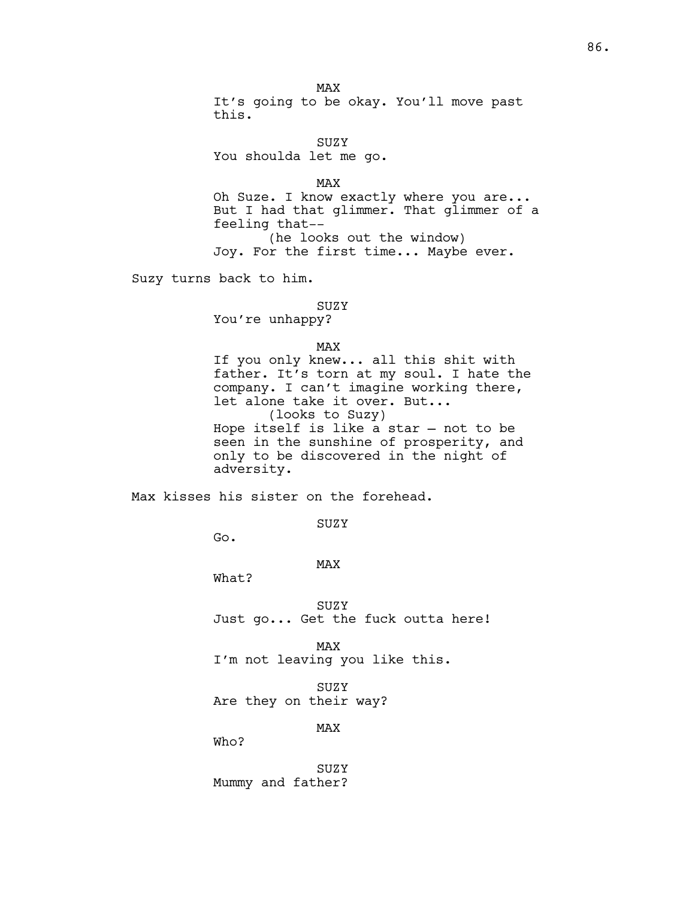MAX It's going to be okay. You'll move past this.

SUZY You shoulda let me go.

MAX

Oh Suze. I know exactly where you are... But I had that glimmer. That glimmer of a feeling that-- (he looks out the window) Joy. For the first time... Maybe ever.

Suzy turns back to him.

SUZY

You're unhappy?

## MAX

If you only knew... all this shit with father. It's torn at my soul. I hate the company. I can't imagine working there, let alone take it over. But... (looks to Suzy) Hope itself is like a star — not to be seen in the sunshine of prosperity, and only to be discovered in the night of adversity.

Max kisses his sister on the forehead.

SUZY

Go.

## MAX

What?

SUZY Just go... Get the fuck outta here!

MAX I'm not leaving you like this.

SUZY

Are they on their way?

MAX

Who?

SUZY Mummy and father?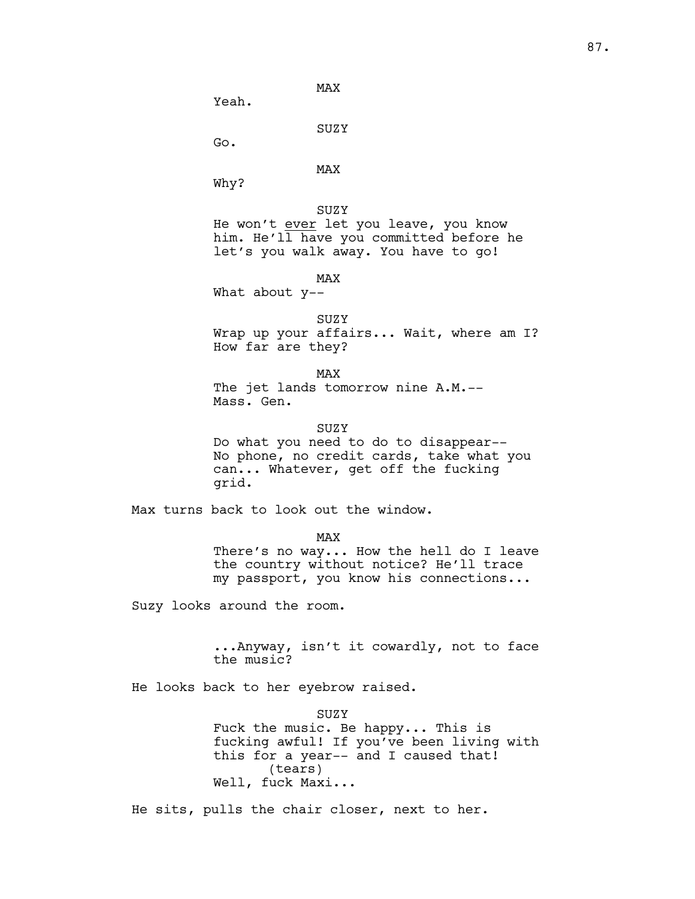MAX

Yeah.

SUZY

Go.

MAX

Why?

SUZY He won't ever let you leave, you know him. He'll have you committed before he let's you walk away. You have to go!

MAX

What about y--

SUZY Wrap up your affairs... Wait, where am I? How far are they?

MAX

The jet lands tomorrow nine A.M.-- Mass. Gen.

SUZY

Do what you need to do to disappear-- No phone, no credit cards, take what you can... Whatever, get off the fucking grid.

Max turns back to look out the window.

MAX

There's no way... How the hell do I leave the country without notice? He'll trace my passport, you know his connections...

Suzy looks around the room.

...Anyway, isn't it cowardly, not to face the music?

He looks back to her eyebrow raised.

SUZY Fuck the music. Be happy... This is fucking awful! If you've been living with this for a year-- and I caused that! (tears) Well, fuck Maxi...

He sits, pulls the chair closer, next to her.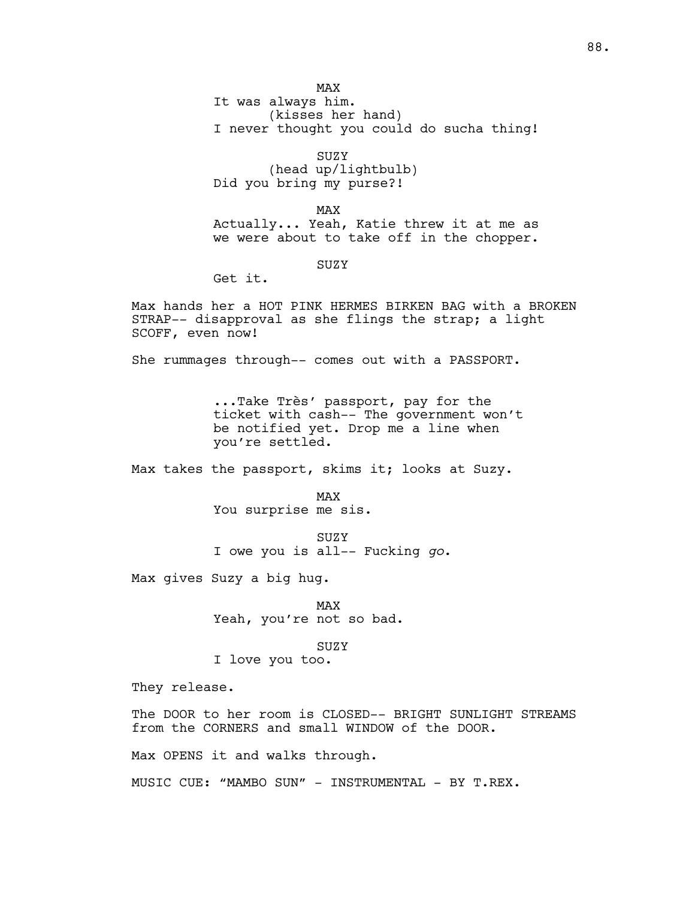It was always him. (kisses her hand) I never thought you could do sucha thing!

SUZY (head up/lightbulb) Did you bring my purse?!

MAX

Actually... Yeah, Katie threw it at me as we were about to take off in the chopper.

**SUZY** 

Get it.

Max hands her a HOT PINK HERMES BIRKEN BAG with a BROKEN STRAP-- disapproval as she flings the strap; a light SCOFF, even now!

She rummages through-- comes out with a PASSPORT.

...Take Très' passport, pay for the ticket with cash-- The government won't be notified yet. Drop me a line when you're settled.

Max takes the passport, skims it; looks at Suzy.

MAX You surprise me sis.

SUZY I owe you is all-- Fucking *go*.

Max gives Suzy a big hug.

MAX Yeah, you're not so bad.

SUZY

I love you too.

They release.

The DOOR to her room is CLOSED-- BRIGHT SUNLIGHT STREAMS from the CORNERS and small WINDOW of the DOOR.

Max OPENS it and walks through.

MUSIC CUE: "MAMBO SUN" - INSTRUMENTAL - BY T.REX.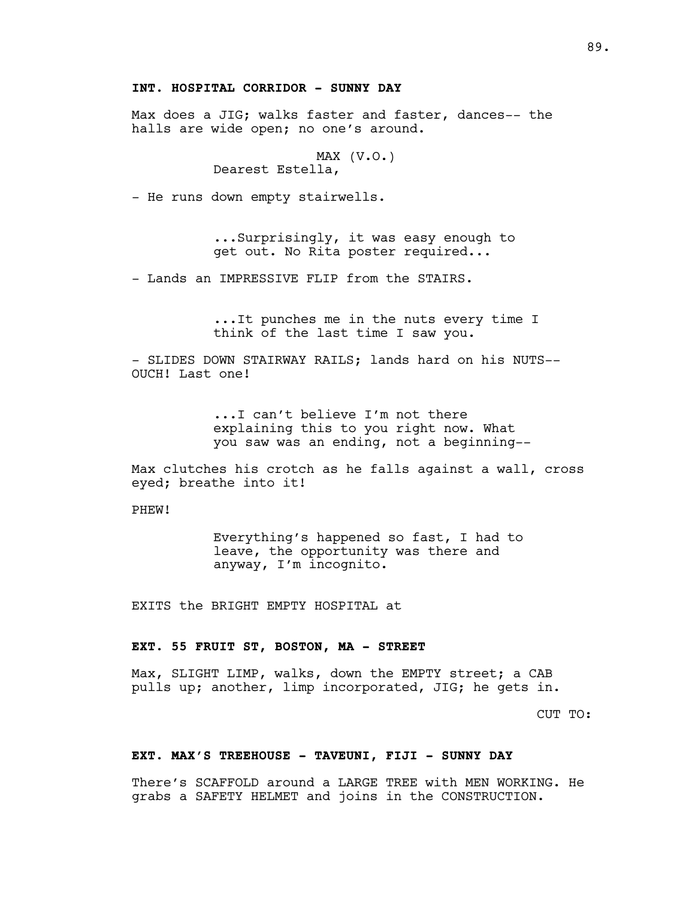# **INT. HOSPITAL CORRIDOR - SUNNY DAY**

Max does a JIG; walks faster and faster, dances-- the halls are wide open; no one's around.

> MAX (V.O.) Dearest Estella,

- He runs down empty stairwells.

...Surprisingly, it was easy enough to get out. No Rita poster required...

- Lands an IMPRESSIVE FLIP from the STAIRS.

...It punches me in the nuts every time I think of the last time I saw you.

- SLIDES DOWN STAIRWAY RAILS; lands hard on his NUTS--OUCH! Last one!

> ...I can't believe I'm not there explaining this to you right now. What you saw was an ending, not a beginning--

Max clutches his crotch as he falls against a wall, cross eyed; breathe into it!

PHEW!

Everything's happened so fast, I had to leave, the opportunity was there and anyway, I'm incognito.

EXITS the BRIGHT EMPTY HOSPITAL at

# **EXT. 55 FRUIT ST, BOSTON, MA - STREET**

Max, SLIGHT LIMP, walks, down the EMPTY street; a CAB pulls up; another, limp incorporated, JIG; he gets in.

CUT TO:

# **EXT. MAX'S TREEHOUSE - TAVEUNI, FIJI - SUNNY DAY**

There's SCAFFOLD around a LARGE TREE with MEN WORKING. He grabs a SAFETY HELMET and joins in the CONSTRUCTION.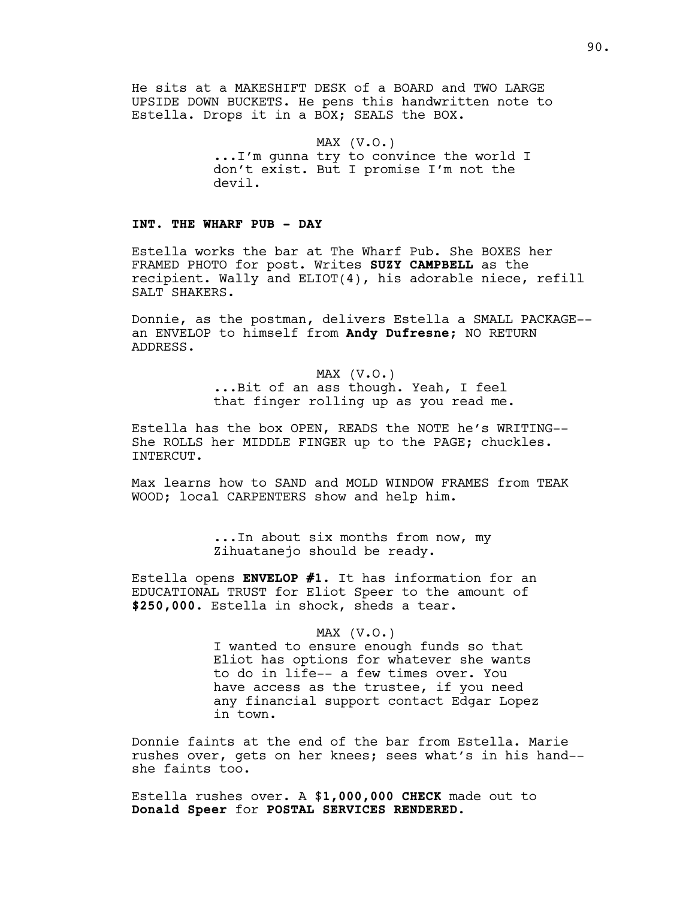He sits at a MAKESHIFT DESK of a BOARD and TWO LARGE UPSIDE DOWN BUCKETS. He pens this handwritten note to Estella. Drops it in a BOX; SEALS the BOX.

> MAX (V.O.) ...I'm gunna try to convince the world I don't exist. But I promise I'm not the devil.

# **INT. THE WHARF PUB - DAY**

Estella works the bar at The Wharf Pub. She BOXES her FRAMED PHOTO for post. Writes **SUZY CAMPBELL** as the recipient. Wally and ELIOT(4), his adorable niece, refill SALT SHAKERS.

Donnie, as the postman, delivers Estella a SMALL PACKAGE- an ENVELOP to himself from **Andy Dufresne**; NO RETURN ADDRESS.

> $MAX (V.O.)$ ...Bit of an ass though. Yeah, I feel that finger rolling up as you read me.

Estella has the box OPEN, READS the NOTE he's WRITING-- She ROLLS her MIDDLE FINGER up to the PAGE; chuckles. INTERCUT.

Max learns how to SAND and MOLD WINDOW FRAMES from TEAK WOOD; local CARPENTERS show and help him.

> ...In about six months from now, my Zihuatanejo should be ready.

Estella opens **ENVELOP #1**. It has information for an EDUCATIONAL TRUST for Eliot Speer to the amount of **\$250,000.** Estella in shock, sheds a tear.

#### MAX  $(V.O.)$

I wanted to ensure enough funds so that Eliot has options for whatever she wants to do in life-- a few times over. You have access as the trustee, if you need any financial support contact Edgar Lopez in town.

Donnie faints at the end of the bar from Estella. Marie rushes over, gets on her knees; sees what's in his hand- she faints too.

Estella rushes over. A \$**1,000,000 CHECK** made out to **Donald Speer** for **POSTAL SERVICES RENDERED**.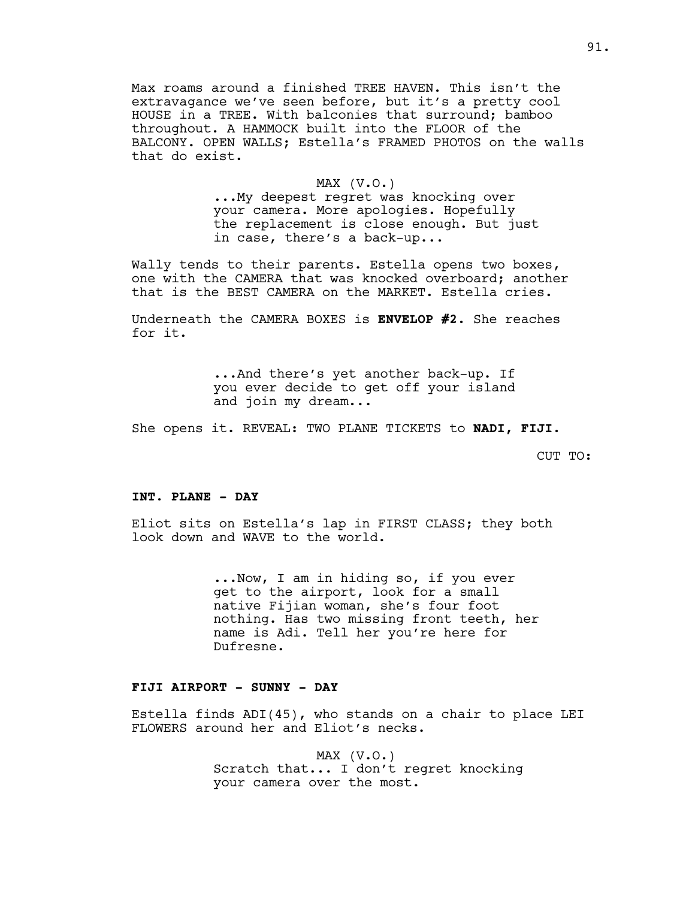Max roams around a finished TREE HAVEN. This isn't the extravagance we've seen before, but it's a pretty cool HOUSE in a TREE. With balconies that surround; bamboo throughout. A HAMMOCK built into the FLOOR of the BALCONY. OPEN WALLS; Estella's FRAMED PHOTOS on the walls that do exist.

### MAX  $(V.O.)$

...My deepest regret was knocking over your camera. More apologies. Hopefully the replacement is close enough. But just in case, there's a back-up...

Wally tends to their parents. Estella opens two boxes, one with the CAMERA that was knocked overboard; another that is the BEST CAMERA on the MARKET. Estella cries.

Underneath the CAMERA BOXES is **ENVELOP #2.** She reaches for it.

> ...And there's yet another back-up. If you ever decide to get off your island and join my dream...

She opens it. REVEAL: TWO PLANE TICKETS to **NADI, FIJI**.

CUT TO:

### **INT. PLANE - DAY**

Eliot sits on Estella's lap in FIRST CLASS; they both look down and WAVE to the world.

> ...Now, I am in hiding so, if you ever get to the airport, look for a small native Fijian woman, she's four foot nothing. Has two missing front teeth, her name is Adi. Tell her you're here for Dufresne.

## **FIJI AIRPORT - SUNNY - DAY**

Estella finds ADI(45), who stands on a chair to place LEI FLOWERS around her and Eliot's necks.

> MAX (V.O.) Scratch that... I don't regret knocking your camera over the most.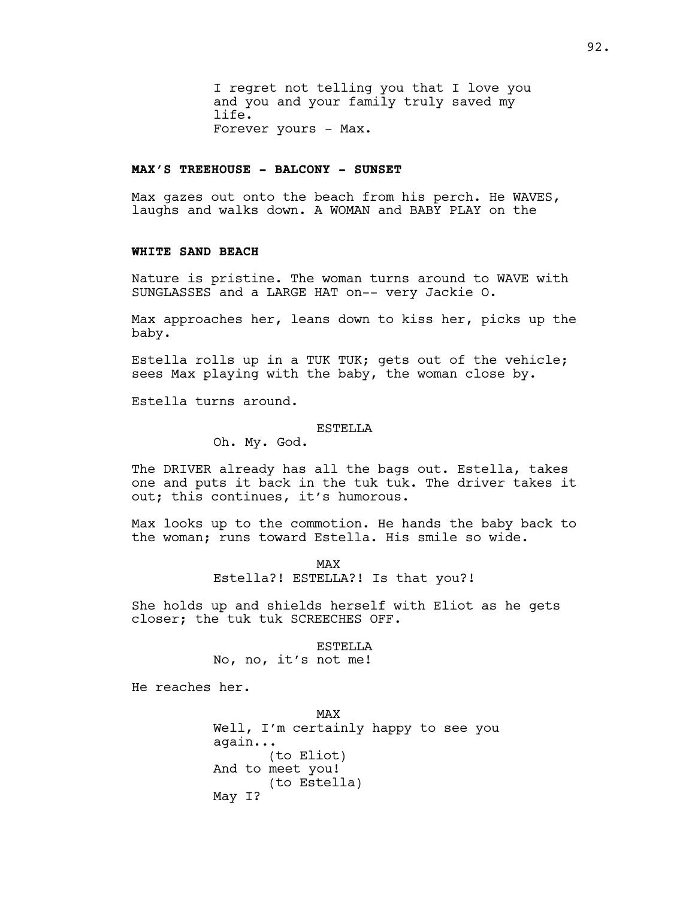I regret not telling you that I love you and you and your family truly saved my life. Forever yours - Max.

# **MAX'S TREEHOUSE - BALCONY - SUNSET**

Max gazes out onto the beach from his perch. He WAVES, laughs and walks down. A WOMAN and BABY PLAY on the

# **WHITE SAND BEACH**

Nature is pristine. The woman turns around to WAVE with SUNGLASSES and a LARGE HAT on-- very Jackie O.

Max approaches her, leans down to kiss her, picks up the baby.

Estella rolls up in a TUK TUK; gets out of the vehicle; sees Max playing with the baby, the woman close by.

Estella turns around.

#### ESTELLA

Oh. My. God.

The DRIVER already has all the bags out. Estella, takes one and puts it back in the tuk tuk. The driver takes it out; this continues, it's humorous.

Max looks up to the commotion. He hands the baby back to the woman; runs toward Estella. His smile so wide.

> MAX Estella?! ESTELLA?! Is that you?!

She holds up and shields herself with Eliot as he gets closer; the tuk tuk SCREECHES OFF.

#### ESTELLA

No, no, it's not me!

He reaches her.

MAX Well, I'm certainly happy to see you again... (to Eliot) And to meet you! (to Estella) May I?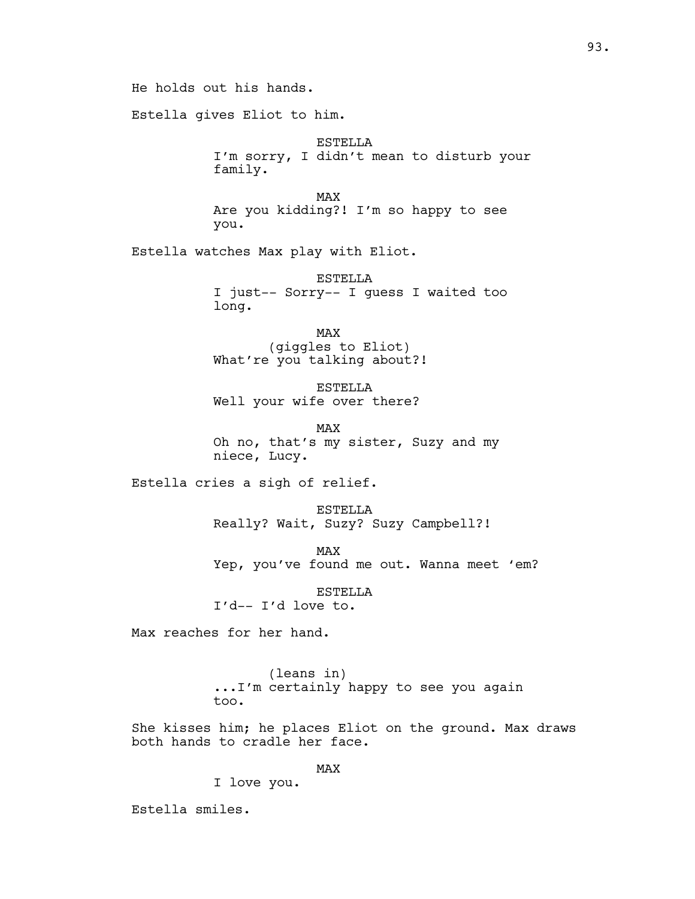He holds out his hands.

Estella gives Eliot to him.

ESTELLA I'm sorry, I didn't mean to disturb your family.

MAX Are you kidding?! I'm so happy to see you.

Estella watches Max play with Eliot.

ESTELLA I just-- Sorry-- I guess I waited too long.

MAX (giggles to Eliot) What're you talking about?!

ESTELLA Well your wife over there?

MAX Oh no, that's my sister, Suzy and my niece, Lucy.

Estella cries a sigh of relief.

ESTELLA Really? Wait, Suzy? Suzy Campbell?!

MAX Yep, you've found me out. Wanna meet 'em?

ESTELLA I'd-- I'd love to.

Max reaches for her hand.

(leans in) ...I'm certainly happy to see you again too.

She kisses him; he places Eliot on the ground. Max draws both hands to cradle her face.

MAX

I love you.

Estella smiles.